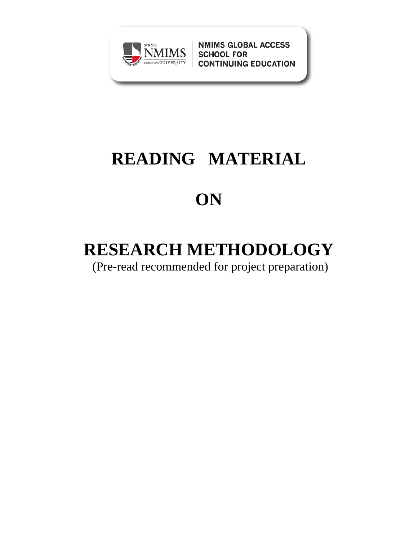

# **READING MATERIAL**

# **ON**

## **RESEARCH METHODOLOGY**

(Pre-read recommended for project preparation)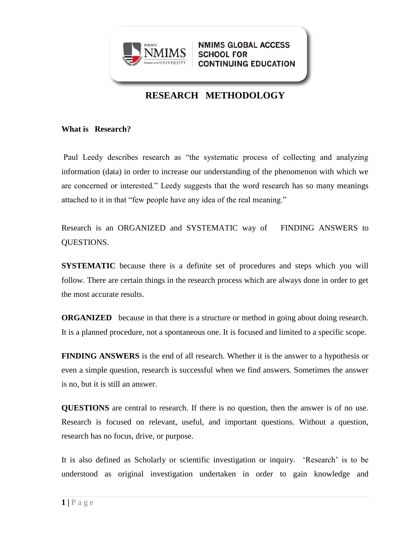

## **RESEARCH METHODOLOGY**

#### **What is Research?**

Paul Leedy describes research as "the systematic process of collecting and analyzing information (data) in order to increase our understanding of the phenomenon with which we are concerned or interested." Leedy suggests that the word research has so many meanings attached to it in that "few people have any idea of the real meaning."

Research is an ORGANIZED and SYSTEMATIC way ofFINDING ANSWERS to QUESTIONS.

**SYSTEMATIC** because there is a definite set of procedures and steps which you will follow. There are certain things in the research process which are always done in order to get the most accurate results.

**ORGANIZED** because in that there is a structure or method in going about doing research. It is a planned procedure, not a spontaneous one. It is focused and limited to a specific scope.

**FINDING ANSWERS** is the end of all research. Whether it is the answer to a hypothesis or even a simple question, research is successful when we find answers. Sometimes the answer is no, but it is still an answer.

**QUESTIONS** are central to research. If there is no question, then the answer is of no use. Research is focused on relevant, useful, and important questions. Without a question, research has no focus, drive, or purpose.

It is also defined as Scholarly or scientific investigation or inquiry. 'Research' is to be understood as original investigation undertaken in order to gain knowledge and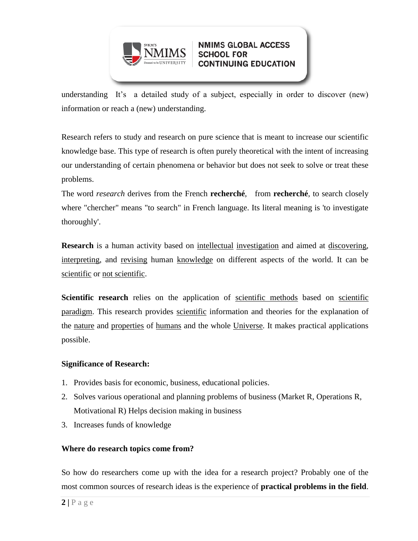

understanding It's a detailed study of a subject, especially in order to discover (new) information or reach a (new) understanding.

Research refers to study and research on pure science that is meant to increase our scientific knowledge base. This type of research is often purely theoretical with the intent of increasing our understanding of certain phenomena or behavior but does not seek to solve or treat these problems.

The word *research* derives from the French **recherché**, from **recherché**, to search closely where "chercher" means "to search" in French language. Its literal meaning is 'to investigate thoroughly'.

**Research** is a human activity based on [intellectual](http://en.wikipedia.org/wiki/Intellectual) [investigation](http://en.wikipedia.org/wiki/Investigation) and aimed at [discovering,](http://en.wikipedia.org/wiki/Discovery) [interpreting,](http://en.wikipedia.org/wiki/Interpretation) and [revising](http://en.wikipedia.org/wiki/Revision) human [knowledge](http://en.wikipedia.org/wiki/Knowledge) on different aspects of the world. It can be [scientific](http://en.wikipedia.org/wiki/Science) or [not scientific.](http://en.wikipedia.org/wiki/Non-science)

**Scientific research** relies on the application of [scientific methods](http://en.wikipedia.org/wiki/Scientific_method) based on [scientific](http://en.wikipedia.org/wiki/Scientific_paradigm)  [paradigm.](http://en.wikipedia.org/wiki/Scientific_paradigm) This research provides [scientific](http://en.wikipedia.org/wiki/Science) information and theories for the explanation of the [nature](http://en.wikipedia.org/wiki/Nature) and [properties](http://en.wikipedia.org/wiki/Property) of [humans](http://en.wikipedia.org/wiki/Humans) and the whole [Universe.](http://en.wikipedia.org/wiki/Universe) It makes practical applications possible.

#### **Significance of Research:**

- 1. Provides basis for economic, business, educational policies.
- 2. Solves various operational and planning problems of business (Market R, Operations R, Motivational R) Helps decision making in business
- 3. Increases funds of knowledge

#### **Where do research topics come from?**

So how do researchers come up with the idea for a research project? Probably one of the most common sources of research ideas is the experience of **practical problems in the field**.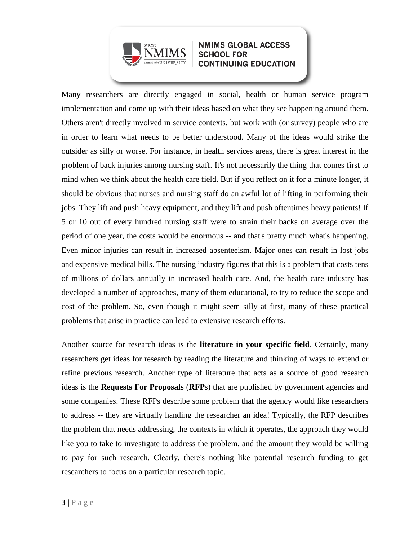

Many researchers are directly engaged in social, health or human service program implementation and come up with their ideas based on what they see happening around them. Others aren't directly involved in service contexts, but work with (or survey) people who are in order to learn what needs to be better understood. Many of the ideas would strike the outsider as silly or worse. For instance, in health services areas, there is great interest in the problem of back injuries among nursing staff. It's not necessarily the thing that comes first to mind when we think about the health care field. But if you reflect on it for a minute longer, it should be obvious that nurses and nursing staff do an awful lot of lifting in performing their jobs. They lift and push heavy equipment, and they lift and push oftentimes heavy patients! If 5 or 10 out of every hundred nursing staff were to strain their backs on average over the period of one year, the costs would be enormous -- and that's pretty much what's happening. Even minor injuries can result in increased absenteeism. Major ones can result in lost jobs and expensive medical bills. The nursing industry figures that this is a problem that costs tens of millions of dollars annually in increased health care. And, the health care industry has developed a number of approaches, many of them educational, to try to reduce the scope and cost of the problem. So, even though it might seem silly at first, many of these practical problems that arise in practice can lead to extensive research efforts.

Another source for research ideas is the **literature in your specific field**. Certainly, many researchers get ideas for research by reading the literature and thinking of ways to extend or refine previous research. Another type of literature that acts as a source of good research ideas is the **Requests For Proposals** (**RFP**s) that are published by government agencies and some companies. These RFPs describe some problem that the agency would like researchers to address -- they are virtually handing the researcher an idea! Typically, the RFP describes the problem that needs addressing, the contexts in which it operates, the approach they would like you to take to investigate to address the problem, and the amount they would be willing to pay for such research. Clearly, there's nothing like potential research funding to get researchers to focus on a particular research topic.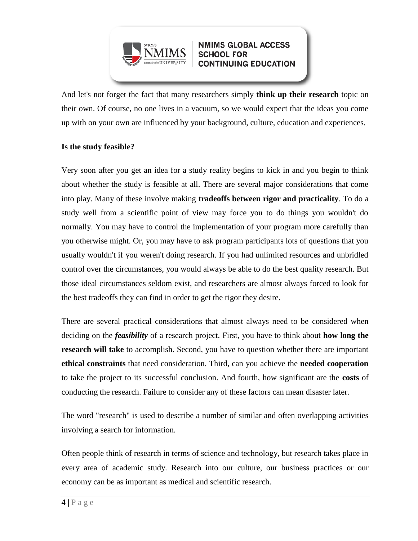

And let's not forget the fact that many researchers simply **think up their research** topic on their own. Of course, no one lives in a vacuum, so we would expect that the ideas you come up with on your own are influenced by your background, culture, education and experiences.

#### **Is the study feasible?**

Very soon after you get an idea for a study reality begins to kick in and you begin to think about whether the study is feasible at all. There are several major considerations that come into play. Many of these involve making **tradeoffs between rigor and practicality**. To do a study well from a scientific point of view may force you to do things you wouldn't do normally. You may have to control the implementation of your program more carefully than you otherwise might. Or, you may have to ask program participants lots of questions that you usually wouldn't if you weren't doing research. If you had unlimited resources and unbridled control over the circumstances, you would always be able to do the best quality research. But those ideal circumstances seldom exist, and researchers are almost always forced to look for the best tradeoffs they can find in order to get the rigor they desire.

There are several practical considerations that almost always need to be considered when deciding on the *feasibility* of a research project. First, you have to think about **how long the research will take** to accomplish. Second, you have to question whether there are important **ethical constraints** that need consideration. Third, can you achieve the **needed cooperation** to take the project to its successful conclusion. And fourth, how significant are the **costs** of conducting the research. Failure to consider any of these factors can mean disaster later.

The word "research" is used to describe a number of similar and often overlapping activities involving a search for information.

Often people think of research in terms of science and technology, but research takes place in every area of academic study. Research into our culture, our business practices or our economy can be as important as medical and scientific research.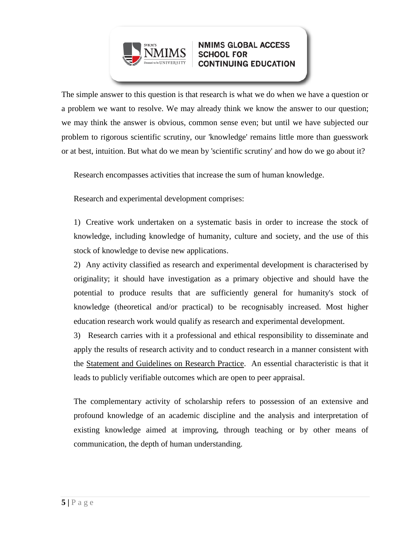

The simple answer to this question is that research is what we do when we have a question or a problem we want to resolve. We may already think we know the answer to our question; we may think the answer is obvious, common sense even; but until we have subjected our problem to rigorous scientific scrutiny, our 'knowledge' remains little more than guesswork or at best, intuition. But what do we mean by 'scientific scrutiny' and how do we go about it?

Research encompasses activities that increase the sum of human knowledge.

Research and experimental development comprises:

1) Creative work undertaken on a systematic basis in order to increase the stock of knowledge, including knowledge of humanity, culture and society, and the use of this stock of knowledge to devise new applications.

2) Any activity classified as research and experimental development is characterised by originality; it should have investigation as a primary objective and should have the potential to produce results that are sufficiently general for humanity's stock of knowledge (theoretical and/or practical) to be recognisably increased. Most higher education research work would qualify as research and experimental development.

3) Research carries with it a professional and ethical responsibility to disseminate and apply the results of research activity and to conduct research in a manner consistent with the [Statement and Guidelines on Research Practice.](http://www.jcu.edu.au/office/Policy/resresp.htm) An essential characteristic is that it leads to publicly verifiable outcomes which are open to peer appraisal.

The complementary activity of scholarship refers to possession of an extensive and profound knowledge of an academic discipline and the analysis and interpretation of existing knowledge aimed at improving, through teaching or by other means of communication, the depth of human understanding.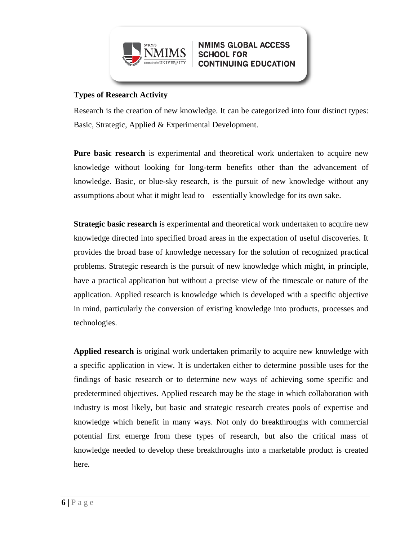

## **Types of Research Activity**

Research is the creation of new knowledge. It can be categorized into four distinct types: Basic, Strategic, Applied & Experimental Development.

**Pure basic research** is experimental and theoretical work undertaken to acquire new knowledge without looking for long-term benefits other than the advancement of knowledge. Basic, or blue-sky research, is the pursuit of new knowledge without any assumptions about what it might lead to – essentially knowledge for its own sake.

**Strategic basic research** is experimental and theoretical work undertaken to acquire new knowledge directed into specified broad areas in the expectation of useful discoveries. It provides the broad base of knowledge necessary for the solution of recognized practical problems. Strategic research is the pursuit of new knowledge which might, in principle, have a practical application but without a precise view of the timescale or nature of the application. Applied research is knowledge which is developed with a specific objective in mind, particularly the conversion of existing knowledge into products, processes and technologies.

**Applied research** is original work undertaken primarily to acquire new knowledge with a specific application in view. It is undertaken either to determine possible uses for the findings of basic research or to determine new ways of achieving some specific and predetermined objectives. Applied research may be the stage in which collaboration with industry is most likely, but basic and strategic research creates pools of expertise and knowledge which benefit in many ways. Not only do breakthroughs with commercial potential first emerge from these types of research, but also the critical mass of knowledge needed to develop these breakthroughs into a marketable product is created here.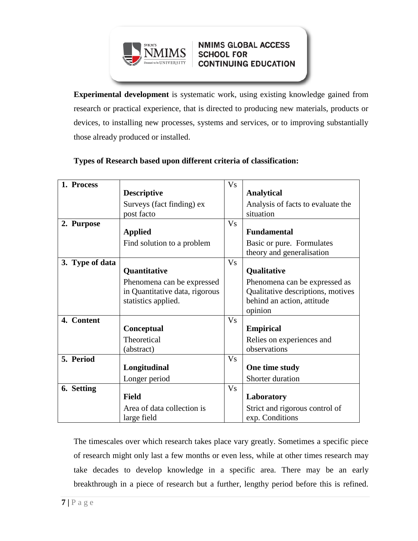

**Experimental development** is systematic work, using existing knowledge gained from research or practical experience, that is directed to producing new materials, products or devices, to installing new processes, systems and services, or to improving substantially those already produced or installed.

| 1. Process      |                                | <b>Vs</b> |                                   |
|-----------------|--------------------------------|-----------|-----------------------------------|
|                 | <b>Descriptive</b>             |           | <b>Analytical</b>                 |
|                 | Surveys (fact finding) ex      |           | Analysis of facts to evaluate the |
|                 | post facto                     |           | situation                         |
| 2. Purpose      |                                | <b>Vs</b> |                                   |
|                 | <b>Applied</b>                 |           | <b>Fundamental</b>                |
|                 | Find solution to a problem     |           | Basic or pure. Formulates         |
|                 |                                |           | theory and generalisation         |
| 3. Type of data |                                | <b>Vs</b> |                                   |
|                 | Quantitative                   |           | Qualitative                       |
|                 | Phenomena can be expressed     |           | Phenomena can be expressed as     |
|                 | in Quantitative data, rigorous |           | Qualitative descriptions, motives |
|                 | statistics applied.            |           | behind an action, attitude        |
|                 |                                |           | opinion                           |
| 4. Content      |                                | <b>Vs</b> |                                   |
|                 | Conceptual                     |           | <b>Empirical</b>                  |
|                 | Theoretical                    |           | Relies on experiences and         |
|                 | (abstract)                     |           | observations                      |
| 5. Period       |                                | <b>Vs</b> |                                   |
|                 | Longitudinal                   |           | One time study                    |
|                 | Longer period                  |           | Shorter duration                  |
| 6. Setting      |                                | <b>Vs</b> |                                   |
|                 | <b>Field</b>                   |           | Laboratory                        |
|                 | Area of data collection is     |           | Strict and rigorous control of    |
|                 | large field                    |           | exp. Conditions                   |

## **Types of Research based upon different criteria of classification:**

The timescales over which research takes place vary greatly. Sometimes a specific piece of research might only last a few months or even less, while at other times research may take decades to develop knowledge in a specific area. There may be an early breakthrough in a piece of research but a further, lengthy period before this is refined.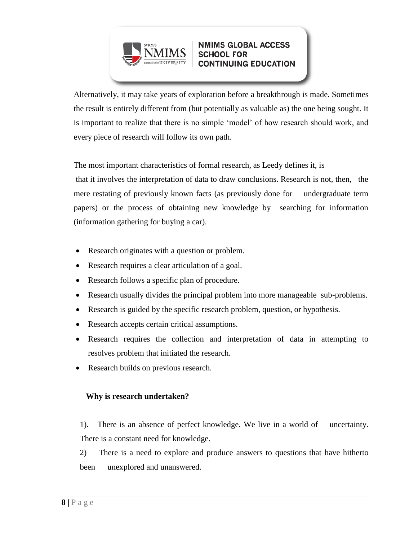

Alternatively, it may take years of exploration before a breakthrough is made. Sometimes the result is entirely different from (but potentially as valuable as) the one being sought. It is important to realize that there is no simple 'model' of how research should work, and every piece of research will follow its own path.

The most important characteristics of formal research, as Leedy defines it, is

that it involves the interpretation of data to draw conclusions. Research is not, then, the mere restating of previously known facts (as previously done for undergraduate term papers) or the process of obtaining new knowledge by searching for information (information gathering for buying a car).

- Research originates with a question or problem.
- Research requires a clear articulation of a goal.
- Research follows a specific plan of procedure.
- Research usually divides the principal problem into more manageable sub-problems.
- Research is guided by the specific research problem, question, or hypothesis.
- Research accepts certain critical assumptions.
- Research requires the collection and interpretation of data in attempting to resolves problem that initiated the research.
- Research builds on previous research.

## **Why is research undertaken?**

1). There is an absence of perfect knowledge. We live in a world of uncertainty. There is a constant need for knowledge.

2) There is a need to explore and produce answers to questions that have hitherto been unexplored and unanswered.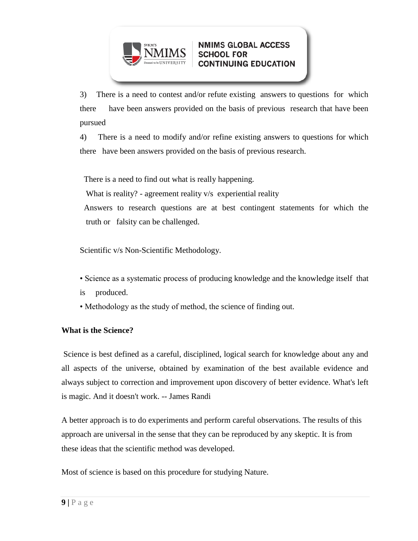

3) There is a need to contest and/or refute existing answers to questions for which there have been answers provided on the basis of previous research that have been pursued

4) There is a need to modify and/or refine existing answers to questions for which there have been answers provided on the basis of previous research.

There is a need to find out what is really happening.

What is reality? - agreement reality v/s experiential reality

 Answers to research questions are at best contingent statements for which the truth or falsity can be challenged.

Scientific v/s Non-Scientific Methodology.

- Science as a systematic process of producing knowledge and the knowledge itself that
- is produced.
- Methodology as the study of method, the science of finding out.

## **What is the Science?**

Science is best defined as a careful, disciplined, logical search for knowledge about any and all aspects of the universe, obtained by examination of the best available evidence and always subject to correction and improvement upon discovery of better evidence. What's left is magic. And it doesn't work. -- James Randi

A better approach is to do experiments and perform careful observations. The results of this approach are universal in the sense that they can be reproduced by any skeptic. It is from these ideas that the scientific method was developed.

Most of science is based on this procedure for studying Nature.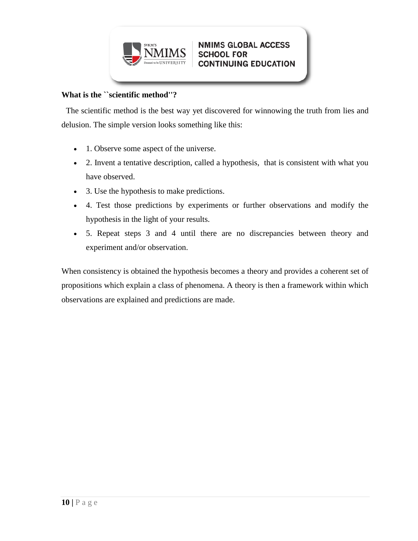

### **What is the ``scientific method''?**

The scientific method is the best way yet discovered for winnowing the truth from lies and delusion. The simple version looks something like this:

- 1. Observe some aspect of the universe.
- 2. Invent a tentative description, called a hypothesis, that is consistent with what you have observed.
- 3. Use the hypothesis to make predictions.
- 4. Test those predictions by experiments or further observations and modify the hypothesis in the light of your results.
- 5. Repeat steps 3 and 4 until there are no discrepancies between theory and experiment and/or observation.

When consistency is obtained the hypothesis becomes a theory and provides a coherent set of propositions which explain a class of phenomena. A theory is then a framework within which observations are explained and predictions are made.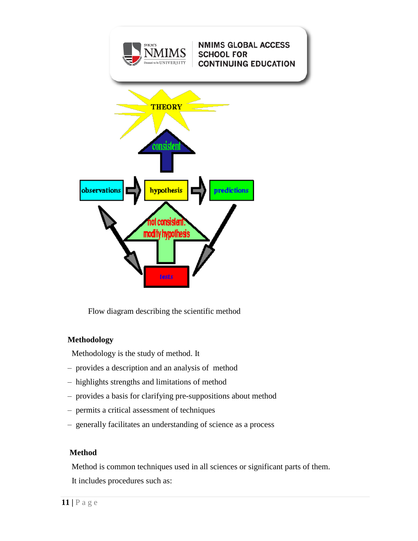

Flow diagram describing the scientific method

## **Methodology**

Methodology is the study of method. It

- provides a description and an analysis of method
- highlights strengths and limitations of method
- provides a basis for clarifying pre-suppositions about method
- permits a critical assessment of techniques
- generally facilitates an understanding of science as a process

## **Method**

Method is common techniques used in all sciences or significant parts of them. It includes procedures such as: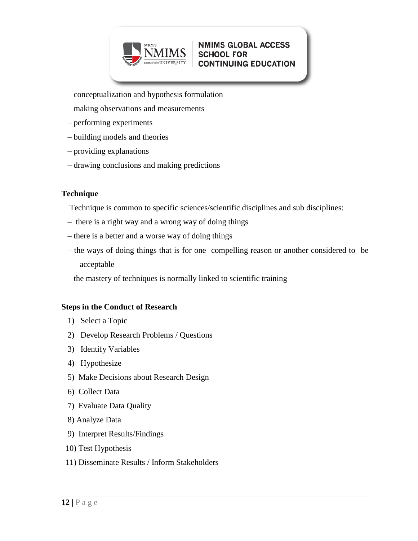

- conceptualization and hypothesis formulation
- making observations and measurements
- performing experiments
- building models and theories
- providing explanations
- drawing conclusions and making predictions

#### **Technique**

Technique is common to specific sciences/scientific disciplines and sub disciplines:

- there is a right way and a wrong way of doing things
- there is a better and a worse way of doing things
- the ways of doing things that is for one compelling reason or another considered to be acceptable
- the mastery of techniques is normally linked to scientific training

#### **Steps in the Conduct of Research**

- 1) Select a Topic
- 2) Develop Research Problems / Questions
- 3) Identify Variables
- 4) Hypothesize
- 5) Make Decisions about Research Design
- 6) Collect Data
- 7) Evaluate Data Quality
- 8) Analyze Data
- 9) Interpret Results/Findings
- 10) Test Hypothesis
- 11) Disseminate Results / Inform Stakeholders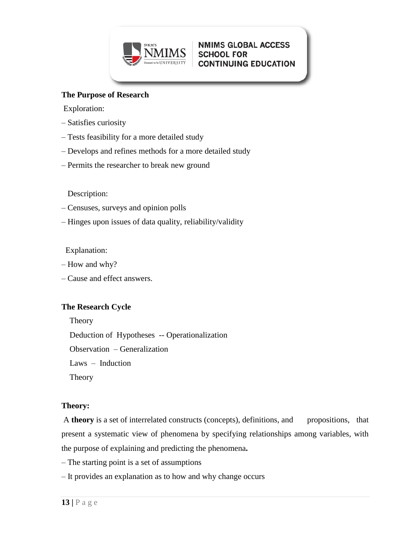

#### **The Purpose of Research**

Exploration:

- Satisfies curiosity
- Tests feasibility for a more detailed study
- Develops and refines methods for a more detailed study
- Permits the researcher to break new ground

#### Description:

- Censuses, surveys and opinion polls
- Hinges upon issues of data quality, reliability/validity

Explanation:

- How and why?
- Cause and effect answers.

## **The Research Cycle**

 Theory Deduction of Hypotheses -- Operationalization Observation – Generalization Laws – Induction Theory

#### **Theory:**

A **theory** is a set of interrelated constructs (concepts), definitions, and propositions, that present a systematic view of phenomena by specifying relationships among variables, with the purpose of explaining and predicting the phenomena**.**

– The starting point is a set of assumptions

– It provides an explanation as to how and why change occurs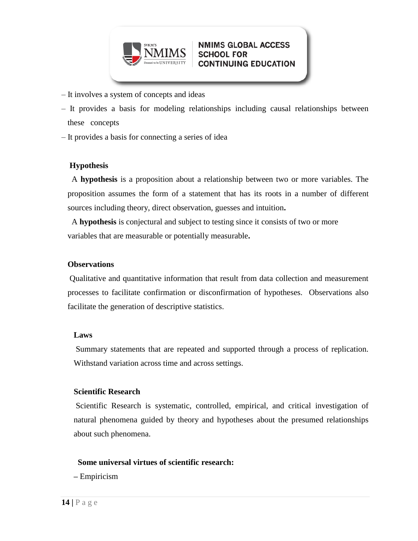

- It involves a system of concepts and ideas
- It provides a basis for modeling relationships including causal relationships between these concepts
- It provides a basis for connecting a series of idea

## **Hypothesis**

 A **hypothesis** is a proposition about a relationship between two or more variables. The proposition assumes the form of a statement that has its roots in a number of different sources including theory, direct observation, guesses and intuition**.**

 A **hypothesis** is conjectural and subject to testing since it consists of two or more variables that are measurable or potentially measurable**.**

#### **Observations**

Qualitative and quantitative information that result from data collection and measurement processes to facilitate confirmation or disconfirmation of hypotheses. Observations also facilitate the generation of descriptive statistics.

#### **Laws**

Summary statements that are repeated and supported through a process of replication. Withstand variation across time and across settings.

#### **Scientific Research**

Scientific Research is systematic, controlled, empirical, and critical investigation of natural phenomena guided by theory and hypotheses about the presumed relationships about such phenomena.

#### **Some universal virtues of scientific research:**

**–** Empiricism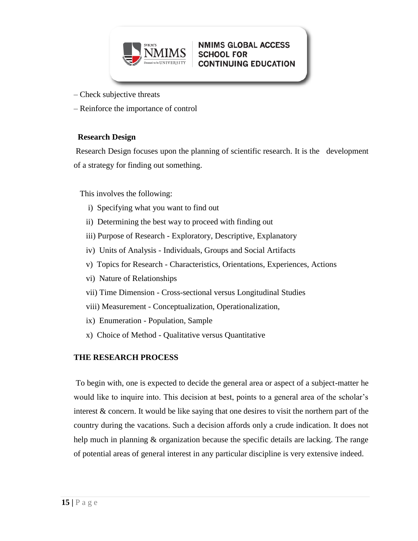

- Check subjective threats
- Reinforce the importance of control

#### **Research Design**

Research Design focuses upon the planning of scientific research. It is the development of a strategy for finding out something.

This involves the following:

- i) Specifying what you want to find out
- ii) Determining the best way to proceed with finding out
- iii) Purpose of Research Exploratory, Descriptive, Explanatory
- iv) Units of Analysis Individuals, Groups and Social Artifacts
- v) Topics for Research Characteristics, Orientations, Experiences, Actions
- vi) Nature of Relationships
- vii) Time Dimension Cross-sectional versus Longitudinal Studies
- viii) Measurement Conceptualization, Operationalization,
- ix) Enumeration Population, Sample
- x) Choice of Method Qualitative versus Quantitative

## **THE RESEARCH PROCESS**

To begin with, one is expected to decide the general area or aspect of a subject-matter he would like to inquire into. This decision at best, points to a general area of the scholar's interest & concern. It would be like saying that one desires to visit the northern part of the country during the vacations. Such a decision affords only a crude indication. It does not help much in planning & organization because the specific details are lacking. The range of potential areas of general interest in any particular discipline is very extensive indeed.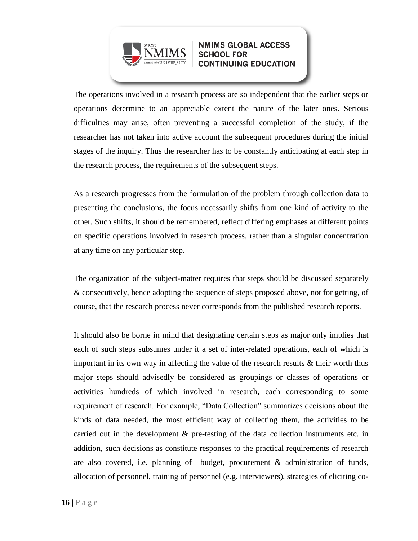

The operations involved in a research process are so independent that the earlier steps or operations determine to an appreciable extent the nature of the later ones. Serious difficulties may arise, often preventing a successful completion of the study, if the researcher has not taken into active account the subsequent procedures during the initial stages of the inquiry. Thus the researcher has to be constantly anticipating at each step in the research process, the requirements of the subsequent steps.

As a research progresses from the formulation of the problem through collection data to presenting the conclusions, the focus necessarily shifts from one kind of activity to the other. Such shifts, it should be remembered, reflect differing emphases at different points on specific operations involved in research process, rather than a singular concentration at any time on any particular step.

The organization of the subject-matter requires that steps should be discussed separately & consecutively, hence adopting the sequence of steps proposed above, not for getting, of course, that the research process never corresponds from the published research reports.

It should also be borne in mind that designating certain steps as major only implies that each of such steps subsumes under it a set of inter-related operations, each of which is important in its own way in affecting the value of the research results  $\&$  their worth thus major steps should advisedly be considered as groupings or classes of operations or activities hundreds of which involved in research, each corresponding to some requirement of research. For example, "Data Collection" summarizes decisions about the kinds of data needed, the most efficient way of collecting them, the activities to be carried out in the development  $\&$  pre-testing of the data collection instruments etc. in addition, such decisions as constitute responses to the practical requirements of research are also covered, i.e. planning of budget, procurement & administration of funds, allocation of personnel, training of personnel (e.g. interviewers), strategies of eliciting co-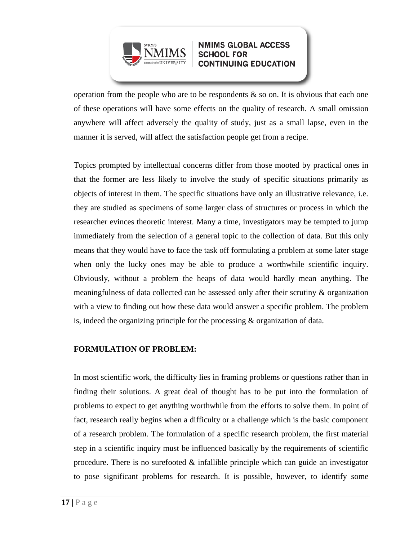

operation from the people who are to be respondents  $\&$  so on. It is obvious that each one of these operations will have some effects on the quality of research. A small omission anywhere will affect adversely the quality of study, just as a small lapse, even in the manner it is served, will affect the satisfaction people get from a recipe.

Topics prompted by intellectual concerns differ from those mooted by practical ones in that the former are less likely to involve the study of specific situations primarily as objects of interest in them. The specific situations have only an illustrative relevance, i.e. they are studied as specimens of some larger class of structures or process in which the researcher evinces theoretic interest. Many a time, investigators may be tempted to jump immediately from the selection of a general topic to the collection of data. But this only means that they would have to face the task off formulating a problem at some later stage when only the lucky ones may be able to produce a worthwhile scientific inquiry. Obviously, without a problem the heaps of data would hardly mean anything. The meaningfulness of data collected can be assessed only after their scrutiny & organization with a view to finding out how these data would answer a specific problem. The problem is, indeed the organizing principle for the processing & organization of data.

## **FORMULATION OF PROBLEM:**

In most scientific work, the difficulty lies in framing problems or questions rather than in finding their solutions. A great deal of thought has to be put into the formulation of problems to expect to get anything worthwhile from the efforts to solve them. In point of fact, research really begins when a difficulty or a challenge which is the basic component of a research problem. The formulation of a specific research problem, the first material step in a scientific inquiry must be influenced basically by the requirements of scientific procedure. There is no surefooted  $\&$  infallible principle which can guide an investigator to pose significant problems for research. It is possible, however, to identify some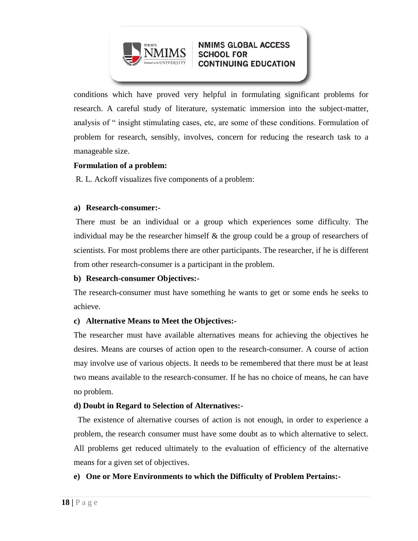

conditions which have proved very helpful in formulating significant problems for research. A careful study of literature, systematic immersion into the subject-matter, analysis of " insight stimulating cases, etc, are some of these conditions. Formulation of problem for research, sensibly, involves, concern for reducing the research task to a manageable size.

#### **Formulation of a problem:**

R. L. Ackoff visualizes five components of a problem:

#### **a) Research-consumer:-**

There must be an individual or a group which experiences some difficulty. The individual may be the researcher himself  $\&$  the group could be a group of researchers of scientists. For most problems there are other participants. The researcher, if he is different from other research-consumer is a participant in the problem.

## **b) Research-consumer Objectives:-**

The research-consumer must have something he wants to get or some ends he seeks to achieve.

## **c) Alternative Means to Meet the Objectives:-**

The researcher must have available alternatives means for achieving the objectives he desires. Means are courses of action open to the research-consumer. A course of action may involve use of various objects. It needs to be remembered that there must be at least two means available to the research-consumer. If he has no choice of means, he can have no problem.

## **d) Doubt in Regard to Selection of Alternatives:-**

 The existence of alternative courses of action is not enough, in order to experience a problem, the research consumer must have some doubt as to which alternative to select. All problems get reduced ultimately to the evaluation of efficiency of the alternative means for a given set of objectives.

#### **e) One or More Environments to which the Difficulty of Problem Pertains:-**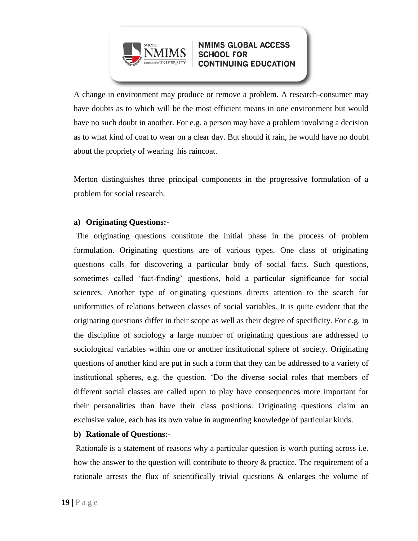

A change in environment may produce or remove a problem. A research-consumer may have doubts as to which will be the most efficient means in one environment but would have no such doubt in another. For e.g. a person may have a problem involving a decision as to what kind of coat to wear on a clear day. But should it rain, he would have no doubt about the propriety of wearing his raincoat.

Merton distinguishes three principal components in the progressive formulation of a problem for social research.

#### **a) Originating Questions:-**

The originating questions constitute the initial phase in the process of problem formulation. Originating questions are of various types. One class of originating questions calls for discovering a particular body of social facts. Such questions, sometimes called 'fact-finding' questions, hold a particular significance for social sciences. Another type of originating questions directs attention to the search for uniformities of relations between classes of social variables. It is quite evident that the originating questions differ in their scope as well as their degree of specificity. For e.g. in the discipline of sociology a large number of originating questions are addressed to sociological variables within one or another institutional sphere of society. Originating questions of another kind are put in such a form that they can be addressed to a variety of institutional spheres, e.g. the question. 'Do the diverse social roles that members of different social classes are called upon to play have consequences more important for their personalities than have their class positions. Originating questions claim an exclusive value, each has its own value in augmenting knowledge of particular kinds.

## **b) Rationale of Questions:-**

Rationale is a statement of reasons why a particular question is worth putting across i.e. how the answer to the question will contribute to theory & practice. The requirement of a rationale arrests the flux of scientifically trivial questions & enlarges the volume of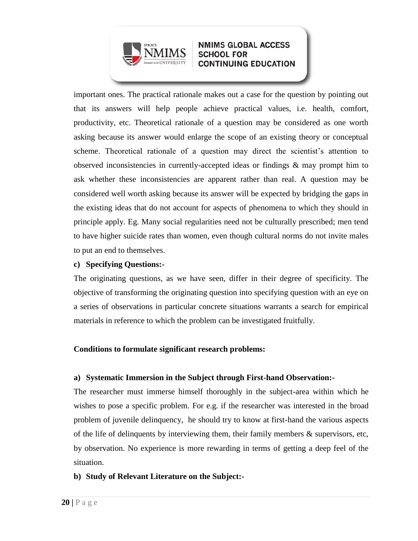

important ones. The practical rationale makes out a case for the question by pointing out that its answers will help people achieve practical values, i.e. health, comfort, productivity, etc. Theoretical rationale of a question may be considered as one worth asking because its answer would enlarge the scope of an existing theory or conceptual scheme. Theoretical rationale of a question may direct the scientist's attention to observed inconsistencies in currently-accepted ideas or findings & may prompt him to ask whether these inconsistencies are apparent rather than real. A question may be considered well worth asking because its answer will be expected by bridging the gaps in the existing ideas that do not account for aspects of phenomena to which they should in principle apply. Eg. Many social regularities need not be culturally prescribed; men tend to have higher suicide rates than women, even though cultural norms do not invite males to put an end to themselves.

#### **c) Specifying Questions:-**

The originating questions, as we have seen, differ in their degree of specificity. The objective of transforming the originating question into specifying question with an eye on a series of observations in particular concrete situations warrants a search for empirical materials in reference to which the problem can be investigated fruitfully.

#### **Conditions to formulate significant research problems:**

#### **a) Systematic Immersion in the Subject through First-hand Observation:-**

The researcher must immerse himself thoroughly in the subject-area within which he wishes to pose a specific problem. For e.g. if the researcher was interested in the broad problem of juvenile delinquency, he should try to know at first-hand the various aspects of the life of delinquents by interviewing them, their family members & supervisors, etc, by observation. No experience is more rewarding in terms of getting a deep feel of the situation.

#### **b) Study of Relevant Literature on the Subject:-**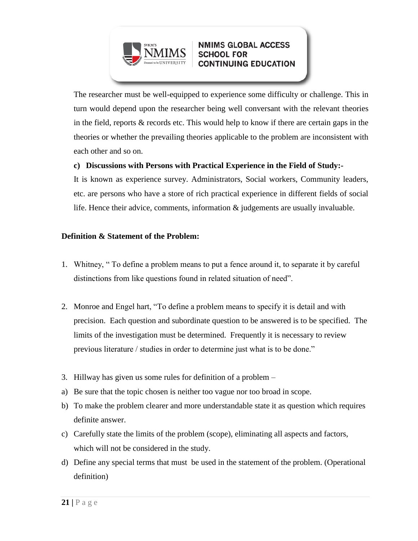

The researcher must be well-equipped to experience some difficulty or challenge. This in turn would depend upon the researcher being well conversant with the relevant theories in the field, reports & records etc. This would help to know if there are certain gaps in the theories or whether the prevailing theories applicable to the problem are inconsistent with each other and so on.

## **c) Discussions with Persons with Practical Experience in the Field of Study:-**

It is known as experience survey. Administrators, Social workers, Community leaders, etc. are persons who have a store of rich practical experience in different fields of social life. Hence their advice, comments, information & judgements are usually invaluable.

## **Definition & Statement of the Problem:**

- 1. Whitney, " To define a problem means to put a fence around it, to separate it by careful distinctions from like questions found in related situation of need".
- 2. Monroe and Engel hart, "To define a problem means to specify it is detail and with precision. Each question and subordinate question to be answered is to be specified. The limits of the investigation must be determined. Frequently it is necessary to review previous literature / studies in order to determine just what is to be done."
- 3. Hillway has given us some rules for definition of a problem –
- a) Be sure that the topic chosen is neither too vague nor too broad in scope.
- b) To make the problem clearer and more understandable state it as question which requires definite answer.
- c) Carefully state the limits of the problem (scope), eliminating all aspects and factors, which will not be considered in the study.
- d) Define any special terms that must be used in the statement of the problem. (Operational definition)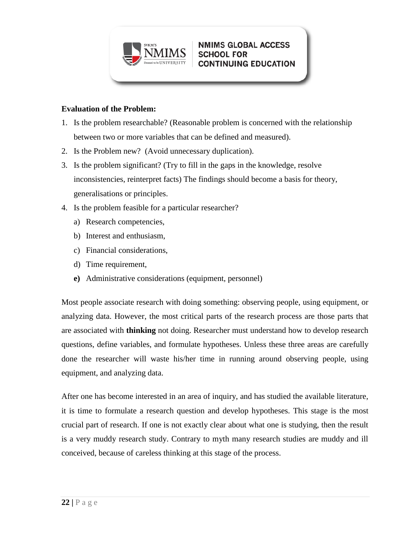

#### **Evaluation of the Problem:**

- 1. Is the problem researchable? (Reasonable problem is concerned with the relationship between two or more variables that can be defined and measured).
- 2. Is the Problem new? (Avoid unnecessary duplication).
- 3. Is the problem significant? (Try to fill in the gaps in the knowledge, resolve inconsistencies, reinterpret facts) The findings should become a basis for theory, generalisations or principles.
- 4. Is the problem feasible for a particular researcher?
	- a) Research competencies,
	- b) Interest and enthusiasm,
	- c) Financial considerations,
	- d) Time requirement,
	- **e)** Administrative considerations (equipment, personnel)

Most people associate research with doing something: observing people, using equipment, or analyzing data. However, the most critical parts of the research process are those parts that are associated with **thinking** not doing. Researcher must understand how to develop research questions, define variables, and formulate hypotheses. Unless these three areas are carefully done the researcher will waste his/her time in running around observing people, using equipment, and analyzing data.

After one has become interested in an area of inquiry, and has studied the available literature, it is time to formulate a research question and develop hypotheses. This stage is the most crucial part of research. If one is not exactly clear about what one is studying, then the result is a very muddy research study. Contrary to myth many research studies are muddy and ill conceived, because of careless thinking at this stage of the process.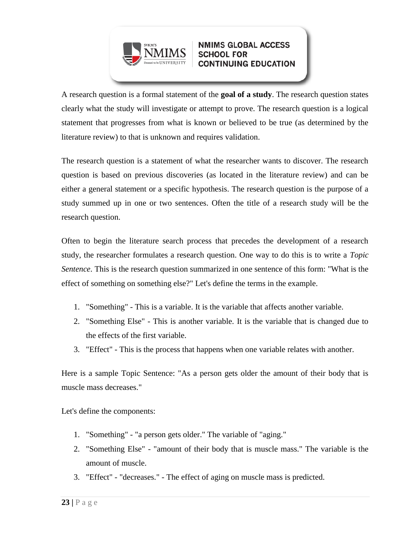

A research question is a formal statement of the **goal of a study**. The research question states clearly what the study will investigate or attempt to prove. The research question is a logical statement that progresses from what is known or believed to be true (as determined by the literature review) to that is unknown and requires validation.

The research question is a statement of what the researcher wants to discover. The research question is based on previous discoveries (as located in the literature review) and can be either a general statement or a specific hypothesis. The research question is the purpose of a study summed up in one or two sentences. Often the title of a research study will be the research question.

Often to begin the literature search process that precedes the development of a research study, the researcher formulates a research question. One way to do this is to write a *Topic Sentence*. This is the research question summarized in one sentence of this form: "What is the effect of something on something else?" Let's define the terms in the example.

- 1. "Something" This is a variable. It is the variable that affects another variable.
- 2. "Something Else" This is another variable. It is the variable that is changed due to the effects of the first variable.
- 3. "Effect" This is the process that happens when one variable relates with another.

Here is a sample Topic Sentence: "As a person gets older the amount of their body that is muscle mass decreases."

Let's define the components:

- 1. "Something" "a person gets older." The variable of "aging."
- 2. "Something Else" "amount of their body that is muscle mass." The variable is the amount of muscle.
- 3. "Effect" "decreases." The effect of aging on muscle mass is predicted.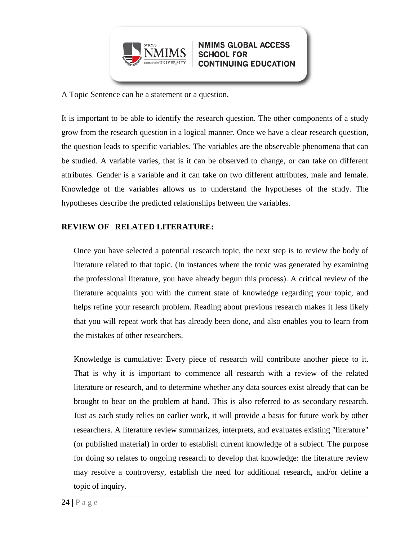

A Topic Sentence can be a statement or a question.

It is important to be able to identify the research question. The other components of a study grow from the research question in a logical manner. Once we have a clear research question, the question leads to specific variables. The variables are the observable phenomena that can be studied. A variable varies, that is it can be observed to change, or can take on different attributes. Gender is a variable and it can take on two different attributes, male and female. Knowledge of the variables allows us to understand the hypotheses of the study. The hypotheses describe the predicted relationships between the variables.

#### **REVIEW OF RELATED LITERATURE:**

Once you have selected a potential research topic, the next step is to review the body of literature related to that topic. (In instances where the topic was generated by examining the professional literature, you have already begun this process). A critical review of the literature acquaints you with the current state of knowledge regarding your topic, and helps refine your research problem. Reading about previous research makes it less likely that you will repeat work that has already been done, and also enables you to learn from the mistakes of other researchers.

Knowledge is cumulative: Every piece of research will contribute another piece to it. That is why it is important to commence all research with a review of the related literature or research, and to determine whether any data sources exist already that can be brought to bear on the problem at hand. This is also referred to as secondary research. Just as each study relies on earlier work, it will provide a basis for future work by other researchers. A literature review summarizes, interprets, and evaluates existing "literature" (or published material) in order to establish current knowledge of a subject. The purpose for doing so relates to ongoing research to develop that knowledge: the literature review may resolve a controversy, establish the need for additional research, and/or define a topic of inquiry.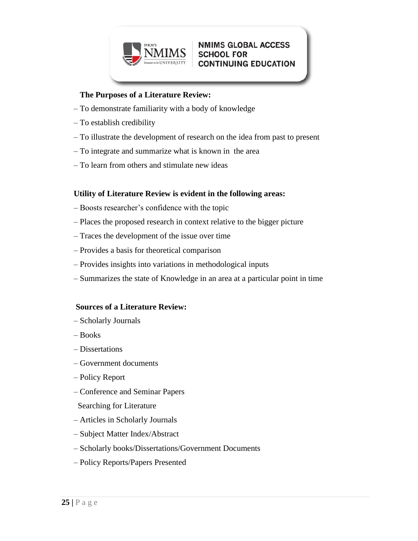

#### **The Purposes of a Literature Review:**

- To demonstrate familiarity with a body of knowledge
- To establish credibility
- To illustrate the development of research on the idea from past to present
- To integrate and summarize what is known in the area
- To learn from others and stimulate new ideas

#### **Utility of Literature Review is evident in the following areas:**

- Boosts researcher's confidence with the topic
- Places the proposed research in context relative to the bigger picture
- Traces the development of the issue over time
- Provides a basis for theoretical comparison
- Provides insights into variations in methodological inputs
- Summarizes the state of Knowledge in an area at a particular point in time

#### **Sources of a Literature Review:**

- Scholarly Journals
- Books
- Dissertations
- Government documents
- Policy Report
- Conference and Seminar Papers
- Searching for Literature
- Articles in Scholarly Journals
- Subject Matter Index/Abstract
- Scholarly books/Dissertations/Government Documents
- Policy Reports/Papers Presented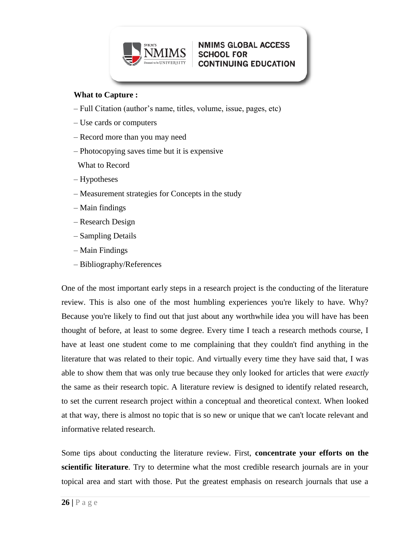

#### **What to Capture :**

- Full Citation (author's name, titles, volume, issue, pages, etc)
- Use cards or computers
- Record more than you may need
- Photocopying saves time but it is expensive
- What to Record
- Hypotheses
- Measurement strategies for Concepts in the study
- Main findings
- Research Design
- Sampling Details
- Main Findings
- Bibliography/References

One of the most important early steps in a research project is the conducting of the literature review. This is also one of the most humbling experiences you're likely to have. Why? Because you're likely to find out that just about any worthwhile idea you will have has been thought of before, at least to some degree. Every time I teach a research methods course, I have at least one student come to me complaining that they couldn't find anything in the literature that was related to their topic. And virtually every time they have said that, I was able to show them that was only true because they only looked for articles that were *exactly* the same as their research topic. A literature review is designed to identify related research, to set the current research project within a conceptual and theoretical context. When looked at that way, there is almost no topic that is so new or unique that we can't locate relevant and informative related research.

Some tips about conducting the literature review. First, **concentrate your efforts on the scientific literature**. Try to determine what the most credible research journals are in your topical area and start with those. Put the greatest emphasis on research journals that use a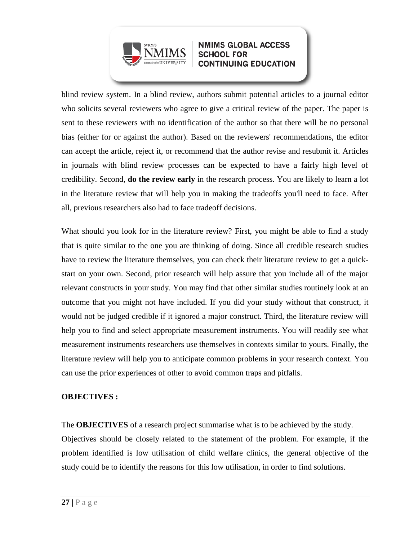

blind review system. In a blind review, authors submit potential articles to a journal editor who solicits several reviewers who agree to give a critical review of the paper. The paper is sent to these reviewers with no identification of the author so that there will be no personal bias (either for or against the author). Based on the reviewers' recommendations, the editor can accept the article, reject it, or recommend that the author revise and resubmit it. Articles in journals with blind review processes can be expected to have a fairly high level of credibility. Second, **do the review early** in the research process. You are likely to learn a lot in the literature review that will help you in making the tradeoffs you'll need to face. After all, previous researchers also had to face tradeoff decisions.

What should you look for in the literature review? First, you might be able to find a study that is quite similar to the one you are thinking of doing. Since all credible research studies have to review the literature themselves, you can check their literature review to get a quickstart on your own. Second, prior research will help assure that you include all of the major relevant constructs in your study. You may find that other similar studies routinely look at an outcome that you might not have included. If you did your study without that construct, it would not be judged credible if it ignored a major construct. Third, the literature review will help you to find and select appropriate measurement instruments. You will readily see what measurement instruments researchers use themselves in contexts similar to yours. Finally, the literature review will help you to anticipate common problems in your research context. You can use the prior experiences of other to avoid common traps and pitfalls.

## **OBJECTIVES :**

The **OBJECTIVES** of a research project summarise what is to be achieved by the study. Objectives should be closely related to the statement of the problem. For example, if the problem identified is low utilisation of child welfare clinics, the general objective of the study could be to identify the reasons for this low utilisation, in order to find solutions.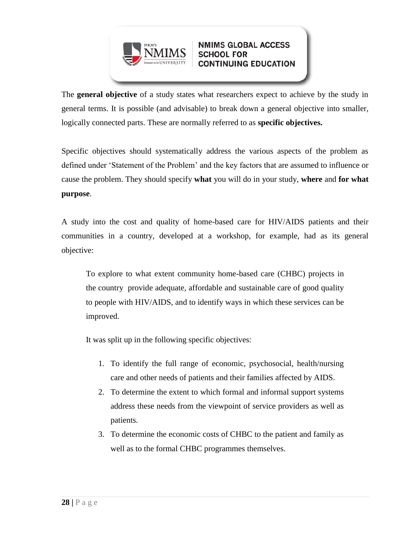

The **general objective** of a study states what researchers expect to achieve by the study in general terms. It is possible (and advisable) to break down a general objective into smaller, logically connected parts. These are normally referred to as **specific objectives.**

Specific objectives should systematically address the various aspects of the problem as defined under 'Statement of the Problem' and the key factors that are assumed to influence or cause the problem. They should specify **what** you will do in your study, **where** and **for what purpose**.

A study into the cost and quality of home-based care for HIV/AIDS patients and their communities in a country, developed at a workshop, for example, had as its general objective:

To explore to what extent community home-based care (CHBC) projects in the country provide adequate, affordable and sustainable care of good quality to people with HIV/AIDS, and to identify ways in which these services can be improved.

It was split up in the following specific objectives:

- 1. To identify the full range of economic, psychosocial, health/nursing care and other needs of patients and their families affected by AIDS.
- 2. To determine the extent to which formal and informal support systems address these needs from the viewpoint of service providers as well as patients.
- 3. To determine the economic costs of CHBC to the patient and family as well as to the formal CHBC programmes themselves.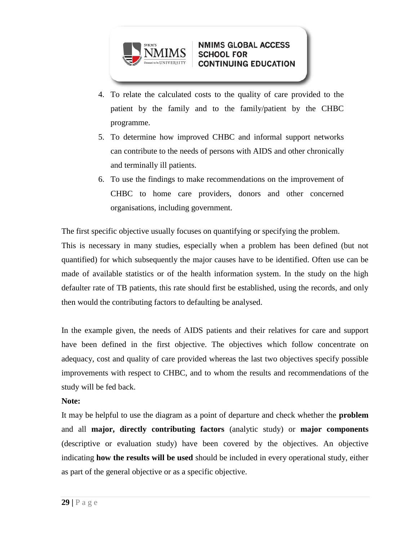

- 4. To relate the calculated costs to the quality of care provided to the patient by the family and to the family/patient by the CHBC programme.
- 5. To determine how improved CHBC and informal support networks can contribute to the needs of persons with AIDS and other chronically and terminally ill patients.
- 6. To use the findings to make recommendations on the improvement of CHBC to home care providers, donors and other concerned organisations, including government.

The first specific objective usually focuses on quantifying or specifying the problem.

This is necessary in many studies, especially when a problem has been defined (but not quantified) for which subsequently the major causes have to be identified. Often use can be made of available statistics or of the health information system. In the study on the high defaulter rate of TB patients, this rate should first be established, using the records, and only then would the contributing factors to defaulting be analysed.

In the example given, the needs of AIDS patients and their relatives for care and support have been defined in the first objective. The objectives which follow concentrate on adequacy, cost and quality of care provided whereas the last two objectives specify possible improvements with respect to CHBC, and to whom the results and recommendations of the study will be fed back.

#### **Note:**

It may be helpful to use the diagram as a point of departure and check whether the **problem** and all **major, directly contributing factors** (analytic study) or **major components**  (descriptive or evaluation study) have been covered by the objectives. An objective indicating **how the results will be used** should be included in every operational study, either as part of the general objective or as a specific objective.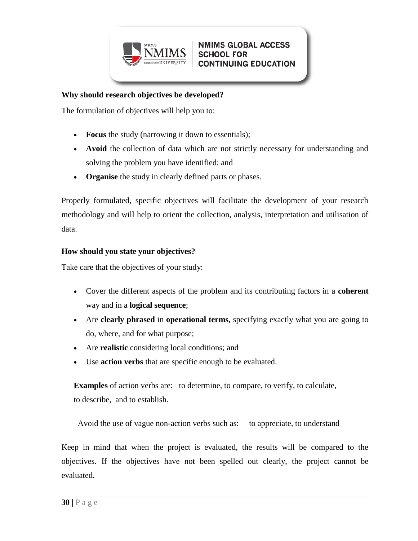

### **Why should research objectives be developed?**

The formulation of objectives will help you to:

- **Focus** the study (narrowing it down to essentials);
- **Avoid** the collection of data which are not strictly necessary for understanding and solving the problem you have identified; and
- **Organise** the study in clearly defined parts or phases.

Properly formulated, specific objectives will facilitate the development of your research methodology and will help to orient the collection, analysis, interpretation and utilisation of data.

#### **How should you state your objectives?**

Take care that the objectives of your study:

- Cover the different aspects of the problem and its contributing factors in a **coherent** way and in a **logical sequence**;
- Are **clearly phrased** in **operational terms,** specifying exactly what you are going to do, where, and for what purpose;
- Are **realistic** considering local conditions; and
- Use **action verbs** that are specific enough to be evaluated.

 **Examples** of action verbs are: to determine, to compare, to verify, to calculate, to describe, and to establish.

Avoid the use of vague non-action verbs such as: to appreciate, to understand

Keep in mind that when the project is evaluated, the results will be compared to the objectives. If the objectives have not been spelled out clearly, the project cannot be evaluated.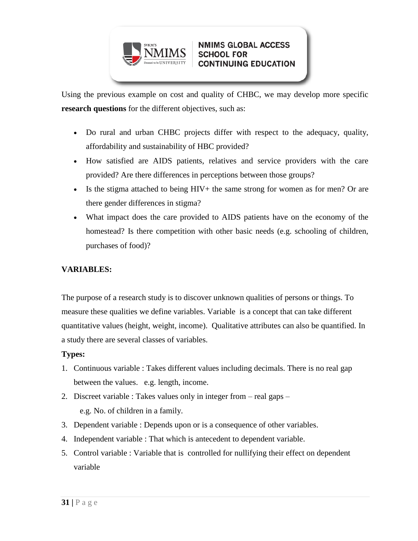

Using the previous example on cost and quality of CHBC, we may develop more specific **research questions** for the different objectives, such as:

- Do rural and urban CHBC projects differ with respect to the adequacy, quality, affordability and sustainability of HBC provided?
- How satisfied are AIDS patients, relatives and service providers with the care provided? Are there differences in perceptions between those groups?
- Is the stigma attached to being HIV+ the same strong for women as for men? Or are there gender differences in stigma?
- What impact does the care provided to AIDS patients have on the economy of the homestead? Is there competition with other basic needs (e.g. schooling of children, purchases of food)?

## **VARIABLES:**

The purpose of a research study is to discover unknown qualities of persons or things. To measure these qualities we define variables. Variable is a concept that can take different quantitative values (height, weight, income). Qualitative attributes can also be quantified. In a study there are several classes of variables.

## **Types:**

- 1. Continuous variable : Takes different values including decimals. There is no real gap between the values. e.g. length, income.
- 2. Discreet variable : Takes values only in integer from real gaps e.g. No. of children in a family.
- 3. Dependent variable : Depends upon or is a consequence of other variables.
- 4. Independent variable : That which is antecedent to dependent variable.
- 5. Control variable : Variable that is controlled for nullifying their effect on dependent variable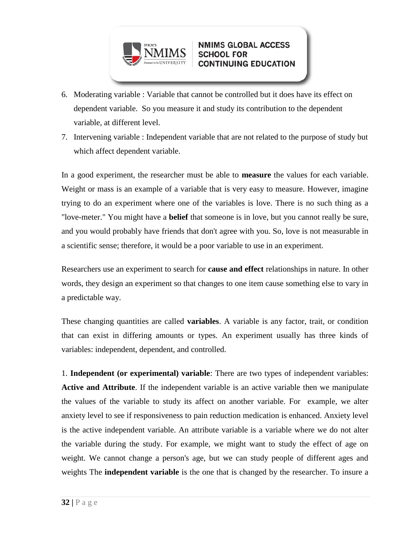

- 6. Moderating variable : Variable that cannot be controlled but it does have its effect on dependent variable. So you measure it and study its contribution to the dependent variable, at different level.
- 7. Intervening variable : Independent variable that are not related to the purpose of study but which affect dependent variable.

In a good experiment, the researcher must be able to **measure** the values for each variable. Weight or mass is an example of a variable that is very easy to measure. However, imagine trying to do an experiment where one of the variables is love. There is no such thing as a "love-meter." You might have a **belief** that someone is in love, but you cannot really be sure, and you would probably have friends that don't agree with you. So, love is not measurable in a scientific sense; therefore, it would be a poor variable to use in an experiment.

Researchers use an experiment to search for **cause and effect** relationships in nature. In other words, they design an experiment so that changes to one item cause something else to vary in a predictable way.

These changing quantities are called **variables**. A variable is any factor, trait, or condition that can exist in differing amounts or types. An experiment usually has three kinds of variables: independent, dependent, and controlled.

1. **Independent (or experimental) variable**: There are two types of independent variables: **Active and Attribute**. If the independent variable is an active variable then we manipulate the values of the variable to study its affect on another variable. For example, we alter anxiety level to see if responsiveness to pain reduction medication is enhanced. Anxiety level is the active independent variable. An attribute variable is a variable where we do not alter the variable during the study. For example, we might want to study the effect of age on weight. We cannot change a person's age, but we can study people of different ages and weights The **independent variable** is the one that is changed by the researcher. To insure a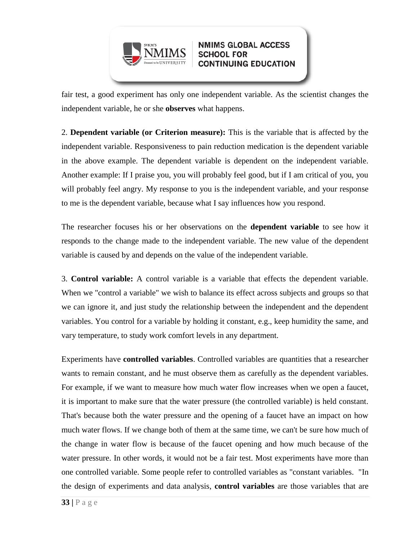

[fair test,](http://www.sciencebuddies.org/mentoring/project_experiment_fair_test.shtml) a good experiment has only one independent variable. As the scientist changes the independent variable, he or she **observes** what happens.

2. **Dependent variable (or Criterion measure):** This is the variable that is affected by the independent variable. Responsiveness to pain reduction medication is the dependent variable in the above example. The dependent variable is dependent on the independent variable. Another example: If I praise you, you will probably feel good, but if I am critical of you, you will probably feel angry. My response to you is the independent variable, and your response to me is the dependent variable, because what I say influences how you respond.

The researcher focuses his or her observations on the **dependent variable** to see how it responds to the change made to the independent variable. The new value of the dependent variable is caused by and depends on the value of the independent variable.

3. **Control variable:** A control variable is a variable that effects the dependent variable. When we "control a variable" we wish to balance its effect across subjects and groups so that we can ignore it, and just study the relationship between the independent and the dependent variables. You control for a variable by holding it constant, e.g., keep humidity the same, and vary temperature, to study work comfort levels in any department.

Experiments have **controlled variables**. Controlled variables are quantities that a researcher wants to remain constant, and he must observe them as carefully as the dependent variables. For example, if we want to measure how much water flow increases when we open a faucet, it is important to make sure that the water pressure (the controlled variable) is held constant. That's because both the water pressure and the opening of a faucet have an impact on how much water flows. If we change both of them at the same time, we can't be sure how much of the change in water flow is because of the faucet opening and how much because of the water pressure. In other words, it would not be a fair test. Most experiments have more than one controlled variable. Some people refer to controlled variables as "constant variables. "In the [design of experiments](http://en.wikipedia.org/wiki/Design_of_experiments) and [data analysis,](http://en.wikipedia.org/wiki/Data_analysis) **control variables** are those [variables](http://en.wikipedia.org/wiki/Variables) that are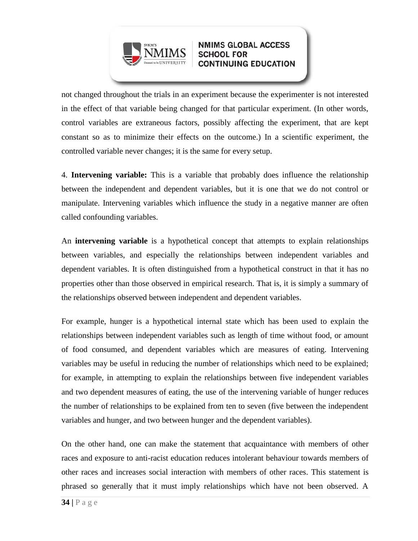

not changed throughout the [trials](http://en.wikipedia.org/wiki/Trial) in an [experiment](http://en.wikipedia.org/wiki/Experiment) because the experimenter is not interested in the effect of that variable being changed for that particular experiment. (In other words, control variables are extraneous factors, possibly affecting the experiment, that are kept constant so as to minimize their effects on the outcome.) In a scientific experiment, the controlled variable never changes; it is the same for every setup.

4. **Intervening variable:** This is a variable that probably does influence the relationship between the independent and dependent variables, but it is one that we do not control or manipulate. Intervening variables which influence the study in a negative manner are often called confounding variables.

An **intervening [variable](http://en.wikipedia.org/wiki/Variable)** is a [hypothetical](http://en.wikipedia.org/wiki/Hypothesis) concept that attempts to explain [relationships](http://en.wikipedia.org/wiki/Mathematical_relationship) between variables, and especially the relationships between [independent variables](http://en.wikipedia.org/wiki/Independent_variable) and [dependent variables.](http://en.wikipedia.org/wiki/Dependent_variable) It is often distinguished from a [hypothetical construct](http://en.wikipedia.org/wiki/Hypothetical_construct) in that it has no properties other than those observed in empirical research. That is, it is simply a summary of the relationships observed between independent and dependent variables.

For example, hunger is a hypothetical internal state which has been used to explain the relationships between independent variables such as length of time without food, or amount of food consumed, and dependent variables which are measures of [eating.](http://en.wikipedia.org/wiki/Eating) Intervening variables may be useful in reducing the number of relationships which need to be explained; for example, in attempting to explain the relationships between five independent variables and two dependent measures of eating, the use of the intervening variable of hunger reduces the number of relationships to be explained from ten to seven (five between the independent variables and hunger, and two between hunger and the dependent variables).

On the other hand, one can make the statement that [acquaintance](http://en.wikipedia.org/wiki/Acquaintance) with members of other [races](http://en.wikipedia.org/wiki/Race) and exposure to anti[-racist](http://en.wikipedia.org/wiki/Racist) [education](http://en.wikipedia.org/wiki/Education) reduces intolerant behaviour towards members of other races and increases social [interaction](http://en.wikipedia.org/wiki/Interaction) with members of other races. This statement is phrased so generally that it must imply relationships which have not been observed. A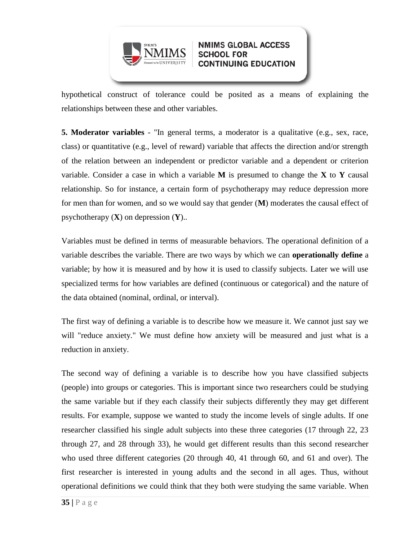

hypothetical construct of [tolerance](http://en.wikipedia.org/wiki/Tolerance) could be posited as a means of explaining the relationships between these and other variables.

**5. Moderator variables** - "In general terms, a moderator is a qualitative (e.g., sex, race, class) or quantitative (e.g., level of reward) variable that affects the direction and/or strength of the relation between an independent or predictor variable and a dependent or criterion variable. Consider a case in which a variable **M** is presumed to change the **X** to **Y** causal relationship. So for instance, a certain form of psychotherapy may reduce depression more for men than for women, and so we would say that gender (**M**) moderates the causal effect of psychotherapy (**X**) on depression (**Y**)..

Variables must be defined in terms of measurable behaviors. The operational definition of a variable describes the variable. There are two ways by which we can **operationally define** a variable; by how it is measured and by how it is used to classify subjects. Later we will use specialized terms for how variables are defined (continuous or categorical) and the nature of the data obtained (nominal, ordinal, or interval).

The first way of defining a variable is to describe how we measure it. We cannot just say we will "reduce anxiety." We must define how anxiety will be measured and just what is a reduction in anxiety.

The second way of defining a variable is to describe how you have classified subjects (people) into groups or categories. This is important since two researchers could be studying the same variable but if they each classify their subjects differently they may get different results. For example, suppose we wanted to study the income levels of single adults. If one researcher classified his single adult subjects into these three categories (17 through 22, 23 through 27, and 28 through 33), he would get different results than this second researcher who used three different categories (20 through 40, 41 through 60, and 61 and over). The first researcher is interested in young adults and the second in all ages. Thus, without operational definitions we could think that they both were studying the same variable. When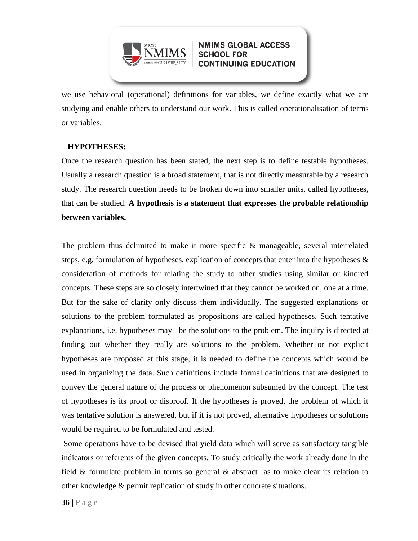

we use behavioral (operational) definitions for variables, we define exactly what we are studying and enable others to understand our work. This is called operationalisation of terms or variables.

### **HYPOTHESES:**

Once the research question has been stated, the next step is to define testable hypotheses. Usually a research question is a broad statement, that is not directly measurable by a research study. The research question needs to be broken down into smaller units, called hypotheses, that can be studied. **A hypothesis is a statement that expresses the probable relationship between variables.**

The problem thus delimited to make it more specific  $\&$  manageable, several interrelated steps, e.g. formulation of hypotheses, explication of concepts that enter into the hypotheses  $\&$ consideration of methods for relating the study to other studies using similar or kindred concepts. These steps are so closely intertwined that they cannot be worked on, one at a time. But for the sake of clarity only discuss them individually. The suggested explanations or solutions to the problem formulated as propositions are called hypotheses. Such tentative explanations, i.e. hypotheses may be the solutions to the problem. The inquiry is directed at finding out whether they really are solutions to the problem. Whether or not explicit hypotheses are proposed at this stage, it is needed to define the concepts which would be used in organizing the data. Such definitions include formal definitions that are designed to convey the general nature of the process or phenomenon subsumed by the concept. The test of hypotheses is its proof or disproof. If the hypotheses is proved, the problem of which it was tentative solution is answered, but if it is not proved, alternative hypotheses or solutions would be required to be formulated and tested.

Some operations have to be devised that yield data which will serve as satisfactory tangible indicators or referents of the given concepts. To study critically the work already done in the field & formulate problem in terms so general & abstract as to make clear its relation to other knowledge & permit replication of study in other concrete situations.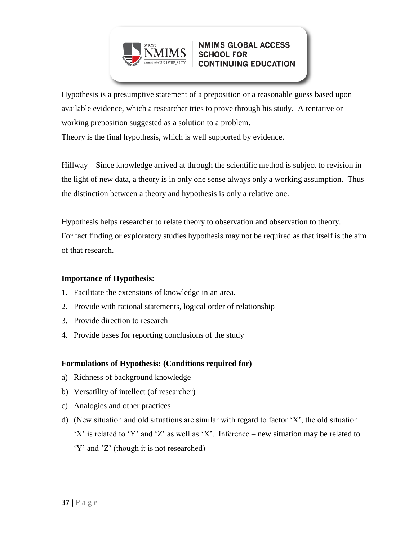

Hypothesis is a presumptive statement of a preposition or a reasonable guess based upon available evidence, which a researcher tries to prove through his study. A tentative or working preposition suggested as a solution to a problem. Theory is the final hypothesis, which is well supported by evidence.

Hillway – Since knowledge arrived at through the scientific method is subject to revision in the light of new data, a theory is in only one sense always only a working assumption. Thus the distinction between a theory and hypothesis is only a relative one.

Hypothesis helps researcher to relate theory to observation and observation to theory.

For fact finding or exploratory studies hypothesis may not be required as that itself is the aim of that research.

## **Importance of Hypothesis:**

- 1. Facilitate the extensions of knowledge in an area.
- 2. Provide with rational statements, logical order of relationship
- 3. Provide direction to research
- 4. Provide bases for reporting conclusions of the study

#### **Formulations of Hypothesis: (Conditions required for)**

- a) Richness of background knowledge
- b) Versatility of intellect (of researcher)
- c) Analogies and other practices
- d) (New situation and old situations are similar with regard to factor 'X', the old situation 'X' is related to 'Y' and 'Z' as well as 'X'. Inference – new situation may be related to 'Y' and 'Z' (though it is not researched)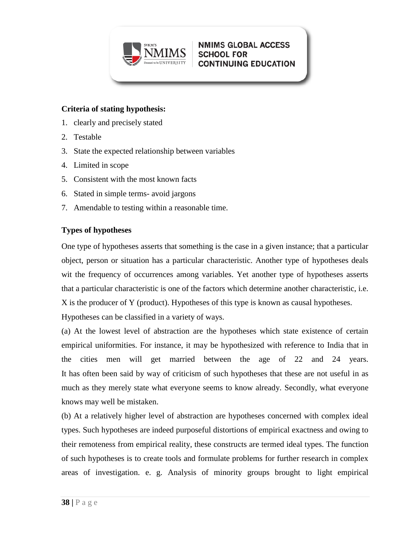

## **Criteria of stating hypothesis:**

- 1. clearly and precisely stated
- 2. Testable
- 3. State the expected relationship between variables
- 4. Limited in scope
- 5. Consistent with the most known facts
- 6. Stated in simple terms- avoid jargons
- 7. Amendable to testing within a reasonable time.

### **Types of hypotheses**

One type of hypotheses asserts that something is the case in a given instance; that a particular object, person or situation has a particular characteristic. Another type of hypotheses deals wit the frequency of occurrences among variables. Yet another type of hypotheses asserts that a particular characteristic is one of the factors which determine another characteristic, i.e. X is the producer of Y (product). Hypotheses of this type is known as causal hypotheses.

Hypotheses can be classified in a variety of ways.

(a) At the lowest level of abstraction are the hypotheses which state existence of certain empirical uniformities. For instance, it may be hypothesized with reference to India that in the cities men will get married between the age of 22 and 24 years. It has often been said by way of criticism of such hypotheses that these are not useful in as much as they merely state what everyone seems to know already. Secondly, what everyone knows may well be mistaken.

(b) At a relatively higher level of abstraction are hypotheses concerned with complex ideal types. Such hypotheses are indeed purposeful distortions of empirical exactness and owing to their remoteness from empirical reality, these constructs are termed ideal types. The function of such hypotheses is to create tools and formulate problems for further research in complex areas of investigation. e. g. Analysis of minority groups brought to light empirical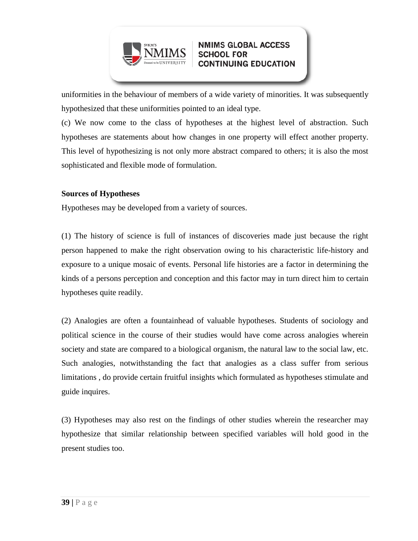

uniformities in the behaviour of members of a wide variety of minorities. It was subsequently hypothesized that these uniformities pointed to an ideal type.

(c) We now come to the class of hypotheses at the highest level of abstraction. Such hypotheses are statements about how changes in one property will effect another property. This level of hypothesizing is not only more abstract compared to others; it is also the most sophisticated and flexible mode of formulation.

### **Sources of Hypotheses**

Hypotheses may be developed from a variety of sources.

(1) The history of science is full of instances of discoveries made just because the right person happened to make the right observation owing to his characteristic life-history and exposure to a unique mosaic of events. Personal life histories are a factor in determining the kinds of a persons perception and conception and this factor may in turn direct him to certain hypotheses quite readily.

(2) Analogies are often a fountainhead of valuable hypotheses. Students of sociology and political science in the course of their studies would have come across analogies wherein society and state are compared to a biological organism, the natural law to the social law, etc. Such analogies, notwithstanding the fact that analogies as a class suffer from serious limitations , do provide certain fruitful insights which formulated as hypotheses stimulate and guide inquires.

(3) Hypotheses may also rest on the findings of other studies wherein the researcher may hypothesize that similar relationship between specified variables will hold good in the present studies too.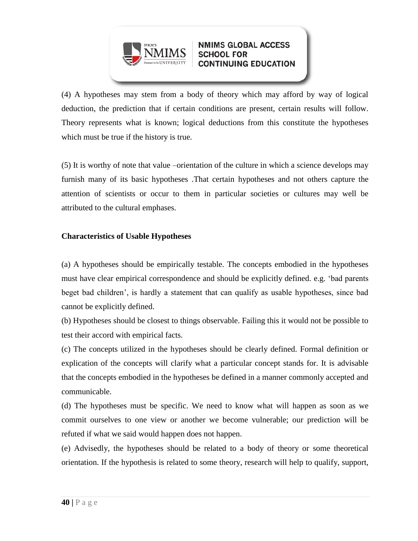

(4) A hypotheses may stem from a body of theory which may afford by way of logical deduction, the prediction that if certain conditions are present, certain results will follow. Theory represents what is known; logical deductions from this constitute the hypotheses which must be true if the history is true.

(5) It is worthy of note that value –orientation of the culture in which a science develops may furnish many of its basic hypotheses .That certain hypotheses and not others capture the attention of scientists or occur to them in particular societies or cultures may well be attributed to the cultural emphases.

### **Characteristics of Usable Hypotheses**

(a) A hypotheses should be empirically testable. The concepts embodied in the hypotheses must have clear empirical correspondence and should be explicitly defined. e.g. 'bad parents beget bad children', is hardly a statement that can qualify as usable hypotheses, since bad cannot be explicitly defined.

(b) Hypotheses should be closest to things observable. Failing this it would not be possible to test their accord with empirical facts.

(c) The concepts utilized in the hypotheses should be clearly defined. Formal definition or explication of the concepts will clarify what a particular concept stands for. It is advisable that the concepts embodied in the hypotheses be defined in a manner commonly accepted and communicable.

(d) The hypotheses must be specific. We need to know what will happen as soon as we commit ourselves to one view or another we become vulnerable; our prediction will be refuted if what we said would happen does not happen.

(e) Advisedly, the hypotheses should be related to a body of theory or some theoretical orientation. If the hypothesis is related to some theory, research will help to qualify, support,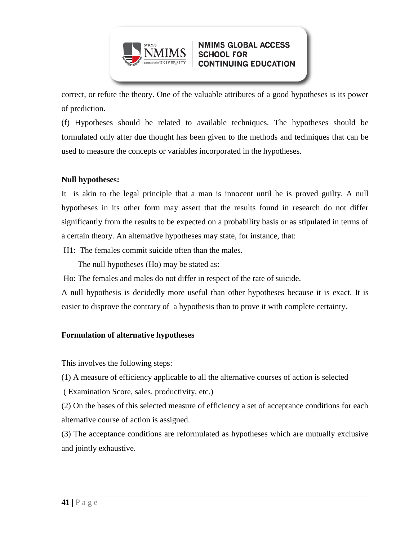

correct, or refute the theory. One of the valuable attributes of a good hypotheses is its power of prediction.

(f) Hypotheses should be related to available techniques. The hypotheses should be formulated only after due thought has been given to the methods and techniques that can be used to measure the concepts or variables incorporated in the hypotheses.

### **Null hypotheses:**

It is akin to the legal principle that a man is innocent until he is proved guilty. A null hypotheses in its other form may assert that the results found in research do not differ significantly from the results to be expected on a probability basis or as stipulated in terms of a certain theory. An alternative hypotheses may state, for instance, that:

H1: The females commit suicide often than the males.

The null hypotheses (Ho) may be stated as:

Ho: The females and males do not differ in respect of the rate of suicide.

A null hypothesis is decidedly more useful than other hypotheses because it is exact. It is easier to disprove the contrary of a hypothesis than to prove it with complete certainty.

## **Formulation of alternative hypotheses**

This involves the following steps:

(1) A measure of efficiency applicable to all the alternative courses of action is selected

( Examination Score, sales, productivity, etc.)

(2) On the bases of this selected measure of efficiency a set of acceptance conditions for each alternative course of action is assigned.

(3) The acceptance conditions are reformulated as hypotheses which are mutually exclusive and jointly exhaustive.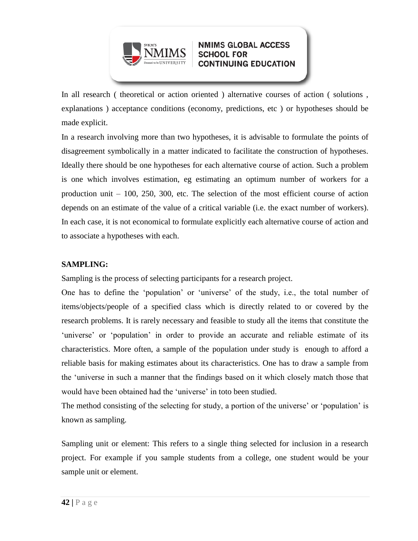

In all research ( theoretical or action oriented ) alternative courses of action ( solutions , explanations ) acceptance conditions (economy, predictions, etc ) or hypotheses should be made explicit.

In a research involving more than two hypotheses, it is advisable to formulate the points of disagreement symbolically in a matter indicated to facilitate the construction of hypotheses. Ideally there should be one hypotheses for each alternative course of action. Such a problem is one which involves estimation, eg estimating an optimum number of workers for a production unit – 100, 250, 300, etc. The selection of the most efficient course of action depends on an estimate of the value of a critical variable (i.e. the exact number of workers). In each case, it is not economical to formulate explicitly each alternative course of action and to associate a hypotheses with each.

### **SAMPLING:**

Sampling is the process of selecting participants for a research project.

One has to define the 'population' or 'universe' of the study, i.e., the total number of items/objects/people of a specified class which is directly related to or covered by the research problems. It is rarely necessary and feasible to study all the items that constitute the 'universe' or 'population' in order to provide an accurate and reliable estimate of its characteristics. More often, a sample of the population under study is enough to afford a reliable basis for making estimates about its characteristics. One has to draw a sample from the 'universe in such a manner that the findings based on it which closely match those that would have been obtained had the 'universe' in toto been studied.

The method consisting of the selecting for study, a portion of the universe' or 'population' is known as sampling.

Sampling unit or element: This refers to a single thing selected for inclusion in a research project. For example if you sample students from a college, one student would be your sample unit or element.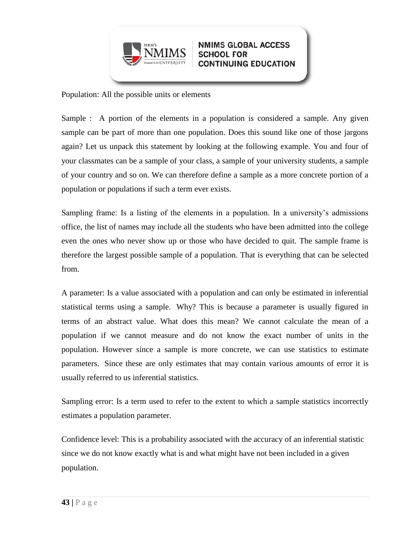

Population: All the possible units or elements

[Sample](http://trochim.human.cornell.edu/kb/sampterm.htm) : A portion of the elements in a population is considered a sample. Any given sample can be part of more than one population. Does this sound like one of those jargons again? Let us unpack this statement by looking at the following example. You and four of your classmates can be a sample of your class, a sample of your university students, a sample of your country and so on. We can therefore define a sample as a more concrete portion of a population or populations if such a term ever exists.

Sampling frame: Is a listing of the elements in a population. In a university's admissions office, the list of names may include all the students who have been admitted into the college even the ones who never show up or those who have decided to quit. The sample frame is therefore the largest possible sample of a population. That is everything that can be selected from.

A parameter: Is a value associated with a population and can only be estimated in inferential statistical terms using a sample. Why? This is because a parameter is usually figured in terms of an abstract value. What does this mean? We cannot calculate the mean of a population if we cannot measure and do not know the exact number of units in the population. However since a sample is more concrete, we can use statistics to estimate parameters. Since these are only estimates that may contain various amounts of error it is usually referred to us inferential statistics.

Sampling error: Is a term used to refer to the extent to which a sample statistics incorrectly estimates a population parameter.

Confidence level: This is a probability associated with the accuracy of an inferential statistic since we do not know exactly what is and what might have not been included in a given population.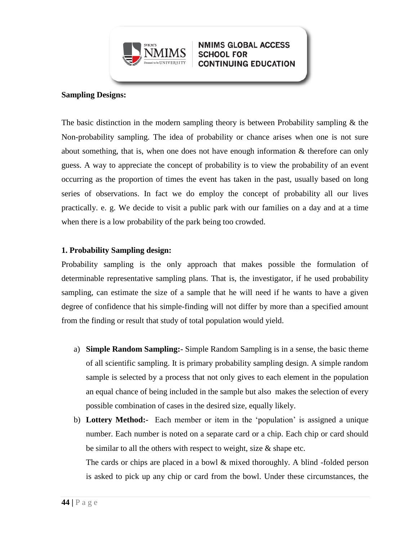

#### **Sampling Designs:**

The basic distinction in the modern sampling theory is between Probability sampling  $\&$  the Non-probability sampling. The idea of probability or chance arises when one is not sure about something, that is, when one does not have enough information  $\&$  therefore can only guess. A way to appreciate the concept of probability is to view the probability of an event occurring as the proportion of times the event has taken in the past, usually based on long series of observations. In fact we do employ the concept of probability all our lives practically. e. g. We decide to visit a public park with our families on a day and at a time when there is a low probability of the park being too crowded.

#### **1. Probability Sampling design:**

Probability sampling is the only approach that makes possible the formulation of determinable representative sampling plans. That is, the investigator, if he used probability sampling, can estimate the size of a sample that he will need if he wants to have a given degree of confidence that his simple-finding will not differ by more than a specified amount from the finding or result that study of total population would yield.

- a) **Simple Random Sampling:-** Simple Random Sampling is in a sense, the basic theme of all scientific sampling. It is primary probability sampling design. A simple random sample is selected by a process that not only gives to each element in the population an equal chance of being included in the sample but also makes the selection of every possible combination of cases in the desired size, equally likely.
- b) **Lottery Method:-** Each member or item in the 'population' is assigned a unique number. Each number is noted on a separate card or a chip. Each chip or card should be similar to all the others with respect to weight, size  $\&$  shape etc.

The cards or chips are placed in a bowl & mixed thoroughly. A blind -folded person is asked to pick up any chip or card from the bowl. Under these circumstances, the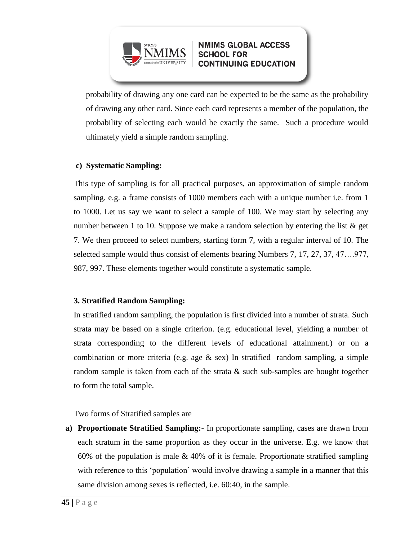

probability of drawing any one card can be expected to be the same as the probability of drawing any other card. Since each card represents a member of the population, the probability of selecting each would be exactly the same. Such a procedure would ultimately yield a simple random sampling.

### **c) Systematic Sampling:**

This type of sampling is for all practical purposes, an approximation of simple random sampling. e.g. a frame consists of 1000 members each with a unique number i.e. from 1 to 1000. Let us say we want to select a sample of 100. We may start by selecting any number between 1 to 10. Suppose we make a random selection by entering the list  $\&$  get 7. We then proceed to select numbers, starting form 7, with a regular interval of 10. The selected sample would thus consist of elements bearing Numbers 7, 17, 27, 37, 47….977, 987, 997. These elements together would constitute a systematic sample.

#### **3. Stratified Random Sampling:**

In stratified random sampling, the population is first divided into a number of strata. Such strata may be based on a single criterion. (e.g. educational level, yielding a number of strata corresponding to the different levels of educational attainment.) or on a combination or more criteria (e.g. age  $\&$  sex) In stratified random sampling, a simple random sample is taken from each of the strata & such sub-samples are bought together to form the total sample.

Two forms of Stratified samples are

**a) Proportionate Stratified Sampling:-** In proportionate sampling, cases are drawn from each stratum in the same proportion as they occur in the universe. E.g. we know that 60% of the population is male  $\&$  40% of it is female. Proportionate stratified sampling with reference to this 'population' would involve drawing a sample in a manner that this same division among sexes is reflected, i.e. 60:40, in the sample.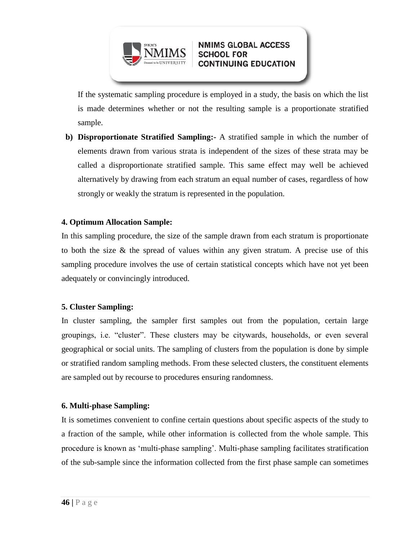

If the systematic sampling procedure is employed in a study, the basis on which the list is made determines whether or not the resulting sample is a proportionate stratified sample.

**b) Disproportionate Stratified Sampling:-** A stratified sample in which the number of elements drawn from various strata is independent of the sizes of these strata may be called a disproportionate stratified sample. This same effect may well be achieved alternatively by drawing from each stratum an equal number of cases, regardless of how strongly or weakly the stratum is represented in the population.

### **4. Optimum Allocation Sample:**

In this sampling procedure, the size of the sample drawn from each stratum is proportionate to both the size  $\&$  the spread of values within any given stratum. A precise use of this sampling procedure involves the use of certain statistical concepts which have not yet been adequately or convincingly introduced.

## **5. Cluster Sampling:**

In cluster sampling, the sampler first samples out from the population, certain large groupings, i.e. "cluster". These clusters may be citywards, households, or even several geographical or social units. The sampling of clusters from the population is done by simple or stratified random sampling methods. From these selected clusters, the constituent elements are sampled out by recourse to procedures ensuring randomness.

## **6. Multi-phase Sampling:**

It is sometimes convenient to confine certain questions about specific aspects of the study to a fraction of the sample, while other information is collected from the whole sample. This procedure is known as 'multi-phase sampling'. Multi-phase sampling facilitates stratification of the sub-sample since the information collected from the first phase sample can sometimes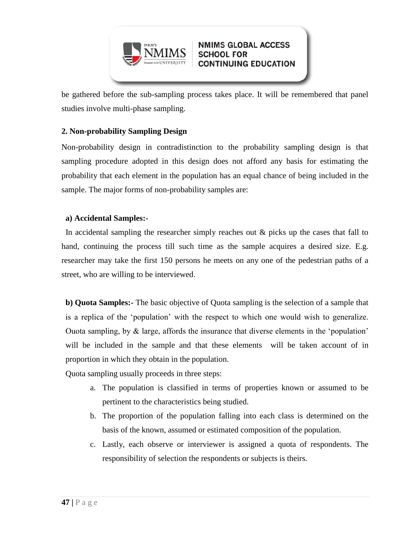

be gathered before the sub-sampling process takes place. It will be remembered that panel studies involve multi-phase sampling.

## **2. Non-probability Sampling Design**

Non-probability design in contradistinction to the probability sampling design is that sampling procedure adopted in this design does not afford any basis for estimating the probability that each element in the population has an equal chance of being included in the sample. The major forms of non-probability samples are:

### **a) Accidental Samples:-**

In accidental sampling the researcher simply reaches out  $\&$  picks up the cases that fall to hand, continuing the process till such time as the sample acquires a desired size. E.g. researcher may take the first 150 persons he meets on any one of the pedestrian paths of a street, who are willing to be interviewed.

**b) Quota Samples:-** The basic objective of Quota sampling is the selection of a sample that is a replica of the 'population' with the respect to which one would wish to generalize. Ouota sampling, by & large, affords the insurance that diverse elements in the 'population' will be included in the sample and that these elements will be taken account of in proportion in which they obtain in the population.

Quota sampling usually proceeds in three steps:

- a. The population is classified in terms of properties known or assumed to be pertinent to the characteristics being studied.
- b. The proportion of the population falling into each class is determined on the basis of the known, assumed or estimated composition of the population.
- c. Lastly, each observe or interviewer is assigned a quota of respondents. The responsibility of selection the respondents or subjects is theirs.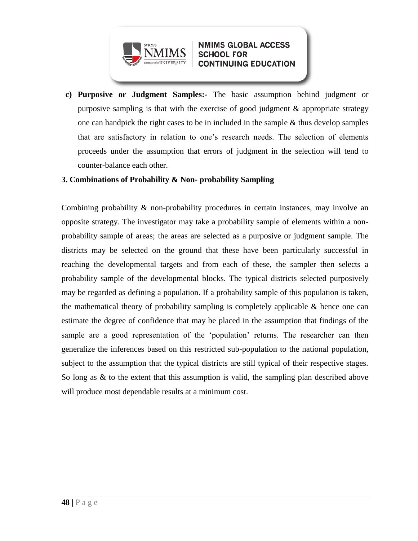

**c) Purposive or Judgment Samples:-** The basic assumption behind judgment or purposive sampling is that with the exercise of good judgment & appropriate strategy one can handpick the right cases to be in included in the sample & thus develop samples that are satisfactory in relation to one's research needs. The selection of elements proceeds under the assumption that errors of judgment in the selection will tend to counter-balance each other.

#### **3. Combinations of Probability & Non- probability Sampling**

Combining probability & non-probability procedures in certain instances, may involve an opposite strategy. The investigator may take a probability sample of elements within a nonprobability sample of areas; the areas are selected as a purposive or judgment sample. The districts may be selected on the ground that these have been particularly successful in reaching the developmental targets and from each of these, the sampler then selects a probability sample of the developmental blocks. The typical districts selected purposively may be regarded as defining a population. If a probability sample of this population is taken, the mathematical theory of probability sampling is completely applicable  $\&$  hence one can estimate the degree of confidence that may be placed in the assumption that findings of the sample are a good representation of the 'population' returns. The researcher can then generalize the inferences based on this restricted sub-population to the national population, subject to the assumption that the typical districts are still typical of their respective stages. So long as & to the extent that this assumption is valid, the sampling plan described above will produce most dependable results at a minimum cost.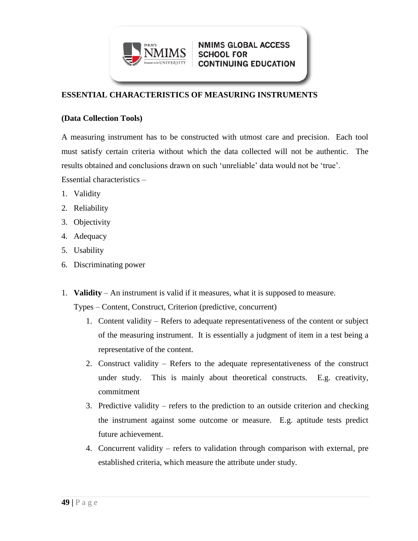

## **ESSENTIAL CHARACTERISTICS OF MEASURING INSTRUMENTS**

### **(Data Collection Tools)**

A measuring instrument has to be constructed with utmost care and precision. Each tool must satisfy certain criteria without which the data collected will not be authentic. The results obtained and conclusions drawn on such 'unreliable' data would not be 'true'.

Essential characteristics –

- 1. Validity
- 2. Reliability
- 3. Objectivity
- 4. Adequacy
- 5. Usability
- 6. Discriminating power
- 1. **Validity** An instrument is valid if it measures, what it is supposed to measure.

Types – Content, Construct, Criterion (predictive, concurrent)

- 1. Content validity Refers to adequate representativeness of the content or subject of the measuring instrument. It is essentially a judgment of item in a test being a representative of the content.
- 2. Construct validity Refers to the adequate representativeness of the construct under study. This is mainly about theoretical constructs. E.g. creativity, commitment
- 3. Predictive validity refers to the prediction to an outside criterion and checking the instrument against some outcome or measure. E.g. aptitude tests predict future achievement.
- 4. Concurrent validity refers to validation through comparison with external, pre established criteria, which measure the attribute under study.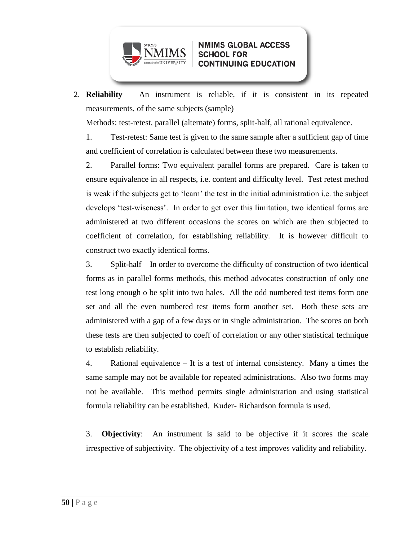

2. **Reliability** – An instrument is reliable, if it is consistent in its repeated measurements, of the same subjects (sample)

Methods: test-retest, parallel (alternate) forms, split-half, all rational equivalence.

1. Test-retest: Same test is given to the same sample after a sufficient gap of time and coefficient of correlation is calculated between these two measurements.

2. Parallel forms: Two equivalent parallel forms are prepared. Care is taken to ensure equivalence in all respects, i.e. content and difficulty level. Test retest method is weak if the subjects get to 'learn' the test in the initial administration i.e. the subject develops 'test-wiseness'. In order to get over this limitation, two identical forms are administered at two different occasions the scores on which are then subjected to coefficient of correlation, for establishing reliability. It is however difficult to construct two exactly identical forms.

3. Split-half – In order to overcome the difficulty of construction of two identical forms as in parallel forms methods, this method advocates construction of only one test long enough o be split into two hales. All the odd numbered test items form one set and all the even numbered test items form another set. Both these sets are administered with a gap of a few days or in single administration. The scores on both these tests are then subjected to coeff of correlation or any other statistical technique to establish reliability.

4. Rational equivalence – It is a test of internal consistency. Many a times the same sample may not be available for repeated administrations. Also two forms may not be available. This method permits single administration and using statistical formula reliability can be established. Kuder- Richardson formula is used.

3. **Objectivity**: An instrument is said to be objective if it scores the scale irrespective of subjectivity. The objectivity of a test improves validity and reliability.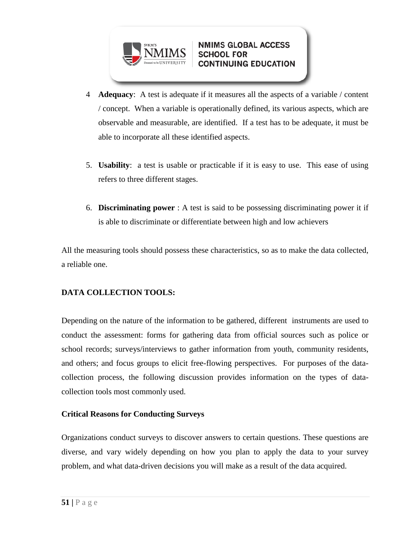

- 4 **Adequacy**: A test is adequate if it measures all the aspects of a variable / content / concept. When a variable is operationally defined, its various aspects, which are observable and measurable, are identified. If a test has to be adequate, it must be able to incorporate all these identified aspects.
- 5. **Usability**: a test is usable or practicable if it is easy to use. This ease of using refers to three different stages.
- 6. **Discriminating power** : A test is said to be possessing discriminating power it if is able to discriminate or differentiate between high and low achievers

All the measuring tools should possess these characteristics, so as to make the data collected, a reliable one.

## **DATA COLLECTION TOOLS:**

Depending on the nature of the information to be gathered, different instruments are used to conduct the assessment: forms for gathering data from official sources such as police or school records; surveys/interviews to gather information from youth, community residents, and others; and focus groups to elicit free-flowing perspectives. For purposes of the datacollection process, the following discussion provides information on the types of datacollection tools most commonly used.

#### **Critical Reasons for Conducting Surveys**

Organizations conduct surveys to discover answers to certain questions. These questions are diverse, and vary widely depending on how you plan to apply the data to your survey problem, and what data-driven decisions you will make as a result of the data acquired.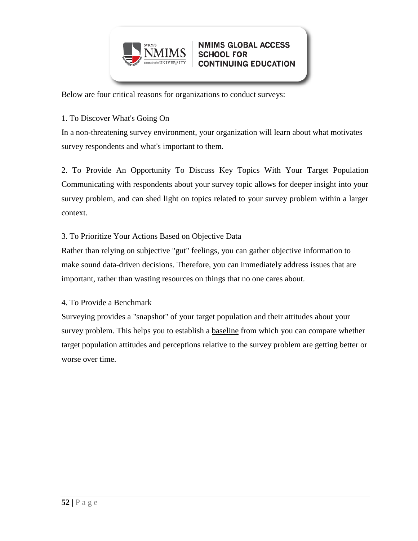

Below are four critical reasons for organizations to conduct surveys:

### 1. To Discover What's Going On

In a non-threatening survey environment, your organization will learn about what motivates survey respondents and what's important to them.

2. To Provide An Opportunity To Discuss Key Topics With Your [Target Population](http://knowledge-base.supersurvey.com/glossary.htm#target_population) Communicating with respondents about your survey topic allows for deeper insight into your survey problem, and can shed light on topics related to your survey problem within a larger context.

### 3. To Prioritize Your Actions Based on Objective Data

Rather than relying on subjective "gut" feelings, you can gather objective information to make sound data-driven decisions. Therefore, you can immediately address issues that are important, rather than wasting resources on things that no one cares about.

#### 4. To Provide a Benchmark

Surveying provides a "snapshot" of your target population and their attitudes about your survey problem. This helps you to establish a [baseline](http://knowledge-base.supersurvey.com/glossary.htm#baseline) from which you can compare whether target population attitudes and perceptions relative to the survey problem are getting better or worse over time.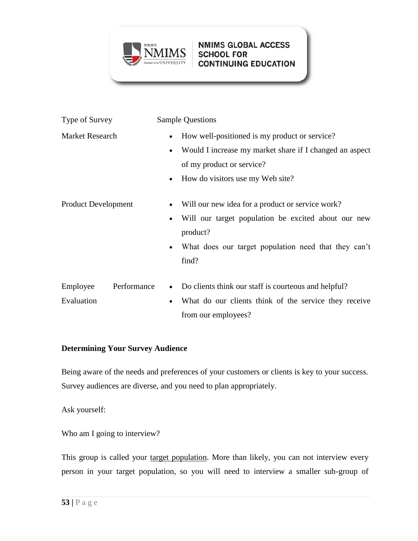

| Type of Survey             |             | <b>Sample Questions</b>                                                                                                                                                                                  |
|----------------------------|-------------|----------------------------------------------------------------------------------------------------------------------------------------------------------------------------------------------------------|
| <b>Market Research</b>     |             | How well-positioned is my product or service?<br>$\bullet$<br>Would I increase my market share if I changed an aspect<br>٠<br>of my product or service?<br>How do visitors use my Web site?<br>$\bullet$ |
| <b>Product Development</b> |             | Will our new idea for a product or service work?<br>Will our target population be excited about our new<br>$\bullet$<br>product?<br>What does our target population need that they can't<br>٠<br>find?   |
| Employee<br>Evaluation     | Performance | Do clients think our staff is courteous and helpful?<br>٠<br>What do our clients think of the service they receive<br>$\bullet$<br>from our employees?                                                   |

#### **Determining Your Survey Audience**

Being aware of the needs and preferences of your customers or clients is key to your success. Survey audiences are diverse, and you need to plan appropriately.

Ask yourself:

Who am I going to interview?

This group is called your [target population.](http://knowledge-base.supersurvey.com/glossary.htm#target_population) More than likely, you can not interview every person in your target population, so you will need to interview a smaller sub-group of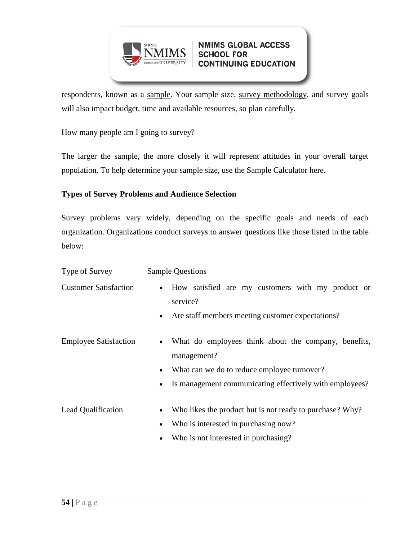

respondents, known as a [sample.](http://knowledge-base.supersurvey.com/glossary.htm#sample) Your sample size, [survey methodology,](http://knowledge-base.supersurvey.com/glossary.htm#survey_methodology) and survey goals will also impact budget, time and available resources, so plan carefully.

How many people am I going to survey?

The larger the sample, the more closely it will represent attitudes in your overall target population. To help determine your sample size, use the Sample Calculator [here.](http://www.surveysystem.com/sscalc.htm)

### **Types of Survey Problems and Audience Selection**

Survey problems vary widely, depending on the specific goals and needs of each organization. Organizations conduct surveys to answer questions like those listed in the table below:

| Type of Survey               | <b>Sample Questions</b>                                                                                                                                                                                              |
|------------------------------|----------------------------------------------------------------------------------------------------------------------------------------------------------------------------------------------------------------------|
| <b>Customer Satisfaction</b> | How satisfied are my customers with my product or<br>$\bullet$<br>service?<br>Are staff members meeting customer expectations?<br>$\bullet$                                                                          |
| <b>Employee Satisfaction</b> | What do employees think about the company, benefits,<br>$\bullet$<br>management?<br>What can we do to reduce employee turnover?<br>$\bullet$<br>Is management communicating effectively with employees?<br>$\bullet$ |
| Lead Qualification           | Who likes the product but is not ready to purchase? Why?<br>$\bullet$<br>Who is interested in purchasing now?<br>٠<br>Who is not interested in purchasing?<br>$\bullet$                                              |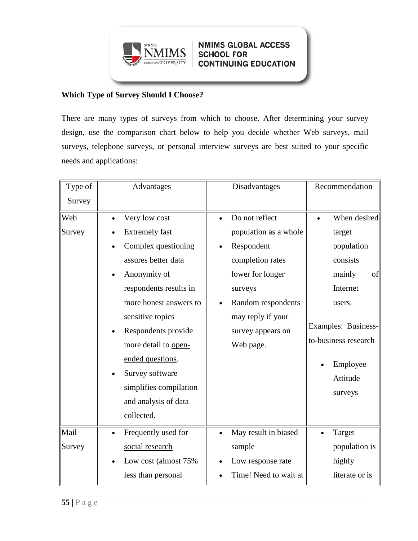

### **Which Type of Survey Should I Choose?**

There are many types of surveys from which to choose. After determining your survey design, use the comparison chart below to help you decide whether Web surveys, mail surveys, telephone surveys, or personal interview surveys are best suited to your specific needs and applications:

| Type of        | Advantages                                                                                                                                                                                                                                                                                                                                      | Disadvantages                                                                                                                                                                         | Recommendation                                                                                                                                                           |  |
|----------------|-------------------------------------------------------------------------------------------------------------------------------------------------------------------------------------------------------------------------------------------------------------------------------------------------------------------------------------------------|---------------------------------------------------------------------------------------------------------------------------------------------------------------------------------------|--------------------------------------------------------------------------------------------------------------------------------------------------------------------------|--|
| Survey         |                                                                                                                                                                                                                                                                                                                                                 |                                                                                                                                                                                       |                                                                                                                                                                          |  |
| Web<br>Survey  | Very low cost<br>$\bullet$<br><b>Extremely fast</b><br>Complex questioning<br>assures better data<br>Anonymity of<br>respondents results in<br>more honest answers to<br>sensitive topics<br>Respondents provide<br>more detail to open-<br>ended questions.<br>Survey software<br>simplifies compilation<br>and analysis of data<br>collected. | Do not reflect<br>population as a whole<br>Respondent<br>completion rates<br>lower for longer<br>surveys<br>Random respondents<br>may reply if your<br>survey appears on<br>Web page. | When desired<br>target<br>population<br>consists<br>mainly<br>of<br>Internet<br>users.<br>Examples: Business-<br>to-business research<br>Employee<br>Attitude<br>surveys |  |
| Mail<br>Survey | Frequently used for<br>$\bullet$<br>social research<br>Low cost (almost 75%<br>less than personal                                                                                                                                                                                                                                               | May result in biased<br>sample<br>Low response rate<br>Time! Need to wait at                                                                                                          | Target<br>population is<br>highly<br>literate or is                                                                                                                      |  |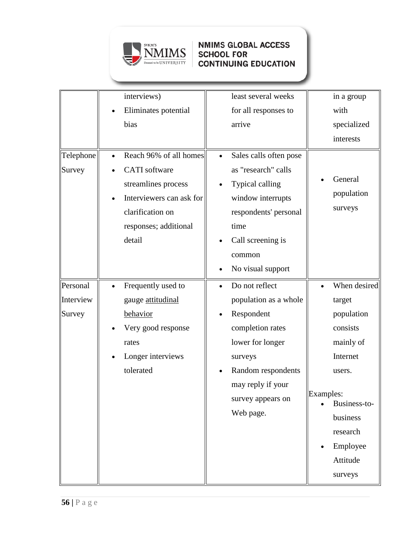

|                     | interviews)                                                                                                                                                                        | least several weeks                                                                                                                                                        | in a group                                                                                  |
|---------------------|------------------------------------------------------------------------------------------------------------------------------------------------------------------------------------|----------------------------------------------------------------------------------------------------------------------------------------------------------------------------|---------------------------------------------------------------------------------------------|
|                     | Eliminates potential                                                                                                                                                               | for all responses to                                                                                                                                                       | with                                                                                        |
|                     | bias                                                                                                                                                                               | arrive                                                                                                                                                                     | specialized                                                                                 |
|                     |                                                                                                                                                                                    |                                                                                                                                                                            | interests                                                                                   |
| Telephone<br>Survey | Reach 96% of all homes<br>$\bullet$<br><b>CATI</b> software<br>streamlines process<br>Interviewers can ask for<br>$\bullet$<br>clarification on<br>responses; additional<br>detail | Sales calls often pose<br>as "research" calls<br>Typical calling<br>window interrupts<br>respondents' personal<br>time<br>Call screening is<br>common<br>No visual support | General<br>population<br>surveys                                                            |
| Personal            | Frequently used to<br>$\bullet$                                                                                                                                                    | Do not reflect<br>$\bullet$                                                                                                                                                | When desired                                                                                |
| Interview           | gauge attitudinal                                                                                                                                                                  | population as a whole                                                                                                                                                      | target                                                                                      |
| Survey              | behavior                                                                                                                                                                           | Respondent                                                                                                                                                                 | population                                                                                  |
|                     | Very good response                                                                                                                                                                 | completion rates                                                                                                                                                           | consists                                                                                    |
|                     | rates                                                                                                                                                                              | lower for longer                                                                                                                                                           | mainly of                                                                                   |
|                     | Longer interviews                                                                                                                                                                  | surveys                                                                                                                                                                    | Internet                                                                                    |
|                     | tolerated                                                                                                                                                                          | Random respondents                                                                                                                                                         | users.                                                                                      |
|                     |                                                                                                                                                                                    | may reply if your<br>survey appears on<br>Web page.                                                                                                                        | <b>Examples:</b><br>Business-to-<br>business<br>research<br>Employee<br>Attitude<br>surveys |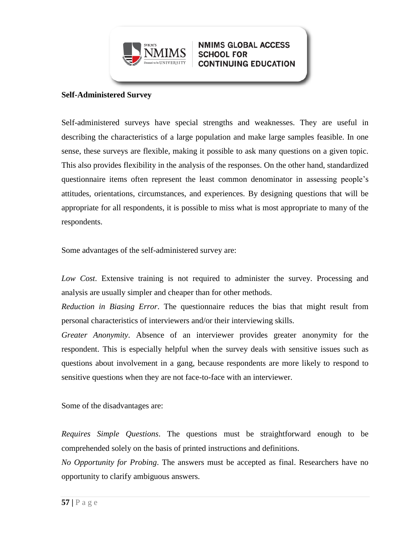

### **Self-Administered Survey**

Self-administered surveys have special strengths and weaknesses. They are useful in describing the characteristics of a large population and make large samples feasible. In one sense, these surveys are flexible, making it possible to ask many questions on a given topic. This also provides flexibility in the analysis of the responses. On the other hand, standardized questionnaire items often represent the least common denominator in assessing people's attitudes, orientations, circumstances, and experiences. By designing questions that will be appropriate for all respondents, it is possible to miss what is most appropriate to many of the respondents.

Some advantages of the self-administered survey are:

*Low Cost*. Extensive training is not required to administer the survey. Processing and analysis are usually simpler and cheaper than for other methods.

*Reduction in Biasing Error*. The questionnaire reduces the bias that might result from personal characteristics of interviewers and/or their interviewing skills.

*Greater Anonymity*. Absence of an interviewer provides greater anonymity for the respondent. This is especially helpful when the survey deals with sensitive issues such as questions about involvement in a gang, because respondents are more likely to respond to sensitive questions when they are not face-to-face with an interviewer.

Some of the disadvantages are:

*Requires Simple Questions*. The questions must be straightforward enough to be comprehended solely on the basis of printed instructions and definitions.

*No Opportunity for Probing*. The answers must be accepted as final. Researchers have no opportunity to clarify ambiguous answers.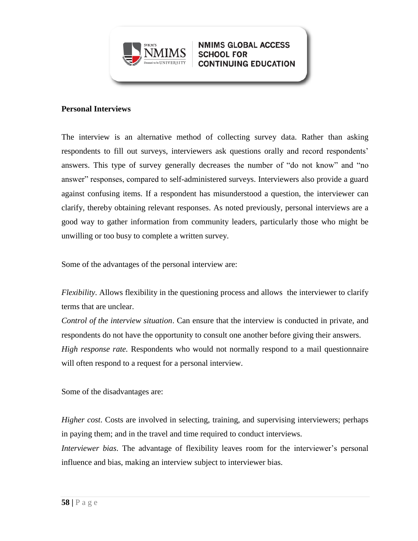

### **Personal Interviews**

The interview is an alternative method of collecting survey data. Rather than asking respondents to fill out surveys, interviewers ask questions orally and record respondents' answers. This type of survey generally decreases the number of "do not know" and "no answer" responses, compared to self-administered surveys. Interviewers also provide a guard against confusing items. If a respondent has misunderstood a question, the interviewer can clarify, thereby obtaining relevant responses. As noted previously, personal interviews are a good way to gather information from community leaders, particularly those who might be unwilling or too busy to complete a written survey.

Some of the advantages of the personal interview are:

*Flexibility*. Allows flexibility in the questioning process and allows the interviewer to clarify terms that are unclear.

*Control of the interview situation*. Can ensure that the interview is conducted in private, and respondents do not have the opportunity to consult one another before giving their answers. *High response rate.* Respondents who would not normally respond to a mail questionnaire will often respond to a request for a personal interview.

Some of the disadvantages are:

*Higher cost*. Costs are involved in selecting, training, and supervising interviewers; perhaps in paying them; and in the travel and time required to conduct interviews.

*Interviewer bias*. The advantage of flexibility leaves room for the interviewer's personal influence and bias, making an interview subject to interviewer bias.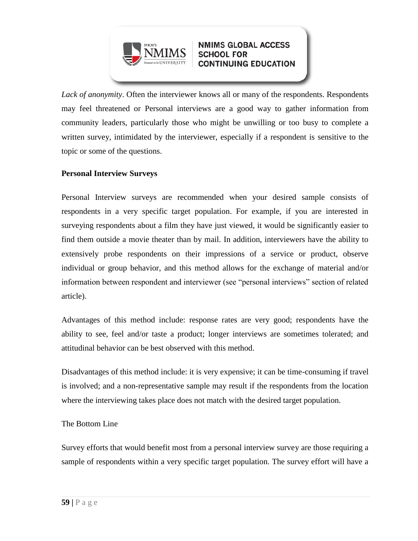

*Lack of anonymity*. Often the interviewer knows all or many of the respondents. Respondents may feel threatened or Personal interviews are a good way to gather information from community leaders, particularly those who might be unwilling or too busy to complete a written survey, intimidated by the interviewer, especially if a respondent is sensitive to the topic or some of the questions.

### **Personal Interview Surveys**

Personal Interview surveys are recommended when your desired sample consists of [respondents](http://knowledge-base.supersurvey.com/glossary.htm#respondent) in a very specific target population. For example, if you are interested in surveying respondents about a film they have just viewed, it would be significantly easier to find them outside a movie theater than by mail. In addition, interviewers have the ability to extensively [probe](http://knowledge-base.supersurvey.com/glossary.htm#probe) respondents on their impressions of a service or product, observe individual or group behavior, and this method allows for the exchange of material and/or information between respondent and interviewer (see "personal interviews" section of related [article\)](http://cville.northatlantic.nf.ca/ptilley/MR2300/Ch09.htm).

Advantages of this method include: response rates are very good; respondents have the ability to see, feel and/or taste a product; longer interviews are sometimes tolerated; and [attitudinal behavior](http://knowledge-base.supersurvey.com/glossary.htm#attitudinal_behavior) can be best observed with this method.

Disadvantages of this method include: it is very expensive; it can be time-consuming if travel is involved; and a [non-representative sample](http://knowledge-base.supersurvey.com/glossary.htm#non-representative_sample) may result if the respondents from the location where the interviewing takes place does not match with the desired target population.

#### The Bottom Line

Survey efforts that would benefit most from a personal interview survey are those requiring a sample of respondents within a very specific target population. The survey effort will have a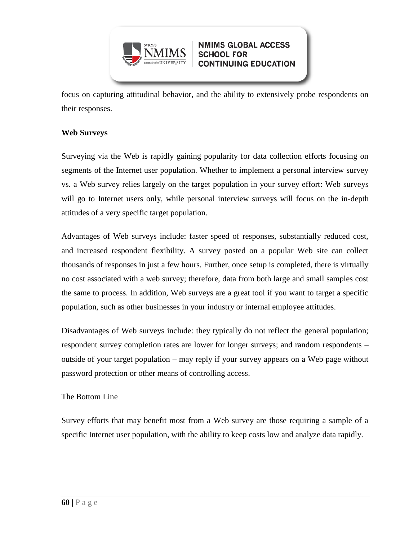

focus on capturing attitudinal behavior, and the ability to extensively probe respondents on their responses.

### **Web Surveys**

Surveying via the Web is rapidly gaining popularity for data collection efforts focusing on segments of the Internet user population. Whether to implement a personal interview survey vs. a Web survey relies largely on the target population in your survey effort: Web surveys will go to Internet users only, while personal interview surveys will focus on the in-depth attitudes of a very specific target population.

Advantages of Web surveys include: faster speed of responses, substantially reduced cost, and increased respondent flexibility. A survey posted on a popular Web site can collect thousands of responses in just a few hours. Further, once setup is completed, there is virtually no cost associated with a web survey; therefore, data from both large and small samples cost the same to process. In addition, Web surveys are a great tool if you want to target a specific population, such as other businesses in your industry or internal employee attitudes.

Disadvantages of Web surveys include: they typically do not reflect the general population; respondent survey completion rates are lower for longer surveys; and random respondents – outside of your target population – may reply if your survey appears on a Web page without password protection or other means of controlling access.

#### The Bottom Line

Survey efforts that may benefit most from a Web survey are those requiring a sample of a specific Internet user population, with the ability to keep costs low and analyze data rapidly.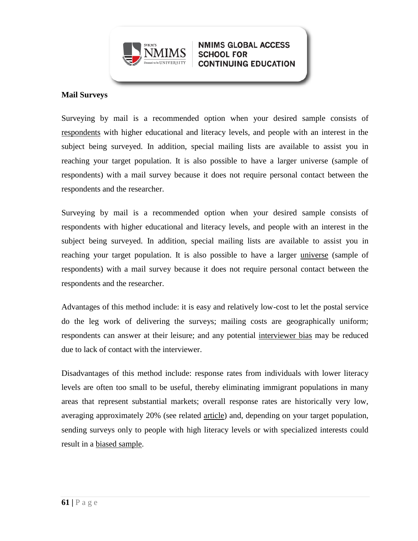

#### **Mail Surveys**

Surveying by mail is a recommended option when your desired sample consists of [respondents](http://knowledge-base.supersurvey.com/glossary.htm#respondent) with higher educational and literacy levels, and people with an interest in the subject being surveyed. In addition, special mailing lists are available to assist you in reaching your target population. It is also possible to have a larger universe (sample of respondents) with a mail survey because it does not require personal contact between the respondents and the researcher.

Surveying by mail is a recommended option when your desired sample consists of respondents with higher educational and literacy levels, and people with an interest in the subject being surveyed. In addition, special mailing lists are available to assist you in reaching your target population. It is also possible to have a larger [universe](http://knowledge-base.supersurvey.com/glossary.htm#universe) (sample of respondents) with a mail survey because it does not require personal contact between the respondents and the researcher.

Advantages of this method include: it is easy and relatively low-cost to let the postal service do the leg work of delivering the surveys; mailing costs are geographically uniform; respondents can answer at their leisure; and any potential [interviewer bias](http://knowledge-base.supersurvey.com/glossary.htm#interviewer_bias) may be reduced due to lack of contact with the interviewer.

Disadvantages of this method include: response rates from individuals with lower literacy levels are often too small to be useful, thereby eliminating immigrant populations in many areas that represent substantial markets; overall response rates are historically very low, averaging approximately 20% (see related [article\)](http://writing.colostate.edu/references/research/survey/com2d4.cfm) and, depending on your target population, sending surveys only to people with high literacy levels or with specialized interests could result in a [biased sample.](http://knowledge-base.supersurvey.com/glossary.htm#sample_bias)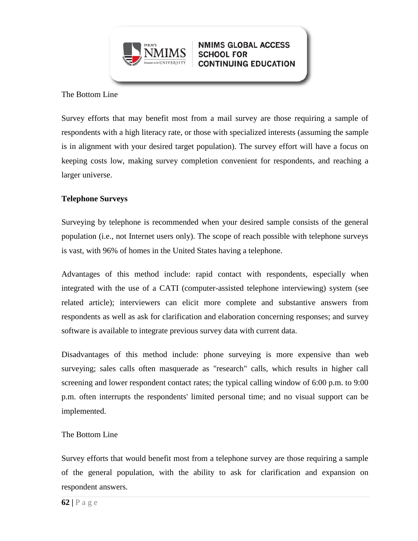

#### The Bottom Line

Survey efforts that may benefit most from a mail survey are those requiring a sample of respondents with a high literacy rate, or those with specialized interests (assuming the sample is in alignment with your desired target population). The survey effort will have a focus on keeping costs low, making survey completion convenient for respondents, and reaching a larger universe.

## **Telephone Surveys**

Surveying by telephone is recommended when your desired sample consists of the general population (i.e., not Internet users only). The scope of reach possible with telephone surveys is vast, with 96% of homes in the United States having a telephone.

Advantages of this method include: rapid contact with [respondents,](http://knowledge-base.supersurvey.com/glossary.htm#respondent) especially when integrated with the use of a [CATI](http://knowledge-base.supersurvey.com/glossary.htm#CATI) (computer-assisted telephone interviewing) system (see related [article\)](http://srcweb.berkeley.edu/compAsstNew.html); interviewers can elicit more complete and substantive answers from respondents as well as ask for clarification and elaboration concerning responses; and [survey](http://knowledge-base.supersurvey.com/glossary.htm#survey_software)  [software](http://knowledge-base.supersurvey.com/glossary.htm#survey_software) is available to integrate previous survey data with current data.

Disadvantages of this method include: phone surveying is more expensive than web surveying; sales calls often masquerade as "research" calls, which results in higher call screening and lower respondent contact rates; the typical calling window of 6:00 p.m. to 9:00 p.m. often interrupts the respondents' limited personal time; and no visual support can be implemented.

#### The Bottom Line

Survey efforts that would benefit most from a telephone survey are those requiring a sample of the general population, with the ability to ask for clarification and expansion on respondent answers.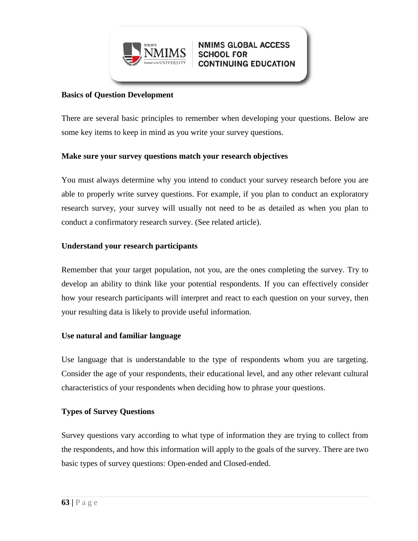

#### **Basics of Question Development**

There are several basic principles to remember when developing your questions. Below are some key items to keep in mind as you write your survey questions.

## **Make sure your survey questions match your research objectives**

You must always determine why you intend to conduct your survey research before you are able to properly write survey questions. For example, if you plan to conduct an [exploratory](http://knowledge-base.supersurvey.com/glossary.htm#exploratory_research)  [research](http://knowledge-base.supersurvey.com/glossary.htm#exploratory_research) survey, your survey will usually not need to be as detailed as when you plan to conduct a [confirmatory research](http://knowledge-base.supersurvey.com/glossary.htm#confirmatory_research) survey. (See related [article\)](http://www.geog.ucsb.edu/~joel/g210_w04/lecture_notes/lect01/oh04_01_2.html).

## **Understand your research participants**

Remember that your [target population,](http://knowledge-base.supersurvey.com/glossary.htm#target_population) not you, are the ones completing the survey. Try to develop an ability to think like your potential respondents. If you can effectively consider how your research participants will interpret and react to each question on your survey, then your resulting data is likely to provide useful information.

## **Use natural and familiar language**

Use language that is understandable to the type of respondents whom you are targeting. Consider the age of your respondents, their educational level, and any other relevant cultural characteristics of your respondents when deciding how to phrase your questions.

## **Types of Survey Questions**

Survey questions vary according to what type of information they are trying to collect from the respondents, and how this information will apply to the goals of the survey. There are two basic types of survey questions: Open-ended and Closed-ended.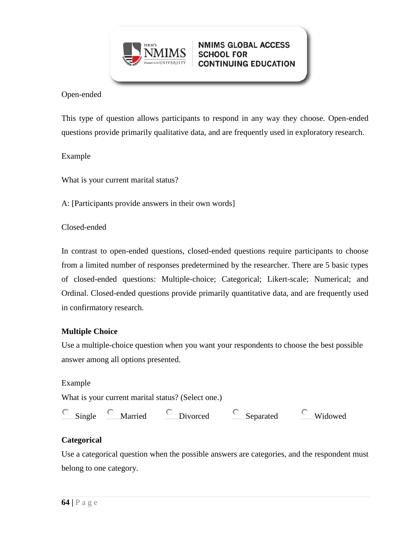

### Open-ended

This type of question allows participants to respond in any way they choose. Open-ended questions provide primarily [qualitative](http://knowledge-base.supersurvey.com/glossary.htm#qualitative_research) data, and are frequently used in exploratory research.

Example

What is your current marital status?

A: [Participants provide answers in their own words]

Closed-ended

In contrast to open-ended questions, closed-ended questions require participants to choose from a limited number of responses predetermined by the researcher. There are 5 basic types of closed-ended questions: Multiple-choice; Categorical; Likert-scale; Numerical; and Ordinal. Closed-ended questions provide primarily [quantitative](http://knowledge-base.supersurvey.com/glossary.htm#quantitative_research) data, and are frequently used in confirmatory research.

#### **Multiple Choice**

Use a multiple-choice question when you want your respondents to choose the best possible answer among all options presented.

Example



## **Categorical**

Use a categorical question when the possible answers are categories, and the respondent must belong to one category.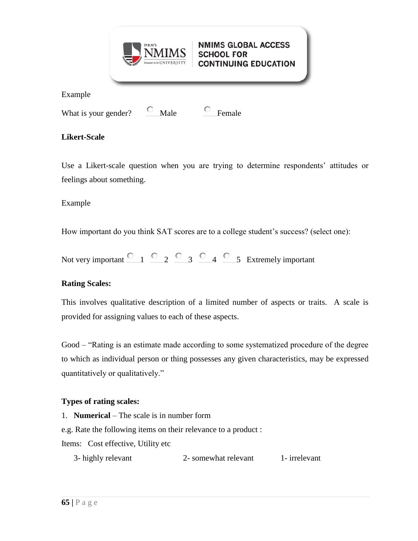

Example

| What is your gender? |  |
|----------------------|--|
|----------------------|--|

 $\overline{\circ}$  Male  $\overline{\circ}$  Female

# **Likert-Scale**

Use a Likert-scale question when you are trying to determine respondents' attitudes or feelings about something.

Example

How important do you think SAT scores are to a college student's success? (select one):

Not very important  $\begin{array}{ccc} \circ & 1 & \circ & 2 & \circ & 3 & \circ & 4 & \circ & 5 & \text{Extremely important} \end{array}$ 

## **Rating Scales:**

This involves qualitative description of a limited number of aspects or traits. A scale is provided for assigning values to each of these aspects.

Good – "Rating is an estimate made according to some systematized procedure of the degree to which as individual person or thing possesses any given characteristics, may be expressed quantitatively or qualitatively."

## **Types of rating scales:**

1. **Numerical** – The scale is in number form

e.g. Rate the following items on their relevance to a product :

Items: Cost effective, Utility etc

3- highly relevant 2- somewhat relevant 1- irrelevant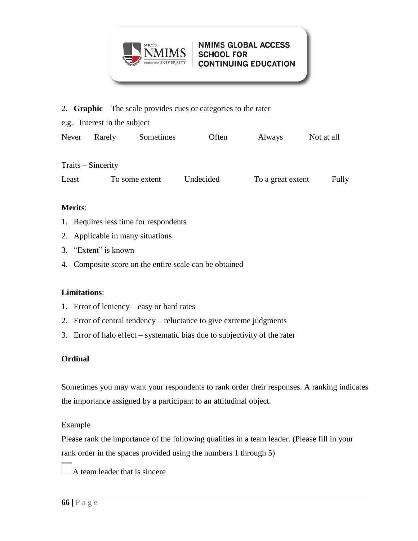

- 2. **Graphic** The scale provides cues or categories to the rater
- e.g. Interest in the subject

| Never              | Sometimes<br>Rarely |                | Often     | Always            | Not at all |
|--------------------|---------------------|----------------|-----------|-------------------|------------|
| Traits – Sincerity |                     |                |           |                   |            |
| Least              |                     | To some extent | Undecided | To a great extent | Fully      |

### **Merits**:

- 1. Requires less time for respondents
- 2. Applicable in many situations
- 3. "Extent" is known
- 4. Composite score on the entire scale can be obtained

#### **Limitations**:

- 1. Error of leniency easy or hard rates
- 2. Error of central tendency reluctance to give extreme judgments
- 3. Error of halo effect systematic bias due to subjectivity of the rater

## **Ordinal**

Sometimes you may want your respondents to rank order their responses. A ranking indicates the importance assigned by a participant to an [attitudinal object.](http://knowledge-base.supersurvey.com/glossary.htm#attitudinal_object)

#### Example

Please rank the importance of the following qualities in a team leader. (Please fill in your rank order in the spaces provided using the numbers 1 through 5)

A team leader that is sincere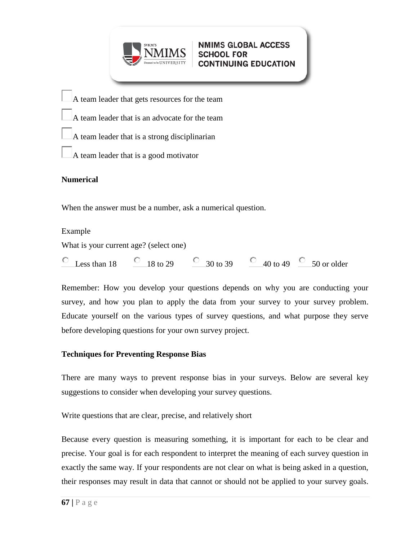

A team leader that gets resources for the team

A team leader that is an advocate for the team

A team leader that is a strong disciplinarian

A team leader that is a good motivator

#### **Numerical**

When the answer must be a number, ask a numerical question.

Example

What is your current age? (select one)

| $\degree$ 40 to 49 $\degree$ 50 or older<br>$\degree$ 18 to 29<br>$30$ to 39<br>$\overline{C}$ Less than 18 |  |
|-------------------------------------------------------------------------------------------------------------|--|
|-------------------------------------------------------------------------------------------------------------|--|

Remember: How you develop your questions depends on why you are conducting your survey, and how you plan to apply the data from your survey to your [survey problem.](http://knowledge-base.supersurvey.com/glossary.htm#survey_problem) Educate yourself on the various types of survey questions, and what purpose they serve before developing questions for your own survey project.

### **Techniques for Preventing Response Bias**

There are many ways to prevent response bias in your surveys. Below are several key suggestions to consider when developing your survey questions.

Write questions that are clear, precise, and relatively short

Because every question is measuring something, it is important for each to be clear and precise. Your goal is for each respondent to interpret the meaning of each survey question in exactly the same way. If your respondents are not clear on what is being asked in a question, their responses may result in data that cannot or should not be applied to your survey goals.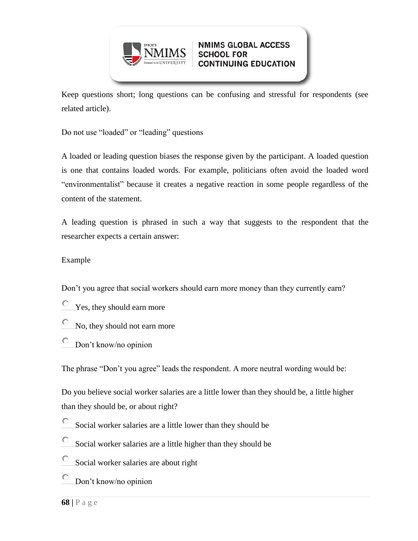

Keep questions short; long questions can be confusing and stressful for respondents (see related [article\)](http://www.useit.com/alertbox/20040202.html).

Do not use "loaded" or "leading" questions

A loaded or leading question biases the response given by the participant. A [loaded question](http://knowledge-base.supersurvey.com/glossary.htm#loaded_question) is one that contains loaded words. For example, politicians often avoid the loaded word "environmentalist" because it creates a negative reaction in some people regardless of the content of the statement.

A [leading question](http://knowledge-base.supersurvey.com/glossary.htm#leading_question) is phrased in such a way that suggests to the respondent that the researcher expects a certain answer:

#### Example

Don't you agree that social workers should earn more money than they currently earn?

- О Yes, they should earn more
- О No, they should not earn more
- O Don't know/no opinion

The phrase "Don't you agree" leads the respondent. A more neutral wording would be:

Do you believe social worker salaries are a little lower than they should be, a little higher than they should be, or about right?

- О Social worker salaries are a little lower than they should be
- О Social worker salaries are a little higher than they should be
- 0 Social worker salaries are about right
- О Don't know/no opinion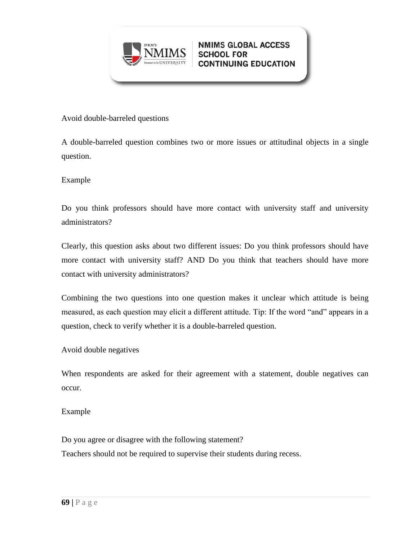

Avoid double-barreled questions

A double-barreled question combines two or more issues or [attitudinal objects](http://knowledge-base.supersurvey.com/glossary.htm#attitudinal_object) in a single question.

Example

Do you think professors should have more contact with university staff and university administrators?

Clearly, this question asks about two different issues: Do you think professors should have more contact with university staff? AND Do you think that teachers should have more contact with university administrators?

Combining the two questions into one question makes it unclear which attitude is being measured, as each question may elicit a different attitude. Tip: If the word "and" appears in a question, check to verify whether it is a double-barreled question.

Avoid double negatives

When respondents are asked for their agreement with a statement, double negatives can occur.

Example

Do you agree or disagree with the following statement? Teachers should not be required to supervise their students during recess.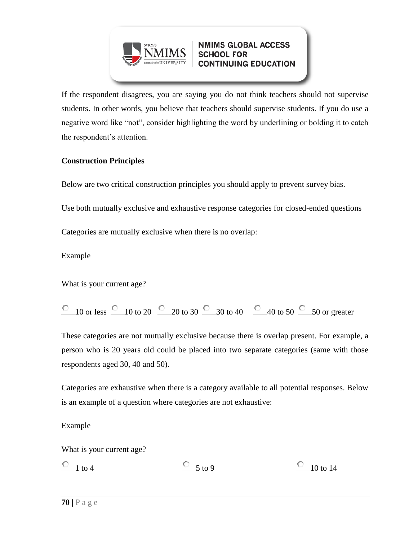

If the respondent disagrees, you are saying you do not think teachers should not supervise students. In other words, you believe that teachers should supervise students. If you do use a negative word like "not", consider highlighting the word by underlining or bolding it to catch the respondent's attention.

## **Construction Principles**

Below are two critical construction principles you should apply to prevent survey bias.

Use both mutually exclusive and exhaustive response categories for closed-ended questions

Categories are mutually exclusive when there is no overlap:

Example

What is your current age?

```
\degree 10 or less \degree 10 to 20 \degree 20 to 30 \degree 30 to 40 \degree 40 to 50 \degree 50 or greater
```
These categories are not mutually exclusive because there is overlap present. For example, a person who is 20 years old could be placed into two separate categories (same with those respondents aged 30, 40 and 50).

Categories are exhaustive when there is a category available to all potential responses. Below is an example of a question where categories are not exhaustive:

#### Example

What is your current age?

| $\degree$ 1 to 4 | $\overline{5}$ to 9 | $\degree$ 10 to 14 |
|------------------|---------------------|--------------------|
|                  |                     |                    |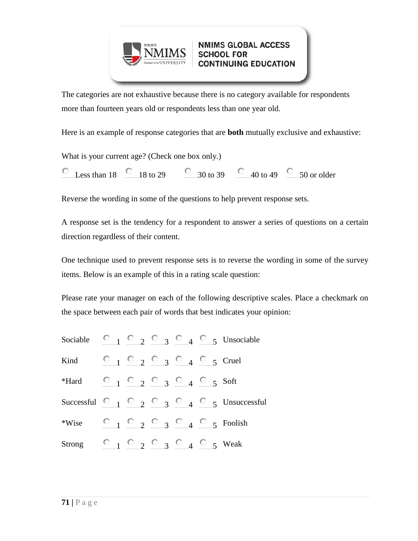

The categories are not exhaustive because there is no category available for respondents more than fourteen years old or respondents less than one year old.

Here is an example of response categories that are **both** mutually exclusive and exhaustive:

What is your current age? (Check one box only.)

C Less than 18  $\degree$  18 to 29  $\degree$  30 to 39  $\degree$  40 to 49  $\degree$  50 or older

Reverse the wording in some of the questions to help prevent response sets.

A [response set](http://knowledge-base.supersurvey.com/glossary.htm#response_set) is the tendency for a respondent to answer a series of questions on a certain direction regardless of their content.

One technique used to prevent response sets is to reverse the wording in some of the survey items. Below is an example of this in a rating scale question:

Please rate your manager on each of the following descriptive scales. Place a checkmark on the space between each pair of words that best indicates your opinion:

| Sociable      |  |  |  |  |  | $\begin{array}{ccc} \circ & _{1} & \circ & _{2} & \circ & _{3} & \circ & _{4} & \circ & _{5} &$ Unsociable                                                |
|---------------|--|--|--|--|--|-----------------------------------------------------------------------------------------------------------------------------------------------------------|
| Kind          |  |  |  |  |  | $\begin{array}{ccc} \circ & _{1} & \circ & _{2} & \circ & _{3} & \circ & _{4} & \circ & _{5} & \text{Cruel} \end{array}$                                  |
| *Hard         |  |  |  |  |  | $\circ$ $\frac{1}{1}$ $\circ$ $\frac{2}{2}$ $\circ$ $\frac{3}{3}$ $\circ$ $\frac{4}{4}$ $\circ$ $\frac{5}{5}$ Soft                                        |
|               |  |  |  |  |  | Successful $\begin{array}{ccc} \circ & \circ & \circ & \circ & \circ \circ \\ \circ & \circ & \circ & \circ \end{array}$ $\circ$ 4 $\circ$ 5 Unsuccessful |
| *Wise         |  |  |  |  |  | $\begin{array}{ccc} \circ & _{1} & \circ & _{2} & \circ & _{3} & \circ & _{4} & \circ & _{5} &$ Foolish                                                   |
| <b>Strong</b> |  |  |  |  |  | $\begin{array}{ccc} \circ & _{1} & \circ & _{2} & \circ & _{3} & \circ & _{4} & \circ & _{5} & \mathsf{Weak} \end{array}$                                 |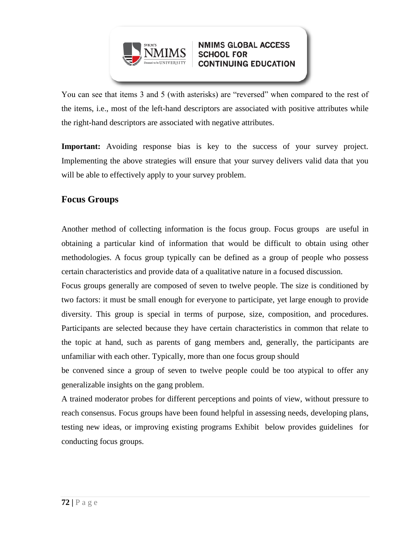

**NMIMS GLOBAL ACCESS SCHOOL FOR NUING EDUCATION** 

You can see that items 3 and 5 (with asterisks) are "reversed" when compared to the rest of the items, i.e., most of the left-hand descriptors are associated with positive attributes while the right-hand descriptors are associated with negative attributes.

**Important:** Avoiding response bias is key to the success of your survey project. Implementing the above strategies will ensure that your survey delivers valid data that you will be able to effectively apply to your survey problem.

# **Focus Groups**

Another method of collecting information is the focus group. Focus groups are useful in obtaining a particular kind of information that would be difficult to obtain using other methodologies. A focus group typically can be defined as a group of people who possess certain characteristics and provide data of a qualitative nature in a focused discussion.

Focus groups generally are composed of seven to twelve people. The size is conditioned by two factors: it must be small enough for everyone to participate, yet large enough to provide diversity. This group is special in terms of purpose, size, composition, and procedures. Participants are selected because they have certain characteristics in common that relate to the topic at hand, such as parents of gang members and, generally, the participants are unfamiliar with each other. Typically, more than one focus group should

be convened since a group of seven to twelve people could be too atypical to offer any generalizable insights on the gang problem.

A trained moderator probes for different perceptions and points of view, without pressure to reach consensus. Focus groups have been found helpful in assessing needs, developing plans, testing new ideas, or improving existing programs Exhibit below provides guidelines for conducting focus groups.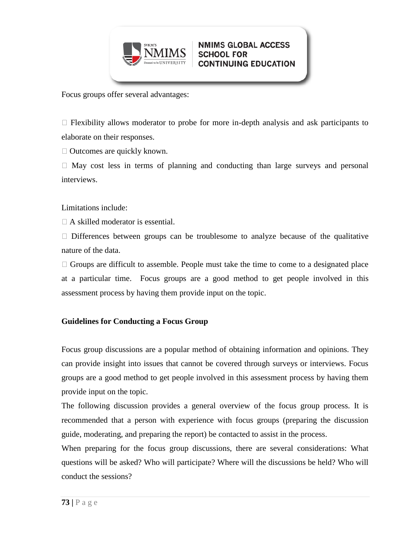

Focus groups offer several advantages:

 $\Box$  Flexibility allows moderator to probe for more in-depth analysis and ask participants to elaborate on their responses.

 $\Box$  Outcomes are quickly known.

 $\Box$  May cost less in terms of planning and conducting than large surveys and personal interviews.

Limitations include:

 $\Box$  A skilled moderator is essential.

 $\Box$  Differences between groups can be troublesome to analyze because of the qualitative nature of the data.

 $\Box$  Groups are difficult to assemble. People must take the time to come to a designated place at a particular time. Focus groups are a good method to get people involved in this assessment process by having them provide input on the topic.

# **Guidelines for Conducting a Focus Group**

Focus group discussions are a popular method of obtaining information and opinions. They can provide insight into issues that cannot be covered through surveys or interviews. Focus groups are a good method to get people involved in this assessment process by having them provide input on the topic.

The following discussion provides a general overview of the focus group process. It is recommended that a person with experience with focus groups (preparing the discussion guide, moderating, and preparing the report) be contacted to assist in the process.

When preparing for the focus group discussions, there are several considerations: What questions will be asked? Who will participate? Where will the discussions be held? Who will conduct the sessions?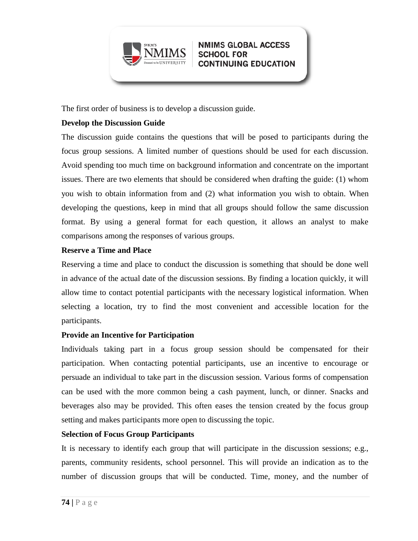

**NMIMS GLOBAL ACCESS SCHOOL FOR ITINUING EDUCATION** 

The first order of business is to develop a discussion guide.

# **Develop the Discussion Guide**

The discussion guide contains the questions that will be posed to participants during the focus group sessions. A limited number of questions should be used for each discussion. Avoid spending too much time on background information and concentrate on the important issues. There are two elements that should be considered when drafting the guide: (1) whom you wish to obtain information from and (2) what information you wish to obtain. When developing the questions, keep in mind that all groups should follow the same discussion format. By using a general format for each question, it allows an analyst to make comparisons among the responses of various groups.

# **Reserve a Time and Place**

Reserving a time and place to conduct the discussion is something that should be done well in advance of the actual date of the discussion sessions. By finding a location quickly, it will allow time to contact potential participants with the necessary logistical information. When selecting a location, try to find the most convenient and accessible location for the participants.

### **Provide an Incentive for Participation**

Individuals taking part in a focus group session should be compensated for their participation. When contacting potential participants, use an incentive to encourage or persuade an individual to take part in the discussion session. Various forms of compensation can be used with the more common being a cash payment, lunch, or dinner. Snacks and beverages also may be provided. This often eases the tension created by the focus group setting and makes participants more open to discussing the topic.

### **Selection of Focus Group Participants**

It is necessary to identify each group that will participate in the discussion sessions; e.g., parents, community residents, school personnel. This will provide an indication as to the number of discussion groups that will be conducted. Time, money, and the number of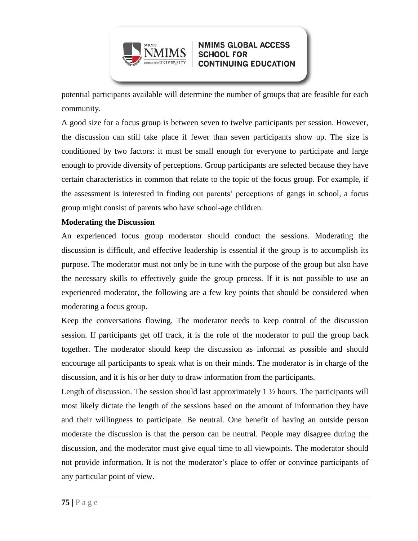

potential participants available will determine the number of groups that are feasible for each community.

A good size for a focus group is between seven to twelve participants per session. However, the discussion can still take place if fewer than seven participants show up. The size is conditioned by two factors: it must be small enough for everyone to participate and large enough to provide diversity of perceptions. Group participants are selected because they have certain characteristics in common that relate to the topic of the focus group. For example, if the assessment is interested in finding out parents' perceptions of gangs in school, a focus group might consist of parents who have school-age children.

### **Moderating the Discussion**

An experienced focus group moderator should conduct the sessions. Moderating the discussion is difficult, and effective leadership is essential if the group is to accomplish its purpose. The moderator must not only be in tune with the purpose of the group but also have the necessary skills to effectively guide the group process. If it is not possible to use an experienced moderator, the following are a few key points that should be considered when moderating a focus group.

Keep the conversations flowing. The moderator needs to keep control of the discussion session. If participants get off track, it is the role of the moderator to pull the group back together. The moderator should keep the discussion as informal as possible and should encourage all participants to speak what is on their minds. The moderator is in charge of the discussion, and it is his or her duty to draw information from the participants.

Length of discussion. The session should last approximately  $1 \frac{1}{2}$  hours. The participants will most likely dictate the length of the sessions based on the amount of information they have and their willingness to participate. Be neutral. One benefit of having an outside person moderate the discussion is that the person can be neutral. People may disagree during the discussion, and the moderator must give equal time to all viewpoints. The moderator should not provide information. It is not the moderator's place to offer or convince participants of any particular point of view.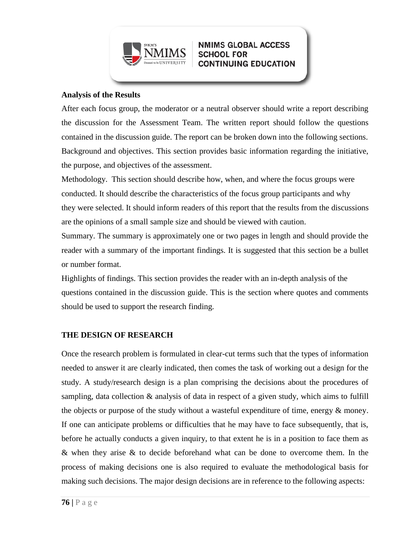

**NMIMS GLOBAL ACCESS SCHOOL FOR CONTINUING EDUCATION** 

### **Analysis of the Results**

After each focus group, the moderator or a neutral observer should write a report describing the discussion for the Assessment Team. The written report should follow the questions contained in the discussion guide. The report can be broken down into the following sections. Background and objectives. This section provides basic information regarding the initiative, the purpose, and objectives of the assessment.

Methodology. This section should describe how, when, and where the focus groups were conducted. It should describe the characteristics of the focus group participants and why they were selected. It should inform readers of this report that the results from the discussions are the opinions of a small sample size and should be viewed with caution.

Summary. The summary is approximately one or two pages in length and should provide the reader with a summary of the important findings. It is suggested that this section be a bullet or number format.

Highlights of findings. This section provides the reader with an in-depth analysis of the questions contained in the discussion guide. This is the section where quotes and comments should be used to support the research finding.

# **THE DESIGN OF RESEARCH**

Once the research problem is formulated in clear-cut terms such that the types of information needed to answer it are clearly indicated, then comes the task of working out a design for the study. A study/research design is a plan comprising the decisions about the procedures of sampling, data collection & analysis of data in respect of a given study, which aims to fulfill the objects or purpose of the study without a wasteful expenditure of time, energy & money. If one can anticipate problems or difficulties that he may have to face subsequently, that is, before he actually conducts a given inquiry, to that extent he is in a position to face them as & when they arise & to decide beforehand what can be done to overcome them. In the process of making decisions one is also required to evaluate the methodological basis for making such decisions. The major design decisions are in reference to the following aspects: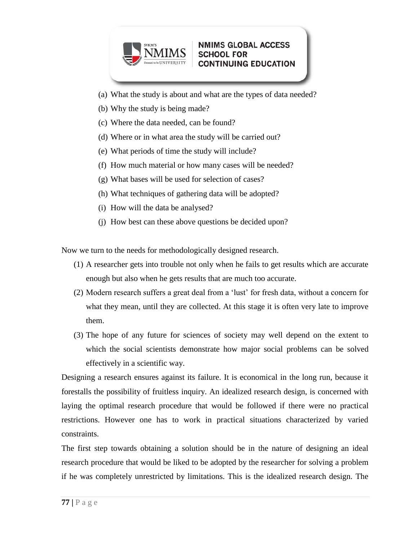

- (a) What the study is about and what are the types of data needed?
- (b) Why the study is being made?
- (c) Where the data needed, can be found?
- (d) Where or in what area the study will be carried out?
- (e) What periods of time the study will include?
- (f) How much material or how many cases will be needed?
- (g) What bases will be used for selection of cases?
- (h) What techniques of gathering data will be adopted?
- (i) How will the data be analysed?
- (j) How best can these above questions be decided upon?

Now we turn to the needs for methodologically designed research.

- (1) A researcher gets into trouble not only when he fails to get results which are accurate enough but also when he gets results that are much too accurate.
- (2) Modern research suffers a great deal from a 'lust' for fresh data, without a concern for what they mean, until they are collected. At this stage it is often very late to improve them.
- (3) The hope of any future for sciences of society may well depend on the extent to which the social scientists demonstrate how major social problems can be solved effectively in a scientific way.

Designing a research ensures against its failure. It is economical in the long run, because it forestalls the possibility of fruitless inquiry. An idealized research design, is concerned with laying the optimal research procedure that would be followed if there were no practical restrictions. However one has to work in practical situations characterized by varied constraints.

The first step towards obtaining a solution should be in the nature of designing an ideal research procedure that would be liked to be adopted by the researcher for solving a problem if he was completely unrestricted by limitations. This is the idealized research design. The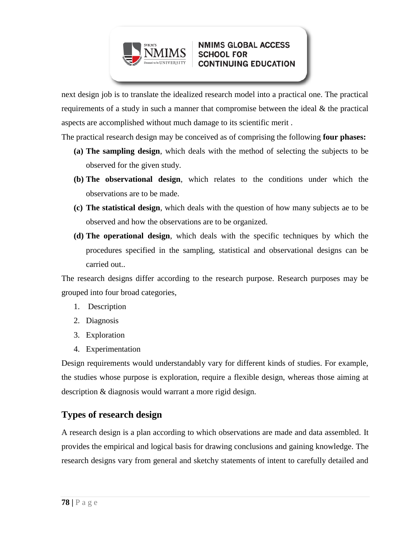

next design job is to translate the idealized research model into a practical one. The practical requirements of a study in such a manner that compromise between the ideal & the practical aspects are accomplished without much damage to its scientific merit .

The practical research design may be conceived as of comprising the following **four phases:**

- **(a) The sampling design**, which deals with the method of selecting the subjects to be observed for the given study.
- **(b) The observational design**, which relates to the conditions under which the observations are to be made.
- **(c) The statistical design**, which deals with the question of how many subjects ae to be observed and how the observations are to be organized.
- **(d) The operational design**, which deals with the specific techniques by which the procedures specified in the sampling, statistical and observational designs can be carried out..

The research designs differ according to the research purpose. Research purposes may be grouped into four broad categories,

- 1. Description
- 2. Diagnosis
- 3. Exploration
- 4. Experimentation

Design requirements would understandably vary for different kinds of studies. For example, the studies whose purpose is exploration, require a flexible design, whereas those aiming at description & diagnosis would warrant a more rigid design.

# **Types of research design**

A research design is a plan according to which observations are made and data assembled. It provides the empirical and logical basis for drawing conclusions and gaining knowledge. The research designs vary from general and sketchy statements of intent to carefully detailed and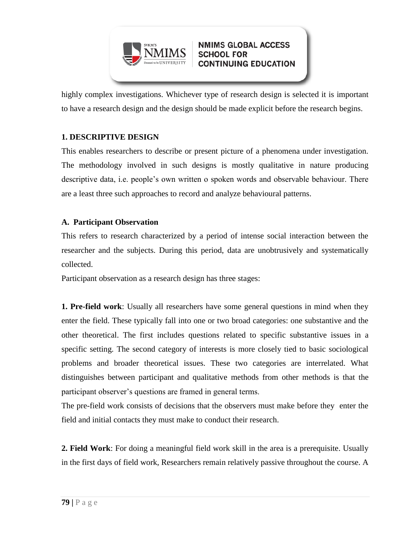

highly complex investigations. Whichever type of research design is selected it is important to have a research design and the design should be made explicit before the research begins.

# **1. DESCRIPTIVE DESIGN**

This enables researchers to describe or present picture of a phenomena under investigation. The methodology involved in such designs is mostly qualitative in nature producing descriptive data, i.e. people's own written o spoken words and observable behaviour. There are a least three such approaches to record and analyze behavioural patterns.

# **A. Participant Observation**

This refers to research characterized by a period of intense social interaction between the researcher and the subjects. During this period, data are unobtrusively and systematically collected.

Participant observation as a research design has three stages:

**1. Pre-field work**: Usually all researchers have some general questions in mind when they enter the field. These typically fall into one or two broad categories: one substantive and the other theoretical. The first includes questions related to specific substantive issues in a specific setting. The second category of interests is more closely tied to basic sociological problems and broader theoretical issues. These two categories are interrelated. What distinguishes between participant and qualitative methods from other methods is that the participant observer's questions are framed in general terms.

The pre-field work consists of decisions that the observers must make before they enter the field and initial contacts they must make to conduct their research.

**2. Field Work**: For doing a meaningful field work skill in the area is a prerequisite. Usually in the first days of field work, Researchers remain relatively passive throughout the course. A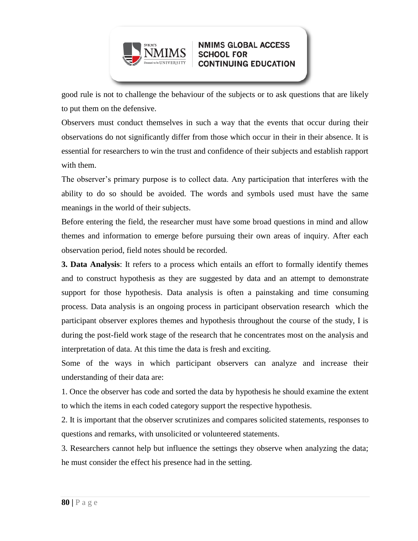

good rule is not to challenge the behaviour of the subjects or to ask questions that are likely to put them on the defensive.

Observers must conduct themselves in such a way that the events that occur during their observations do not significantly differ from those which occur in their in their absence. It is essential for researchers to win the trust and confidence of their subjects and establish rapport with them.

The observer's primary purpose is to collect data. Any participation that interferes with the ability to do so should be avoided. The words and symbols used must have the same meanings in the world of their subjects.

Before entering the field, the researcher must have some broad questions in mind and allow themes and information to emerge before pursuing their own areas of inquiry. After each observation period, field notes should be recorded.

**3. Data Analysis**: It refers to a process which entails an effort to formally identify themes and to construct hypothesis as they are suggested by data and an attempt to demonstrate support for those hypothesis. Data analysis is often a painstaking and time consuming process. Data analysis is an ongoing process in participant observation research which the participant observer explores themes and hypothesis throughout the course of the study, I is during the post-field work stage of the research that he concentrates most on the analysis and interpretation of data. At this time the data is fresh and exciting.

Some of the ways in which participant observers can analyze and increase their understanding of their data are:

1. Once the observer has code and sorted the data by hypothesis he should examine the extent to which the items in each coded category support the respective hypothesis.

2. It is important that the observer scrutinizes and compares solicited statements, responses to questions and remarks, with unsolicited or volunteered statements.

3. Researchers cannot help but influence the settings they observe when analyzing the data; he must consider the effect his presence had in the setting.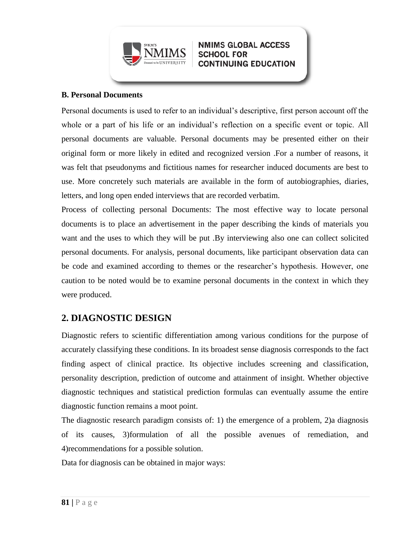

**NMIMS GLOBAL ACCESS SCHOOL FOR CONTINUING EDUCATION** 

### **B. Personal Documents**

Personal documents is used to refer to an individual's descriptive, first person account off the whole or a part of his life or an individual's reflection on a specific event or topic. All personal documents are valuable. Personal documents may be presented either on their original form or more likely in edited and recognized version .For a number of reasons, it was felt that pseudonyms and fictitious names for researcher induced documents are best to use. More concretely such materials are available in the form of autobiographies, diaries, letters, and long open ended interviews that are recorded verbatim.

Process of collecting personal Documents: The most effective way to locate personal documents is to place an advertisement in the paper describing the kinds of materials you want and the uses to which they will be put .By interviewing also one can collect solicited personal documents. For analysis, personal documents, like participant observation data can be code and examined according to themes or the researcher's hypothesis. However, one caution to be noted would be to examine personal documents in the context in which they were produced.

# **2. DIAGNOSTIC DESIGN**

Diagnostic refers to scientific differentiation among various conditions for the purpose of accurately classifying these conditions. In its broadest sense diagnosis corresponds to the fact finding aspect of clinical practice. Its objective includes screening and classification, personality description, prediction of outcome and attainment of insight. Whether objective diagnostic techniques and statistical prediction formulas can eventually assume the entire diagnostic function remains a moot point.

The diagnostic research paradigm consists of: 1) the emergence of a problem, 2)a diagnosis of its causes, 3)formulation of all the possible avenues of remediation, and 4)recommendations for a possible solution.

Data for diagnosis can be obtained in major ways: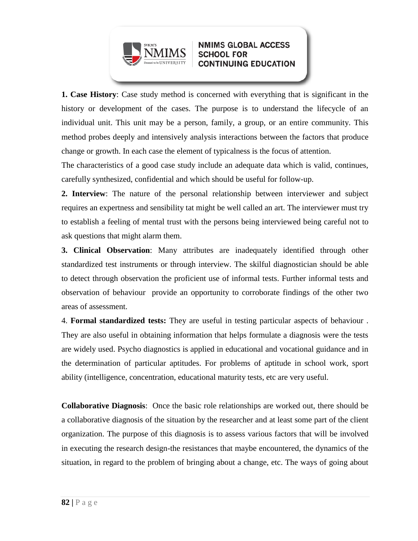

**NMIMS GLOBAL ACCESS SCHOOL FOR NTINUING EDUCATION** 

**1. Case History**: Case study method is concerned with everything that is significant in the history or development of the cases. The purpose is to understand the lifecycle of an individual unit. This unit may be a person, family, a group, or an entire community. This method probes deeply and intensively analysis interactions between the factors that produce change or growth. In each case the element of typicalness is the focus of attention.

The characteristics of a good case study include an adequate data which is valid, continues, carefully synthesized, confidential and which should be useful for follow-up.

**2. Interview**: The nature of the personal relationship between interviewer and subject requires an expertness and sensibility tat might be well called an art. The interviewer must try to establish a feeling of mental trust with the persons being interviewed being careful not to ask questions that might alarm them.

**3. Clinical Observation**: Many attributes are inadequately identified through other standardized test instruments or through interview. The skilful diagnostician should be able to detect through observation the proficient use of informal tests. Further informal tests and observation of behaviour provide an opportunity to corroborate findings of the other two areas of assessment.

4. **Formal standardized tests:** They are useful in testing particular aspects of behaviour . They are also useful in obtaining information that helps formulate a diagnosis were the tests are widely used. Psycho diagnostics is applied in educational and vocational guidance and in the determination of particular aptitudes. For problems of aptitude in school work, sport ability (intelligence, concentration, educational maturity tests, etc are very useful.

**Collaborative Diagnosis**: Once the basic role relationships are worked out, there should be a collaborative diagnosis of the situation by the researcher and at least some part of the client organization. The purpose of this diagnosis is to assess various factors that will be involved in executing the research design-the resistances that maybe encountered, the dynamics of the situation, in regard to the problem of bringing about a change, etc. The ways of going about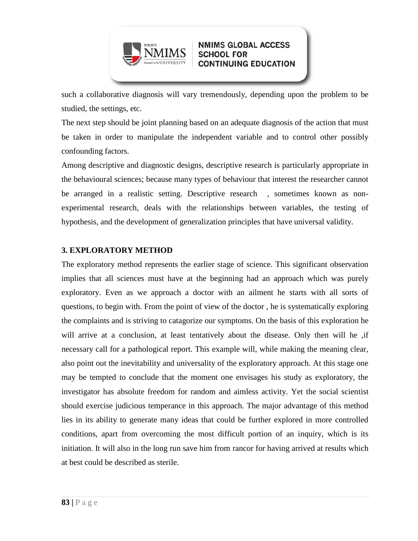

such a collaborative diagnosis will vary tremendously, depending upon the problem to be studied, the settings, etc.

The next step should be joint planning based on an adequate diagnosis of the action that must be taken in order to manipulate the independent variable and to control other possibly confounding factors.

Among descriptive and diagnostic designs, descriptive research is particularly appropriate in the behavioural sciences; because many types of behaviour that interest the researcher cannot be arranged in a realistic setting. Descriptive research , sometimes known as nonexperimental research, deals with the relationships between variables, the testing of hypothesis, and the development of generalization principles that have universal validity.

### **3. EXPLORATORY METHOD**

The exploratory method represents the earlier stage of science. This significant observation implies that all sciences must have at the beginning had an approach which was purely exploratory. Even as we approach a doctor with an ailment he starts with all sorts of questions, to begin with. From the point of view of the doctor , he is systematically exploring the complaints and is striving to catagorize our symptoms. On the basis of this exploration he will arrive at a conclusion, at least tentatively about the disease. Only then will he ,if necessary call for a pathological report. This example will, while making the meaning clear, also point out the inevitability and universality of the exploratory approach. At this stage one may be tempted to conclude that the moment one envisages his study as exploratory, the investigator has absolute freedom for random and aimless activity. Yet the social scientist should exercise judicious temperance in this approach. The major advantage of this method lies in its ability to generate many ideas that could be further explored in more controlled conditions, apart from overcoming the most difficult portion of an inquiry, which is its initiation. It will also in the long run save him from rancor for having arrived at results which at best could be described as sterile.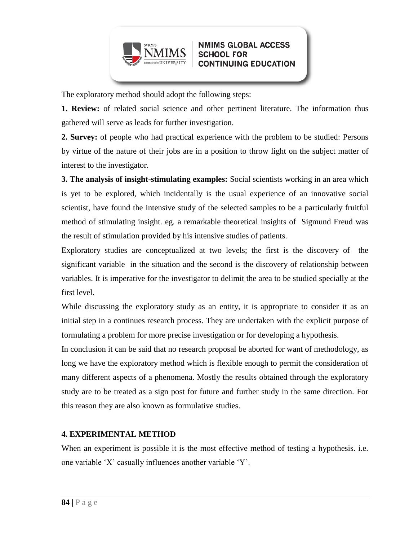

The exploratory method should adopt the following steps:

**1. Review:** of related social science and other pertinent literature. The information thus gathered will serve as leads for further investigation.

**2. Survey:** of people who had practical experience with the problem to be studied: Persons by virtue of the nature of their jobs are in a position to throw light on the subject matter of interest to the investigator.

**3. The analysis of insight-stimulating examples:** Social scientists working in an area which is yet to be explored, which incidentally is the usual experience of an innovative social scientist, have found the intensive study of the selected samples to be a particularly fruitful method of stimulating insight. eg. a remarkable theoretical insights of Sigmund Freud was the result of stimulation provided by his intensive studies of patients.

Exploratory studies are conceptualized at two levels; the first is the discovery of the significant variable in the situation and the second is the discovery of relationship between variables. It is imperative for the investigator to delimit the area to be studied specially at the first level.

While discussing the exploratory study as an entity, it is appropriate to consider it as an initial step in a continues research process. They are undertaken with the explicit purpose of formulating a problem for more precise investigation or for developing a hypothesis.

In conclusion it can be said that no research proposal be aborted for want of methodology, as long we have the exploratory method which is flexible enough to permit the consideration of many different aspects of a phenomena. Mostly the results obtained through the exploratory study are to be treated as a sign post for future and further study in the same direction. For this reason they are also known as formulative studies.

# **4. EXPERIMENTAL METHOD**

When an experiment is possible it is the most effective method of testing a hypothesis. i.e. one variable 'X' casually influences another variable 'Y'.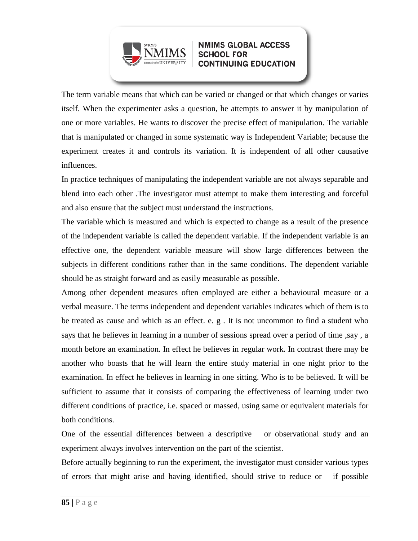

**NMIMS GLOBAL ACCESS SCHOOL FOR** ONTINUING EDUCATION:

The term variable means that which can be varied or changed or that which changes or varies itself. When the experimenter asks a question, he attempts to answer it by manipulation of one or more variables. He wants to discover the precise effect of manipulation. The variable that is manipulated or changed in some systematic way is Independent Variable; because the experiment creates it and controls its variation. It is independent of all other causative influences.

In practice techniques of manipulating the independent variable are not always separable and blend into each other .The investigator must attempt to make them interesting and forceful and also ensure that the subject must understand the instructions.

The variable which is measured and which is expected to change as a result of the presence of the independent variable is called the dependent variable. If the independent variable is an effective one, the dependent variable measure will show large differences between the subjects in different conditions rather than in the same conditions. The dependent variable should be as straight forward and as easily measurable as possible.

Among other dependent measures often employed are either a behavioural measure or a verbal measure. The terms independent and dependent variables indicates which of them is to be treated as cause and which as an effect. e. g . It is not uncommon to find a student who says that he believes in learning in a number of sessions spread over a period of time ,say , a month before an examination. In effect he believes in regular work. In contrast there may be another who boasts that he will learn the entire study material in one night prior to the examination. In effect he believes in learning in one sitting. Who is to be believed. It will be sufficient to assume that it consists of comparing the effectiveness of learning under two different conditions of practice, i.e. spaced or massed, using same or equivalent materials for both conditions.

One of the essential differences between a descriptive or observational study and an experiment always involves intervention on the part of the scientist.

Before actually beginning to run the experiment, the investigator must consider various types of errors that might arise and having identified, should strive to reduce or if possible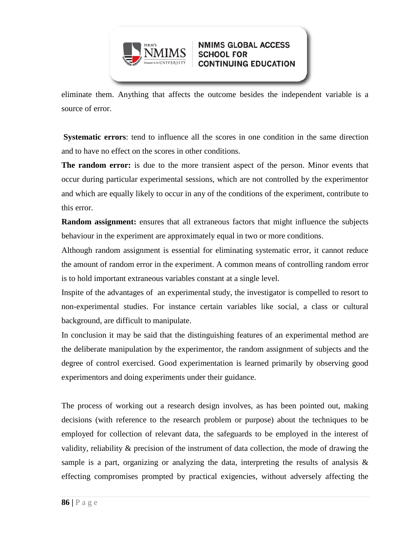

eliminate them. Anything that affects the outcome besides the independent variable is a source of error.

**Systematic errors:** tend to influence all the scores in one condition in the same direction and to have no effect on the scores in other conditions.

**The random error:** is due to the more transient aspect of the person. Minor events that occur during particular experimental sessions, which are not controlled by the experimentor and which are equally likely to occur in any of the conditions of the experiment, contribute to this error.

**Random assignment:** ensures that all extraneous factors that might influence the subjects behaviour in the experiment are approximately equal in two or more conditions.

Although random assignment is essential for eliminating systematic error, it cannot reduce the amount of random error in the experiment. A common means of controlling random error is to hold important extraneous variables constant at a single level.

Inspite of the advantages of an experimental study, the investigator is compelled to resort to non-experimental studies. For instance certain variables like social, a class or cultural background, are difficult to manipulate.

In conclusion it may be said that the distinguishing features of an experimental method are the deliberate manipulation by the experimentor, the random assignment of subjects and the degree of control exercised. Good experimentation is learned primarily by observing good experimentors and doing experiments under their guidance.

The process of working out a research design involves, as has been pointed out, making decisions (with reference to the research problem or purpose) about the techniques to be employed for collection of relevant data, the safeguards to be employed in the interest of validity, reliability & precision of the instrument of data collection, the mode of drawing the sample is a part, organizing or analyzing the data, interpreting the results of analysis  $\&$ effecting compromises prompted by practical exigencies, without adversely affecting the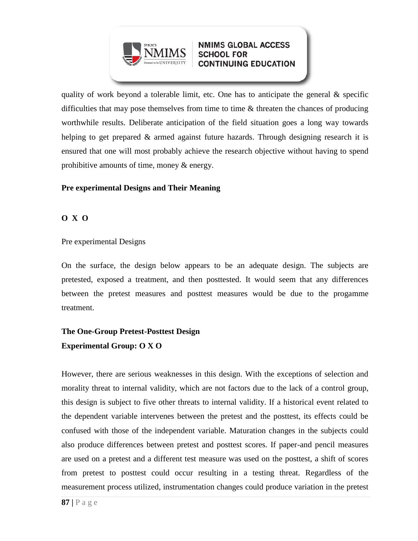

**NMIMS GLOBAL ACCESS SCHOOL FOR ITINUING EDUCATION** 

quality of work beyond a tolerable limit, etc. One has to anticipate the general & specific difficulties that may pose themselves from time to time & threaten the chances of producing worthwhile results. Deliberate anticipation of the field situation goes a long way towards helping to get prepared  $\&$  armed against future hazards. Through designing research it is ensured that one will most probably achieve the research objective without having to spend prohibitive amounts of time, money & energy.

### **Pre experimental Designs and Their Meaning**

**O X O**

Pre experimental Designs

On the surface, the design below appears to be an adequate design. The subjects are pretested, exposed a treatment, and then posttested. It would seem that any differences between the pretest measures and posttest measures would be due to the progamme treatment.

# **The One-Group Pretest-Posttest Design Experimental Group: O X O**

However, there are serious weaknesses in this design. With the exceptions of selection and morality threat to internal validity, which are not factors due to the lack of a control group, this design is subject to five other threats to internal validity. If a historical event related to the dependent variable intervenes between the pretest and the posttest, its effects could be confused with those of the independent variable. Maturation changes in the subjects could also produce differences between pretest and posttest scores. If paper-and pencil measures are used on a pretest and a different test measure was used on the posttest, a shift of scores from pretest to posttest could occur resulting in a testing threat. Regardless of the measurement process utilized, instrumentation changes could produce variation in the pretest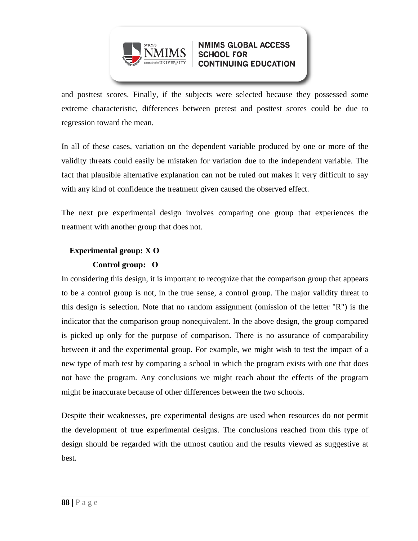

and posttest scores. Finally, if the subjects were selected because they possessed some extreme characteristic, differences between pretest and posttest scores could be due to regression toward the mean.

In all of these cases, variation on the dependent variable produced by one or more of the validity threats could easily be mistaken for variation due to the independent variable. The fact that plausible alternative explanation can not be ruled out makes it very difficult to say with any kind of confidence the treatment given caused the observed effect.

The next pre experimental design involves comparing one group that experiences the treatment with another group that does not.

# **Experimental group: X O Control group: O**

In considering this design, it is important to recognize that the comparison group that appears to be a control group is not, in the true sense, a control group. The major validity threat to this design is selection. Note that no random assignment (omission of the letter "R") is the indicator that the comparison group nonequivalent. In the above design, the group compared is picked up only for the purpose of comparison. There is no assurance of comparability between it and the experimental group. For example, we might wish to test the impact of a new type of math test by comparing a school in which the program exists with one that does not have the program. Any conclusions we might reach about the effects of the program might be inaccurate because of other differences between the two schools.

Despite their weaknesses, pre experimental designs are used when resources do not permit the development of true experimental designs. The conclusions reached from this type of design should be regarded with the utmost caution and the results viewed as suggestive at best.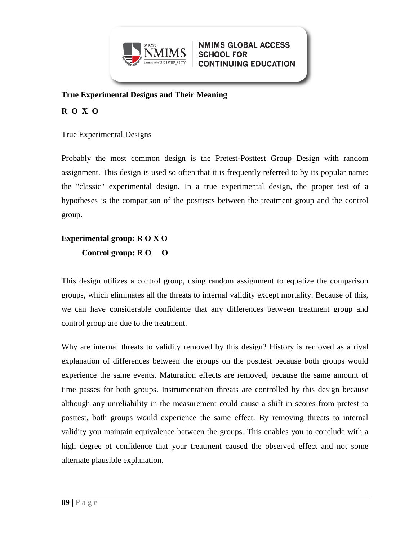

### **True Experimental Designs and Their Meaning**

### **R O X O**

True Experimental Designs

Probably the most common design is the Pretest-Posttest Group Design with random assignment. This design is used so often that it is frequently referred to by its popular name: the "classic" experimental design. In a true experimental design, the proper test of a hypotheses is the comparison of the posttests between the treatment group and the control group.

# **Experimental group: R O X O Control group: R O O**

This design utilizes a control group, using random assignment to equalize the comparison groups, which eliminates all the threats to internal validity except mortality. Because of this, we can have considerable confidence that any differences between treatment group and control group are due to the treatment.

Why are internal threats to validity removed by this design? History is removed as a rival explanation of differences between the groups on the posttest because both groups would experience the same events. Maturation effects are removed, because the same amount of time passes for both groups. Instrumentation threats are controlled by this design because although any unreliability in the measurement could cause a shift in scores from pretest to posttest, both groups would experience the same effect. By removing threats to internal validity you maintain equivalence between the groups. This enables you to conclude with a high degree of confidence that your treatment caused the observed effect and not some alternate plausible explanation.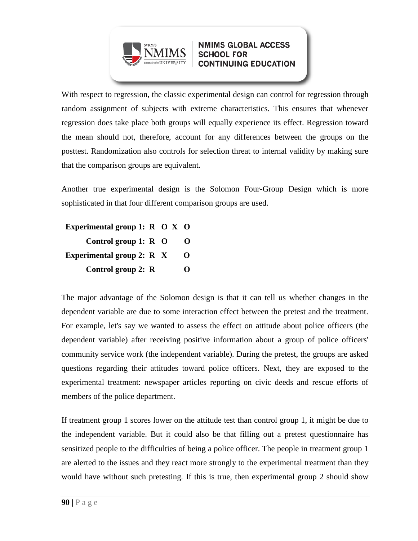

**NMIMS GLOBAL ACCESS SCHOOL FOR ITINUING EDUCATION** 

With respect to regression, the classic experimental design can control for regression through random assignment of subjects with extreme characteristics. This ensures that whenever regression does take place both groups will equally experience its effect. Regression toward the mean should not, therefore, account for any differences between the groups on the posttest. Randomization also controls for selection threat to internal validity by making sure that the comparison groups are equivalent.

Another true experimental design is the Solomon Four-Group Design which is more sophisticated in that four different comparison groups are used.

**Experimental group 1: R O X O Control group 1: R O O Experimental group 2: R X O Control group 2: R O**

The major advantage of the Solomon design is that it can tell us whether changes in the dependent variable are due to some interaction effect between the pretest and the treatment. For example, let's say we wanted to assess the effect on attitude about police officers (the dependent variable) after receiving positive information about a group of police officers' community service work (the independent variable). During the pretest, the groups are asked questions regarding their attitudes toward police officers. Next, they are exposed to the experimental treatment: newspaper articles reporting on civic deeds and rescue efforts of members of the police department.

If treatment group 1 scores lower on the attitude test than control group 1, it might be due to the independent variable. But it could also be that filling out a pretest questionnaire has sensitized people to the difficulties of being a police officer. The people in treatment group 1 are alerted to the issues and they react more strongly to the experimental treatment than they would have without such pretesting. If this is true, then experimental group 2 should show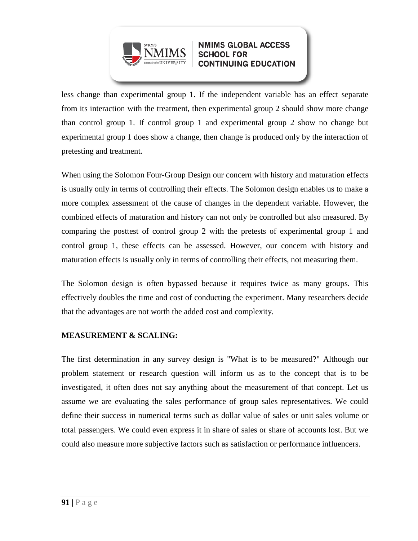

**NMIMS GLOBAL ACCESS SCHOOL FOR NTINUING EDUCATION** 

less change than experimental group 1. If the independent variable has an effect separate from its interaction with the treatment, then experimental group 2 should show more change than control group 1. If control group 1 and experimental group 2 show no change but experimental group 1 does show a change, then change is produced only by the interaction of pretesting and treatment.

When using the Solomon Four-Group Design our concern with history and maturation effects is usually only in terms of controlling their effects. The Solomon design enables us to make a more complex assessment of the cause of changes in the dependent variable. However, the combined effects of maturation and history can not only be controlled but also measured. By comparing the posttest of control group 2 with the pretests of experimental group 1 and control group 1, these effects can be assessed. However, our concern with history and maturation effects is usually only in terms of controlling their effects, not measuring them.

The Solomon design is often bypassed because it requires twice as many groups. This effectively doubles the time and cost of conducting the experiment. Many researchers decide that the advantages are not worth the added cost and complexity.

### **MEASUREMENT & SCALING:**

The first determination in any survey design is "What is to be measured?" Although our problem statement or research question will inform us as to the concept that is to be investigated, it often does not say anything about the measurement of that concept. Let us assume we are evaluating the sales performance of group sales representatives. We could define their success in numerical terms such as dollar value of sales or unit sales volume or total passengers. We could even express it in share of sales or share of accounts lost. But we could also measure more subjective factors such as satisfaction or performance influencers.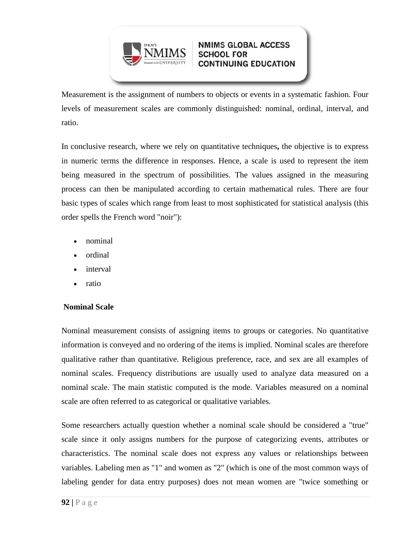

Measurement is the assignment of numbers to objects or events in a systematic fashion. Four levels of measurement scales are commonly distinguished: [nominal,](http://davidmlane.com/hyperstat/A30317.html) [ordinal,](http://davidmlane.com/hyperstat/A30633.html) [interval,](http://davidmlane.com/hyperstat/A30751.html) and [ratio.](http://davidmlane.com/hyperstat/A31094.html)

In [conclusive research,](http://www.ryerson.ca/~mjoppe/ResearchProcess/ConclusiveResearch.htm) where we rely on [quantitative techniques](http://www.ryerson.ca/~mjoppe/ResearchProcess/QuantitativeResearch.htm)**,** the objective is to express in numeric terms the difference in responses. Hence, a scale is used to represent the item being measured in the spectrum of possibilities. The values assigned in the measuring process can then be manipulated according to certain mathematical rules. There are four basic types of scales which range from least to most sophisticated for statistical analysis (this order spells the French word "noir"):

- [nominal](http://www.ryerson.ca/~mjoppe/ResearchProcess/NominalScale.htm)
- [ordinal](http://www.ryerson.ca/~mjoppe/ResearchProcess/741process10a2.htm)
- [interval](http://www.ryerson.ca/~mjoppe/ResearchProcess/IntervalScale.htm)
- [ratio](http://www.ryerson.ca/~mjoppe/ResearchProcess/RatioScale.htm)

### **Nominal Scale**

Nominal measurement consists of assigning items to groups or categories. No quantitative information is conveyed and no ordering of the items is implied. Nominal scales are therefore qualitative rather than quantitative. Religious preference, race, and sex are all examples of nominal scales. [Frequency distributions](http://davidmlane.com/hyperstat/A26308.html) are usually used to analyze data measured on a nominal scale. The main [statistic](http://davidmlane.com/hyperstat/A15796.html) computed is the [mode.](http://davidmlane.com/hyperstat/A10032.html) [Variables](http://davidmlane.com/hyperstat/A29697.html) measured on a nominal scale are often referred to as categorical or qualitative variables.

Some researchers actually question whether a nominal scale should be considered a "true" scale since it only assigns numbers for the purpose of categorizing events, attributes or characteristics. The nominal scale does not express any values or relationships between variables. Labeling men as "1" and women as "2" (which is one of the most common ways of labeling gender for data entry purposes) does not mean women are "twice something or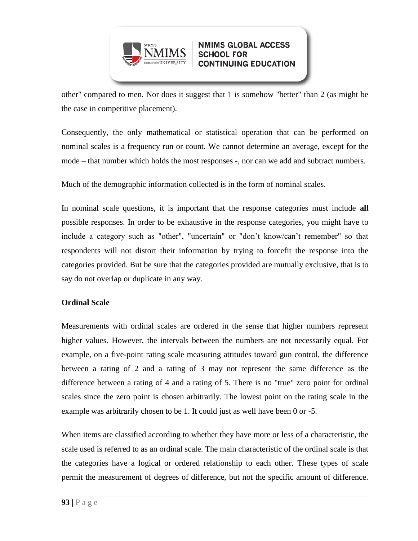

other" compared to men. Nor does it suggest that 1 is somehow "better" than 2 (as might be the case in competitive placement).

Consequently, the only mathematical or statistical operation that can be performed on nominal scales is a frequency run or count. We cannot determine an average, except for the mode – that number which holds the most responses -, nor can we add and subtract numbers.

Much of the demographic information collected is in the form of nominal scales.

In nominal scale questions, it is important that the response categories must include **all** possible responses. In order to be exhaustive in the response categories, you might have to include a category such as "other", "uncertain" or "don't know/can't remember" so that respondents will not distort their information by trying to forcefit the response into the categories provided. But be sure that the categories provided are mutually exclusive, that is to say do not overlap or duplicate in any way.

### **Ordinal Scale**

Measurements with ordinal scales are ordered in the sense that higher numbers represent higher values. However, the intervals between the numbers are not necessarily equal. For example, on a five-point rating scale measuring attitudes toward gun control, the difference between a rating of 2 and a rating of 3 may not represent the same difference as the difference between a rating of 4 and a rating of 5. There is no "true" zero point for ordinal scales since the zero point is chosen arbitrarily. The lowest point on the rating scale in the example was arbitrarily chosen to be 1. It could just as well have been 0 or -5.

When items are classified according to whether they have more or less of a characteristic, the scale used is referred to as an ordinal scale. The main characteristic of the ordinal scale is that the categories have a logical or ordered relationship to each other. These types of scale permit the measurement of degrees of difference, but not the specific amount of difference.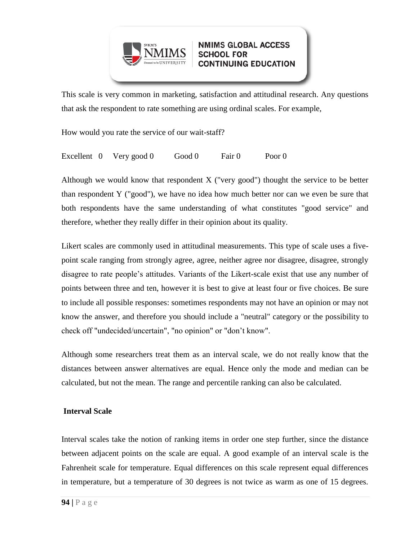

This scale is very common in marketing, satisfaction and attitudinal research. Any questions that ask the respondent to rate something are using ordinal scales. For example,

How would you rate the service of our wait-staff?

Excellent 0 Very good 0 Good 0 Fair 0 Poor 0

Although we would know that respondent  $X$  ("very good") thought the service to be better than respondent Y ("good"), we have no idea how much better nor can we even be sure that both respondents have the same understanding of what constitutes "good service" and therefore, whether they really differ in their opinion about its quality.

Likert scales are commonly used in attitudinal measurements. This type of scale uses a fivepoint scale ranging from strongly agree, agree, neither agree nor disagree, disagree, strongly disagree to rate people's attitudes. Variants of the Likert-scale exist that use any number of points between three and ten, however it is best to give at least four or five choices. Be sure to include all possible responses: sometimes respondents may not have an opinion or may not know the answer, and therefore you should include a "neutral" category or the possibility to check off "undecided/uncertain", "no opinion" or "don't know".

Although some researchers treat them as an interval scale, we do not really know that the distances between answer alternatives are equal. Hence only the mode and median can be calculated, but not the mean. The range and percentile ranking can also be calculated.

#### **Interval Scale**

Interval scales take the notion of ranking items in order one step further, since the distance between adjacent points on the scale are equal. A good example of an interval scale is the Fahrenheit scale for temperature. Equal differences on this scale represent equal differences in temperature, but a temperature of 30 degrees is not twice as warm as one of 15 degrees.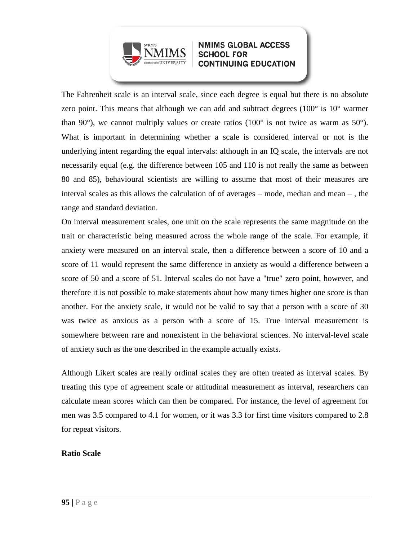

**NMIMS GLOBAL ACCESS SCHOOL FOR NTINUING EDUCATION** 

The Fahrenheit scale is an interval scale, since each degree is equal but there is no absolute zero point. This means that although we can add and subtract degrees  $(100^{\circ}$  is  $10^{\circ}$  warmer than 90 $^{\circ}$ ), we cannot multiply values or create ratios (100 $^{\circ}$  is not twice as warm as 50 $^{\circ}$ ). What is important in determining whether a scale is considered interval or not is the underlying intent regarding the equal intervals: although in an IQ scale, the intervals are not necessarily equal (e.g. the difference between 105 and 110 is not really the same as between 80 and 85), behavioural scientists are willing to assume that most of their measures are interval scales as this allows the calculation of of averages – mode, median and mean – , the range and standard deviation.

On interval measurement scales, one unit on the scale represents the same magnitude on the trait or characteristic being measured across the whole range of the scale. For example, if anxiety were measured on an interval scale, then a difference between a score of 10 and a score of 11 would represent the same difference in anxiety as would a difference between a score of 50 and a score of 51. Interval scales do not have a "true" zero point, however, and therefore it is not possible to make statements about how many times higher one score is than another. For the anxiety scale, it would not be valid to say that a person with a score of 30 was twice as anxious as a person with a score of 15. True interval measurement is somewhere between rare and nonexistent in the behavioral sciences. No interval-level scale of anxiety such as the one described in the example actually exists.

Although Likert scales are really [ordinal scales](http://www.ryerson.ca/~mjoppe/ResearchProcess/741process10a2.htm) they are often treated as interval scales. By treating this type of agreement scale or attitudinal measurement as interval, researchers can calculate mean scores which can then be compared. For instance, the level of agreement for men was 3.5 compared to 4.1 for women, or it was 3.3 for first time visitors compared to 2.8 for repeat visitors.

### **Ratio Scale**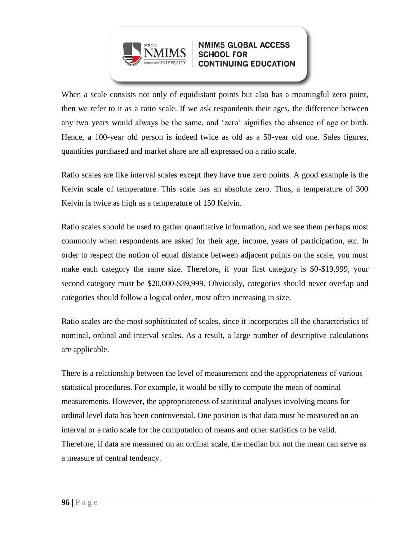

**NMIMS GLOBAL ACCESS SCHOOL FOR NTINUING EDUCATION** 

When a scale consists not only of equidistant points but also has a meaningful zero point, then we refer to it as a ratio scale. If we ask respondents their ages, the difference between any two years would always be the same, and 'zero' signifies the absence of age or birth. Hence, a 100-year old person is indeed twice as old as a 50-year old one. Sales figures, quantities purchased and market share are all expressed on a ratio scale.

Ratio scales are like [interval scales](http://davidmlane.com/hyperstat/A30751.html) except they have true zero points. A good example is the Kelvin scale of temperature. This scale has an absolute zero. Thus, a temperature of 300 Kelvin is twice as high as a temperature of 150 Kelvin.

Ratio scales should be used to gather quantitative information, and we see them perhaps most commonly when respondents are asked for their age, income, years of participation, etc. In order to respect the notion of equal distance between adjacent points on the scale, you must make each category the same size. Therefore, if your first category is \$0-\$19,999, your second category must be \$20,000-\$39,999. Obviously, categories should never overlap and categories should follow a logical order, most often increasing in size.

Ratio scales are the most sophisticated of scales, since it incorporates all the characteristics of [nominal,](http://www.ryerson.ca/~mjoppe/ResearchProcess/NominalScale.htm) [ordinal](http://www.ryerson.ca/~mjoppe/ResearchProcess/741process10a2.htm) and [interval scales.](http://www.ryerson.ca/~mjoppe/ResearchProcess/IntervalScale.htm) As a result, a large number of descriptive calculations are applicable.

There is a relationship between the level of measurement and the appropriateness of various statistical procedures. For example, it would be silly to compute the mean of nominal measurements. However, the appropriateness of statistical analyses involving means for ordinal level data has been controversial. One position is that data must be measured on an interval or a ratio scale for the computation of means and other [statistics](http://davidmlane.com/hyperstat/A15796.html) to be valid. Therefore, if data are measured on an ordinal scale, the [median](http://davidmlane.com/hyperstat/A27533.html) but not the [mean](http://davidmlane.com/hyperstat/A15885.html) can serve as a measure of [central tendency.](http://davidmlane.com/hyperstat/A39322.html)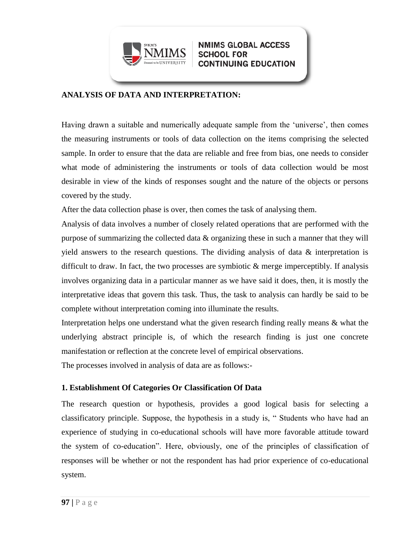

# **ANALYSIS OF DATA AND INTERPRETATION:**

Having drawn a suitable and numerically adequate sample from the 'universe', then comes the measuring instruments or tools of data collection on the items comprising the selected sample. In order to ensure that the data are reliable and free from bias, one needs to consider what mode of administering the instruments or tools of data collection would be most desirable in view of the kinds of responses sought and the nature of the objects or persons covered by the study.

After the data collection phase is over, then comes the task of analysing them.

Analysis of data involves a number of closely related operations that are performed with the purpose of summarizing the collected data & organizing these in such a manner that they will yield answers to the research questions. The dividing analysis of data & interpretation is difficult to draw. In fact, the two processes are symbiotic & merge imperceptibly. If analysis involves organizing data in a particular manner as we have said it does, then, it is mostly the interpretative ideas that govern this task. Thus, the task to analysis can hardly be said to be complete without interpretation coming into illuminate the results.

Interpretation helps one understand what the given research finding really means & what the underlying abstract principle is, of which the research finding is just one concrete manifestation or reflection at the concrete level of empirical observations.

The processes involved in analysis of data are as follows:-

### **1. Establishment Of Categories Or Classification Of Data**

The research question or hypothesis, provides a good logical basis for selecting a classificatory principle. Suppose, the hypothesis in a study is, " Students who have had an experience of studying in co-educational schools will have more favorable attitude toward the system of co-education". Here, obviously, one of the principles of classification of responses will be whether or not the respondent has had prior experience of co-educational system.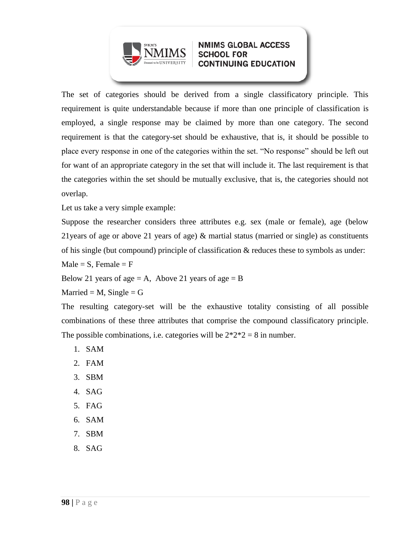

**NMIMS GLOBAL ACCESS SCHOOL FOR NTINUING EDUCATION** 

The set of categories should be derived from a single classificatory principle. This requirement is quite understandable because if more than one principle of classification is employed, a single response may be claimed by more than one category. The second requirement is that the category-set should be exhaustive, that is, it should be possible to place every response in one of the categories within the set. "No response" should be left out for want of an appropriate category in the set that will include it. The last requirement is that the categories within the set should be mutually exclusive, that is, the categories should not overlap.

Let us take a very simple example:

Suppose the researcher considers three attributes e.g. sex (male or female), age (below 21years of age or above 21 years of age) & martial status (married or single) as constituents of his single (but compound) principle of classification & reduces these to symbols as under:

 $Male = S$ , Female = F

Below 21 years of age  $= A$ , Above 21 years of age  $= B$ 

### Married = M, Single =  $G$

The resulting category-set will be the exhaustive totality consisting of all possible combinations of these three attributes that comprise the compound classificatory principle. The possible combinations, i.e. categories will be  $2*2*2 = 8$  in number.

- 1. SAM
- 2. FAM
- 3. SBM
- 4. SAG
- 5. FAG
- 6. SAM
- 7. SBM
- 8. SAG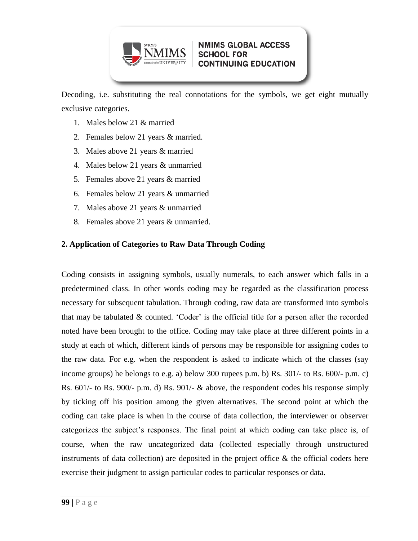

Decoding, i.e. substituting the real connotations for the symbols, we get eight mutually exclusive categories.

- 1. Males below 21 & married
- 2. Females below 21 years & married.
- 3. Males above 21 years & married
- 4. Males below 21 years & unmarried
- 5. Females above 21 years & married
- 6. Females below 21 years & unmarried
- 7. Males above 21 years & unmarried
- 8. Females above 21 years & unmarried.

### **2. Application of Categories to Raw Data Through Coding**

Coding consists in assigning symbols, usually numerals, to each answer which falls in a predetermined class. In other words coding may be regarded as the classification process necessary for subsequent tabulation. Through coding, raw data are transformed into symbols that may be tabulated  $\&$  counted. 'Coder' is the official title for a person after the recorded noted have been brought to the office. Coding may take place at three different points in a study at each of which, different kinds of persons may be responsible for assigning codes to the raw data. For e.g. when the respondent is asked to indicate which of the classes (say income groups) he belongs to e.g. a) below 300 rupees p.m. b) Rs. 301/- to Rs. 600/- p.m. c) Rs. 601/- to Rs. 900/- p.m. d) Rs. 901/- & above, the respondent codes his response simply by ticking off his position among the given alternatives. The second point at which the coding can take place is when in the course of data collection, the interviewer or observer categorizes the subject's responses. The final point at which coding can take place is, of course, when the raw uncategorized data (collected especially through unstructured instruments of data collection) are deposited in the project office  $\&$  the official coders here exercise their judgment to assign particular codes to particular responses or data.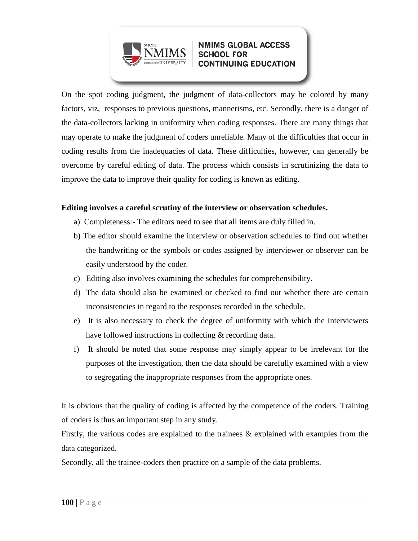

**NMIMS GLOBAL ACCESS SCHOOL FOR NTINUING EDUCATION** 

On the spot coding judgment, the judgment of data-collectors may be colored by many factors, viz, responses to previous questions, mannerisms, etc. Secondly, there is a danger of the data-collectors lacking in uniformity when coding responses. There are many things that may operate to make the judgment of coders unreliable. Many of the difficulties that occur in coding results from the inadequacies of data. These difficulties, however, can generally be overcome by careful editing of data. The process which consists in scrutinizing the data to improve the data to improve their quality for coding is known as editing.

### **Editing involves a careful scrutiny of the interview or observation schedules.**

- a) Completeness:- The editors need to see that all items are duly filled in.
- b) The editor should examine the interview or observation schedules to find out whether the handwriting or the symbols or codes assigned by interviewer or observer can be easily understood by the coder.
- c) Editing also involves examining the schedules for comprehensibility.
- d) The data should also be examined or checked to find out whether there are certain inconsistencies in regard to the responses recorded in the schedule.
- e) It is also necessary to check the degree of uniformity with which the interviewers have followed instructions in collecting & recording data.
- f) It should be noted that some response may simply appear to be irrelevant for the purposes of the investigation, then the data should be carefully examined with a view to segregating the inappropriate responses from the appropriate ones.

It is obvious that the quality of coding is affected by the competence of the coders. Training of coders is thus an important step in any study.

Firstly, the various codes are explained to the trainees & explained with examples from the data categorized.

Secondly, all the trainee-coders then practice on a sample of the data problems.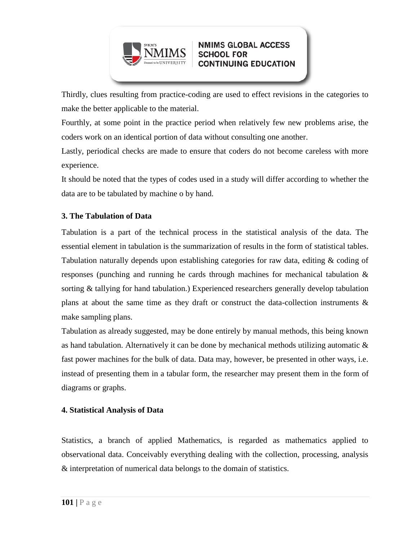

Thirdly, clues resulting from practice-coding are used to effect revisions in the categories to make the better applicable to the material.

Fourthly, at some point in the practice period when relatively few new problems arise, the coders work on an identical portion of data without consulting one another.

Lastly, periodical checks are made to ensure that coders do not become careless with more experience.

It should be noted that the types of codes used in a study will differ according to whether the data are to be tabulated by machine o by hand.

# **3. The Tabulation of Data**

Tabulation is a part of the technical process in the statistical analysis of the data. The essential element in tabulation is the summarization of results in the form of statistical tables. Tabulation naturally depends upon establishing categories for raw data, editing & coding of responses (punching and running he cards through machines for mechanical tabulation  $\&$ sorting & tallying for hand tabulation.) Experienced researchers generally develop tabulation plans at about the same time as they draft or construct the data-collection instruments & make sampling plans.

Tabulation as already suggested, may be done entirely by manual methods, this being known as hand tabulation. Alternatively it can be done by mechanical methods utilizing automatic & fast power machines for the bulk of data. Data may, however, be presented in other ways, i.e. instead of presenting them in a tabular form, the researcher may present them in the form of diagrams or graphs.

### **4. Statistical Analysis of Data**

Statistics, a branch of applied Mathematics, is regarded as mathematics applied to observational data. Conceivably everything dealing with the collection, processing, analysis & interpretation of numerical data belongs to the domain of statistics.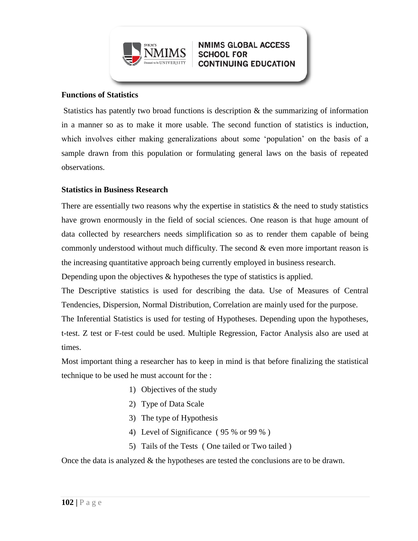

**NMIMS GLOBAL ACCESS SCHOOL FOR CONTINUING EDUCATION** 

### **Functions of Statistics**

Statistics has patently two broad functions is description & the summarizing of information in a manner so as to make it more usable. The second function of statistics is induction, which involves either making generalizations about some 'population' on the basis of a sample drawn from this population or formulating general laws on the basis of repeated observations.

### **Statistics in Business Research**

There are essentially two reasons why the expertise in statistics  $\&$  the need to study statistics have grown enormously in the field of social sciences. One reason is that huge amount of data collected by researchers needs simplification so as to render them capable of being commonly understood without much difficulty. The second  $\&$  even more important reason is the increasing quantitative approach being currently employed in business research.

Depending upon the objectives & hypotheses the type of statistics is applied.

The Descriptive statistics is used for describing the data. Use of Measures of Central Tendencies, Dispersion, Normal Distribution, Correlation are mainly used for the purpose.

The Inferential Statistics is used for testing of Hypotheses. Depending upon the hypotheses, t-test. Z test or F-test could be used. Multiple Regression, Factor Analysis also are used at times.

Most important thing a researcher has to keep in mind is that before finalizing the statistical technique to be used he must account for the :

- 1) Objectives of the study
- 2) Type of Data Scale
- 3) The type of Hypothesis
- 4) Level of Significance ( 95 % or 99 % )
- 5) Tails of the Tests ( One tailed or Two tailed )

Once the data is analyzed & the hypotheses are tested the conclusions are to be drawn.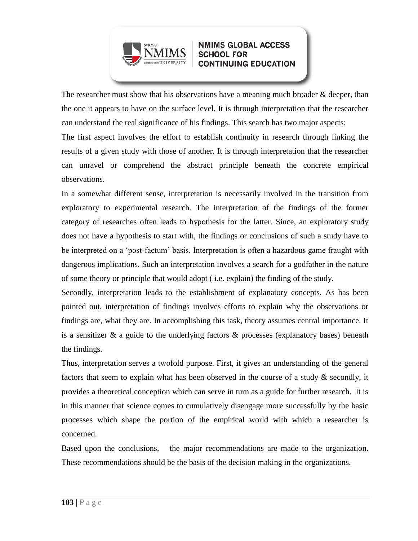

**NMIMS GLOBAL ACCESS SCHOOL FOR NTINUING EDUCATION** 

The researcher must show that his observations have a meaning much broader & deeper, than the one it appears to have on the surface level. It is through interpretation that the researcher can understand the real significance of his findings. This search has two major aspects: The first aspect involves the effort to establish continuity in research through linking the results of a given study with those of another. It is through interpretation that the researcher can unravel or comprehend the abstract principle beneath the concrete empirical observations.

In a somewhat different sense, interpretation is necessarily involved in the transition from exploratory to experimental research. The interpretation of the findings of the former category of researches often leads to hypothesis for the latter. Since, an exploratory study does not have a hypothesis to start with, the findings or conclusions of such a study have to be interpreted on a 'post-factum' basis. Interpretation is often a hazardous game fraught with dangerous implications. Such an interpretation involves a search for a godfather in the nature of some theory or principle that would adopt ( i.e. explain) the finding of the study.

Secondly, interpretation leads to the establishment of explanatory concepts. As has been pointed out, interpretation of findings involves efforts to explain why the observations or findings are, what they are. In accomplishing this task, theory assumes central importance. It is a sensitizer  $\&$  a guide to the underlying factors  $\&$  processes (explanatory bases) beneath the findings.

Thus, interpretation serves a twofold purpose. First, it gives an understanding of the general factors that seem to explain what has been observed in the course of a study & secondly, it provides a theoretical conception which can serve in turn as a guide for further research. It is in this manner that science comes to cumulatively disengage more successfully by the basic processes which shape the portion of the empirical world with which a researcher is concerned.

Based upon the conclusions, the major recommendations are made to the organization. These recommendations should be the basis of the decision making in the organizations.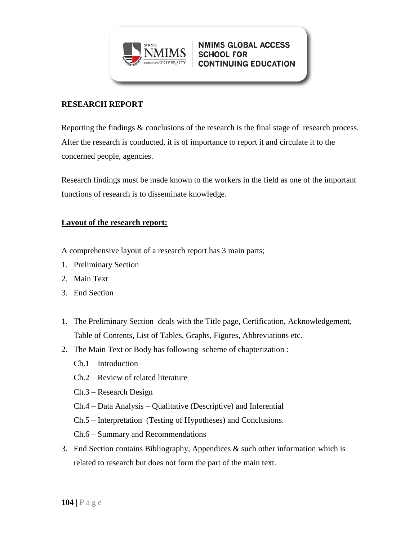

**NMIMS GLOBAL ACCESS SCHOOL FOR CONTINUING EDUCATION** 

# **RESEARCH REPORT**

Reporting the findings & conclusions of the research is the final stage of research process. After the research is conducted, it is of importance to report it and circulate it to the concerned people, agencies.

Research findings must be made known to the workers in the field as one of the important functions of research is to disseminate knowledge.

### **Layout of the research report:**

A comprehensive layout of a research report has 3 main parts;

- 1. Preliminary Section
- 2. Main Text
- 3. End Section
- 1. The Preliminary Section deals with the Title page, Certification, Acknowledgement, Table of Contents, List of Tables, Graphs, Figures, Abbreviations etc.
- 2. The Main Text or Body has following scheme of chapterization :
	- Ch.1 Introduction
	- Ch.2 Review of related literature
	- Ch.3 Research Design
	- Ch.4 Data Analysis Qualitative (Descriptive) and Inferential
	- Ch.5 Interpretation (Testing of Hypotheses) and Conclusions.
	- Ch.6 Summary and Recommendations
- 3. End Section contains Bibliography, Appendices & such other information which is related to research but does not form the part of the main text.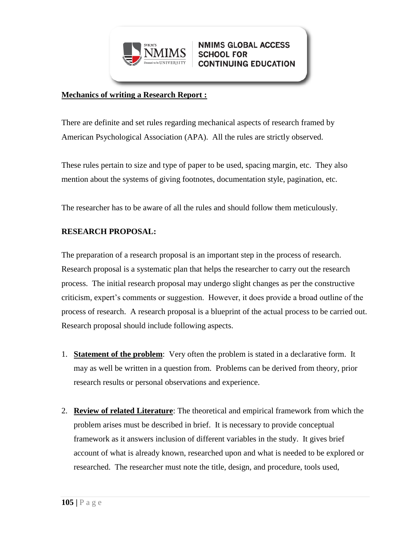

### **Mechanics of writing a Research Report :**

There are definite and set rules regarding mechanical aspects of research framed by American Psychological Association (APA). All the rules are strictly observed.

These rules pertain to size and type of paper to be used, spacing margin, etc. They also mention about the systems of giving footnotes, documentation style, pagination, etc.

The researcher has to be aware of all the rules and should follow them meticulously.

### **RESEARCH PROPOSAL:**

The preparation of a research proposal is an important step in the process of research. Research proposal is a systematic plan that helps the researcher to carry out the research process. The initial research proposal may undergo slight changes as per the constructive criticism, expert's comments or suggestion. However, it does provide a broad outline of the process of research. A research proposal is a blueprint of the actual process to be carried out. Research proposal should include following aspects.

- 1. **Statement of the problem**: Very often the problem is stated in a declarative form. It may as well be written in a question from. Problems can be derived from theory, prior research results or personal observations and experience.
- 2. **Review of related Literature**: The theoretical and empirical framework from which the problem arises must be described in brief. It is necessary to provide conceptual framework as it answers inclusion of different variables in the study. It gives brief account of what is already known, researched upon and what is needed to be explored or researched. The researcher must note the title, design, and procedure, tools used,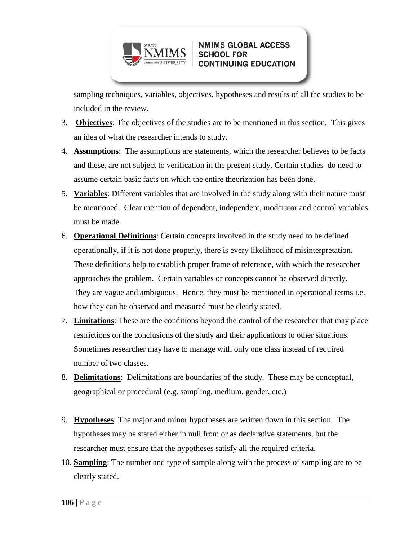

sampling techniques, variables, objectives, hypotheses and results of all the studies to be included in the review.

- 3. **Objectives**: The objectives of the studies are to be mentioned in this section. This gives an idea of what the researcher intends to study.
- 4. **Assumptions**: The assumptions are statements, which the researcher believes to be facts and these, are not subject to verification in the present study. Certain studies do need to assume certain basic facts on which the entire theorization has been done.
- 5. **Variables**: Different variables that are involved in the study along with their nature must be mentioned. Clear mention of dependent, independent, moderator and control variables must be made.
- 6. **Operational Definitions**: Certain concepts involved in the study need to be defined operationally, if it is not done properly, there is every likelihood of misinterpretation. These definitions help to establish proper frame of reference, with which the researcher approaches the problem. Certain variables or concepts cannot be observed directly. They are vague and ambiguous. Hence, they must be mentioned in operational terms i.e. how they can be observed and measured must be clearly stated.
- 7. **Limitations**: These are the conditions beyond the control of the researcher that may place restrictions on the conclusions of the study and their applications to other situations. Sometimes researcher may have to manage with only one class instead of required number of two classes.
- 8. **Delimitations**: Delimitations are boundaries of the study. These may be conceptual, geographical or procedural (e.g. sampling, medium, gender, etc.)
- 9. **Hypotheses**: The major and minor hypotheses are written down in this section. The hypotheses may be stated either in null from or as declarative statements, but the researcher must ensure that the hypotheses satisfy all the required criteria.
- 10. **Sampling**: The number and type of sample along with the process of sampling are to be clearly stated.